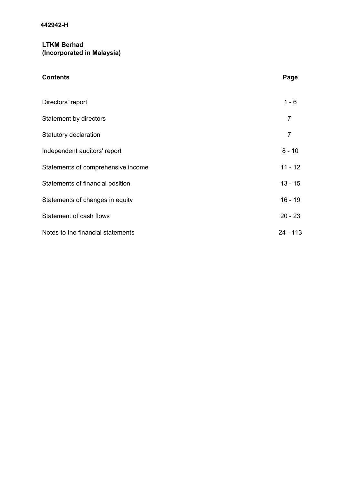## **LTKM Berhad (Incorporated in Malaysia)**

| <b>Contents</b>                    | Page           |
|------------------------------------|----------------|
| Directors' report                  | $1 - 6$        |
| Statement by directors             | 7              |
| Statutory declaration              | $\overline{7}$ |
| Independent auditors' report       | $8 - 10$       |
| Statements of comprehensive income | $11 - 12$      |
| Statements of financial position   | $13 - 15$      |
| Statements of changes in equity    | $16 - 19$      |
| Statement of cash flows            | $20 - 23$      |
| Notes to the financial statements  | $24 - 113$     |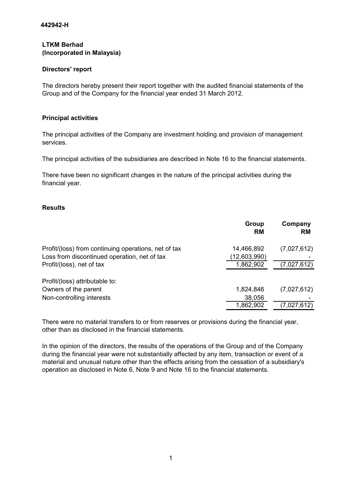## **Directors' report**

The directors hereby present their report together with the audited financial statements of the Group and of the Company for the financial year ended 31 March 2012.

#### **Principal activities**

The principal activities of the Company are investment holding and provision of management services.

The principal activities of the subsidiaries are described in Note 16 to the financial statements.

There have been no significant changes in the nature of the principal activities during the financial year.

#### **Results**

|                                                      | Group<br><b>RM</b> | Company<br><b>RM</b> |
|------------------------------------------------------|--------------------|----------------------|
| Profit/(loss) from continuing operations, net of tax | 14,466,892         | (7,027,612)          |
| Loss from discontinued operation, net of tax         | (12,603,990)       |                      |
| Profit/(loss), net of tax                            | 1,862,902          | (7,027,612)          |
| Profit/(loss) attributable to:                       |                    |                      |
| Owners of the parent                                 | 1,824,846          | (7,027,612)          |
| Non-controlling interests                            | 38,056             |                      |
|                                                      | 1,862,902          | (7,027,612)          |
|                                                      |                    |                      |

There were no material transfers to or from reserves or provisions during the financial year, other than as disclosed in the financial statements.

In the opinion of the directors, the results of the operations of the Group and of the Company during the financial year were not substantially affected by any item, transaction or event of a material and unusual nature other than the effects arising from the cessation of a subsidiary's operation as disclosed in Note 6, Note 9 and Note 16 to the financial statements.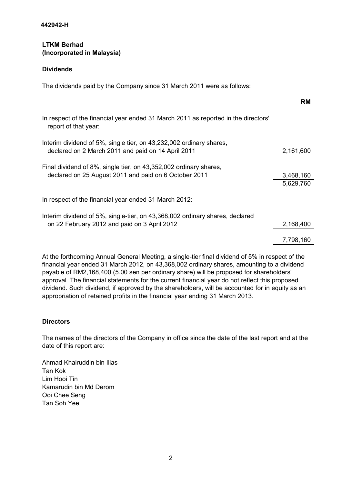## **Dividends**

The dividends paid by the Company since 31 March 2011 were as follows:

|                                                                                                                              | <b>RM</b>              |
|------------------------------------------------------------------------------------------------------------------------------|------------------------|
| In respect of the financial year ended 31 March 2011 as reported in the directors'<br>report of that year:                   |                        |
| Interim dividend of 5%, single tier, on 43,232,002 ordinary shares,<br>declared on 2 March 2011 and paid on 14 April 2011    | 2,161,600              |
| Final dividend of 8%, single tier, on 43,352,002 ordinary shares,<br>declared on 25 August 2011 and paid on 6 October 2011   | 3,468,160<br>5,629,760 |
| In respect of the financial year ended 31 March 2012:                                                                        |                        |
| Interim dividend of 5%, single-tier, on 43,368,002 ordinary shares, declared<br>on 22 February 2012 and paid on 3 April 2012 | 2,168,400              |
|                                                                                                                              | 7,798,160              |

At the forthcoming Annual General Meeting, a single-tier final dividend of 5% in respect of the financial year ended 31 March 2012, on 43,368,002 ordinary shares, amounting to a dividend payable of RM2,168,400 (5.00 sen per ordinary share) will be proposed for shareholders' approval. The financial statements for the current financial year do not reflect this proposed dividend. Such dividend, if approved by the shareholders, will be accounted for in equity as an appropriation of retained profits in the financial year ending 31 March 2013.

## **Directors**

The names of the directors of the Company in office since the date of the last report and at the date of this report are:

Ahmad Khairuddin bin Ilias Tan Kok Lim Hooi Tin Kamarudin bin Md Derom Ooi Chee Seng Tan Soh Yee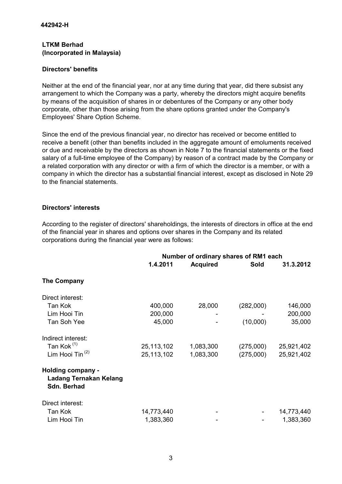#### **Directors' benefits**

Neither at the end of the financial year, nor at any time during that year, did there subsist any arrangement to which the Company was a party, whereby the directors might acquire benefits by means of the acquisition of shares in or debentures of the Company or any other body corporate, other than those arising from the share options granted under the Company's Employees' Share Option Scheme.

Since the end of the previous financial year, no director has received or become entitled to receive a benefit (other than benefits included in the aggregate amount of emoluments received or due and receivable by the directors as shown in Note 7 to the financial statements or the fixed salary of a full-time employee of the Company) by reason of a contract made by the Company or a related corporation with any director or with a firm of which the director is a member, or with a company in which the director has a substantial financial interest, except as disclosed in Note 29 to the financial statements.

#### **Directors' interests**

According to the register of directors' shareholdings, the interests of directors in office at the end of the financial year in shares and options over shares in the Company and its related corporations during the financial year were as follows:

|                                                                          | Number of ordinary shares of RM1 each |                 |           |            |  |  |  |  |
|--------------------------------------------------------------------------|---------------------------------------|-----------------|-----------|------------|--|--|--|--|
|                                                                          | 1.4.2011                              | <b>Acquired</b> | Sold      | 31.3.2012  |  |  |  |  |
| The Company                                                              |                                       |                 |           |            |  |  |  |  |
| Direct interest:                                                         |                                       |                 |           |            |  |  |  |  |
| Tan Kok                                                                  | 400,000                               | 28,000          | (282,000) | 146,000    |  |  |  |  |
| Lim Hooi Tin                                                             | 200,000                               |                 |           | 200,000    |  |  |  |  |
| Tan Soh Yee                                                              | 45,000                                |                 | (10,000)  | 35,000     |  |  |  |  |
| Indirect interest:                                                       |                                       |                 |           |            |  |  |  |  |
| Tan Kok <sup>(1)</sup>                                                   | 25, 113, 102                          | 1,083,300       | (275,000) | 25,921,402 |  |  |  |  |
| Lim Hooi Tin $^{(2)}$                                                    | 25, 113, 102                          | 1,083,300       | (275,000) | 25,921,402 |  |  |  |  |
| <b>Holding company -</b><br><b>Ladang Ternakan Kelang</b><br>Sdn. Berhad |                                       |                 |           |            |  |  |  |  |
| Direct interest:                                                         |                                       |                 |           |            |  |  |  |  |
| Tan Kok                                                                  | 14,773,440                            |                 |           | 14,773,440 |  |  |  |  |
| Lim Hooi Tin                                                             | 1,383,360                             |                 |           | 1,383,360  |  |  |  |  |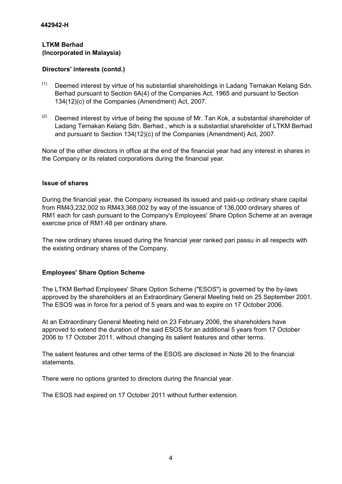## **Directors' interests (contd.)**

- (1) Deemed interest by virtue of his substantial shareholdings in Ladang Ternakan Kelang Sdn. Berhad pursuant to Section 6A(4) of the Companies Act, 1965 and pursuant to Section 134(12)(c) of the Companies (Amendment) Act, 2007.
- (2) Deemed interest by virtue of being the spouse of Mr. Tan Kok, a substantial shareholder of Ladang Ternakan Kelang Sdn. Berhad., which is a substantial shareholder of LTKM Berhad and pursuant to Section 134(12)(c) of the Companies (Amendment) Act, 2007.

None of the other directors in office at the end of the financial year had any interest in shares in the Company or its related corporations during the financial year.

#### **Issue of shares**

During the financial year, the Company increased its issued and paid-up ordinary share capital from RM43,232,002 to RM43,368,002 by way of the issuance of 136,000 ordinary shares of RM1 each for cash pursuant to the Company's Employees' Share Option Scheme at an average exercise price of RM1.48 per ordinary share.

The new ordinary shares issued during the financial year ranked pari passu in all respects with the existing ordinary shares of the Company.

#### **Employees' Share Option Scheme**

The LTKM Berhad Employees' Share Option Scheme ("ESOS") is governed by the by-laws approved by the shareholders at an Extraordinary General Meeting held on 25 September 2001. The ESOS was in force for a period of 5 years and was to expire on 17 October 2006.

At an Extraordinary General Meeting held on 23 February 2006, the shareholders have approved to extend the duration of the said ESOS for an additional 5 years from 17 October 2006 to 17 October 2011, without changing its salient features and other terms.

The salient features and other terms of the ESOS are disclosed in Note 26 to the financial statements.

There were no options granted to directors during the financial year.

The ESOS had expired on 17 October 2011 without further extension.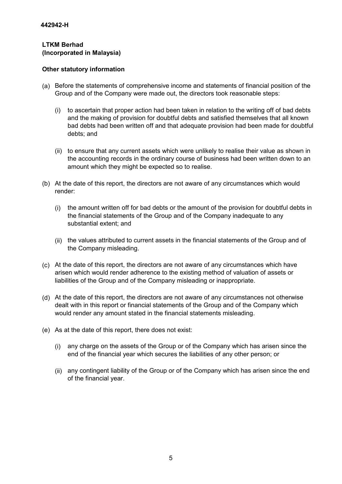#### **Other statutory information**

- (a) Before the statements of comprehensive income and statements of financial position of the Group and of the Company were made out, the directors took reasonable steps:
	- (i) to ascertain that proper action had been taken in relation to the writing off of bad debts and the making of provision for doubtful debts and satisfied themselves that all known bad debts had been written off and that adequate provision had been made for doubtful debts; and
	- (ii) to ensure that any current assets which were unlikely to realise their value as shown in the accounting records in the ordinary course of business had been written down to an amount which they might be expected so to realise.
- (b) At the date of this report, the directors are not aware of any circumstances which would render:
	- (i) the amount written off for bad debts or the amount of the provision for doubtful debts in the financial statements of the Group and of the Company inadequate to any substantial extent; and
	- (ii) the values attributed to current assets in the financial statements of the Group and of the Company misleading.
- (c) At the date of this report, the directors are not aware of any circumstances which have arisen which would render adherence to the existing method of valuation of assets or liabilities of the Group and of the Company misleading or inappropriate.
- (d) At the date of this report, the directors are not aware of any circumstances not otherwise dealt with in this report or financial statements of the Group and of the Company which would render any amount stated in the financial statements misleading.
- (e) As at the date of this report, there does not exist:
	- (i) any charge on the assets of the Group or of the Company which has arisen since the end of the financial year which secures the liabilities of any other person; or
	- (ii) any contingent liability of the Group or of the Company which has arisen since the end of the financial year.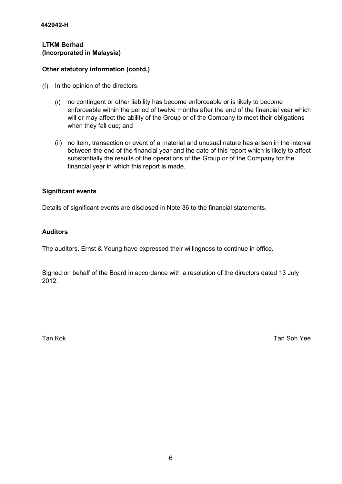## **Other statutory information (contd.)**

- (f) In the opinion of the directors:
	- (i) no contingent or other liability has become enforceable or is likely to become enforceable within the period of twelve months after the end of the financial year which will or may affect the ability of the Group or of the Company to meet their obligations when they fall due; and
	- (ii) no item, transaction or event of a material and unusual nature has arisen in the interval between the end of the financial year and the date of this report which is likely to affect substantially the results of the operations of the Group or of the Company for the financial year in which this report is made.

#### **Significant events**

Details of significant events are disclosed in Note 36 to the financial statements.

#### **Auditors**

The auditors, Ernst & Young have expressed their willingness to continue in office.

Signed on behalf of the Board in accordance with a resolution of the directors dated 13 July 2012.

Tan Kok Tan Soh Yee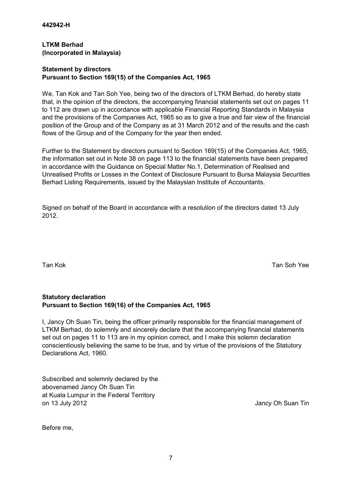#### **Statement by directors Pursuant to Section 169(15) of the Companies Act, 1965**

We, Tan Kok and Tan Soh Yee, being two of the directors of LTKM Berhad, do hereby state that, in the opinion of the directors, the accompanying financial statements set out on pages 11 to 112 are drawn up in accordance with applicable Financial Reporting Standards in Malaysia and the provisions of the Companies Act, 1965 so as to give a true and fair view of the financial position of the Group and of the Company as at 31 March 2012 and of the results and the cash flows of the Group and of the Company for the year then ended.

Further to the Statement by directors pursuant to Section 169(15) of the Companies Act, 1965, the information set out in Note 38 on page 113 to the financial statements have been prepared in accordance with the Guidance on Special Matter No.1, Determination of Realised and Unrealised Profits or Losses in the Context of Disclosure Pursuant to Bursa Malaysia Securities Berhad Listing Requirements, issued by the Malaysian Institute of Accountants.

Signed on behalf of the Board in accordance with a resolution of the directors dated 13 July 2012.

Tan Kok Tan Soh Yee

## **Statutory declaration Pursuant to Section 169(16) of the Companies Act, 1965**

I, Jancy Oh Suan Tin, being the officer primarily responsible for the financial management of LTKM Berhad, do solemnly and sincerely declare that the accompanying financial statements set out on pages 11 to 113 are in my opinion correct, and I make this solemn declaration conscientiously believing the same to be true, and by virtue of the provisions of the Statutory Declarations Act, 1960.

Subscribed and solemnly declared by the abovenamed Jancy Oh Suan Tin at Kuala Lumpur in the Federal Territory on 13 July 2012 **Jancy Oh Suan Tin** 

Before me,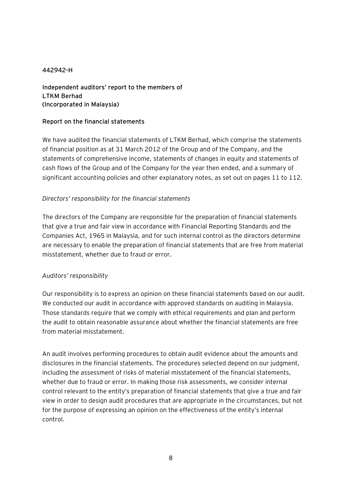**Independent auditors' report to the members of LTKM Berhad (Incorporated in Malaysia)**

## **Report on the financial statements**

We have audited the financial statements of LTKM Berhad, which comprise the statements of financial position as at 31 March 2012 of the Group and of the Company, and the statements of comprehensive income, statements of changes in equity and statements of cash flows of the Group and of the Company for the year then ended, and a summary of significant accounting policies and other explanatory notes, as set out on pages 11 to 112.

## *Directors' responsibility for the financial statements*

The directors of the Company are responsible for the preparation of financial statements that give a true and fair view in accordance with Financial Reporting Standards and the Companies Act, 1965 in Malaysia, and for such internal control as the directors determine are necessary to enable the preparation of financial statements that are free from material misstatement, whether due to fraud or error.

## *Auditors' responsibility*

Our responsibility is to express an opinion on these financial statements based on our audit. We conducted our audit in accordance with approved standards on auditing in Malaysia. Those standards require that we comply with ethical requirements and plan and perform the audit to obtain reasonable assurance about whether the financial statements are free from material misstatement.

An audit involves performing procedures to obtain audit evidence about the amounts and disclosures in the financial statements. The procedures selected depend on our judgment, including the assessment of risks of material misstatement of the financial statements, whether due to fraud or error. In making those risk assessments, we consider internal control relevant to the entity's preparation of financial statements that give a true and fair view in order to design audit procedures that are appropriate in the circumstances, but not for the purpose of expressing an opinion on the effectiveness of the entity's internal control.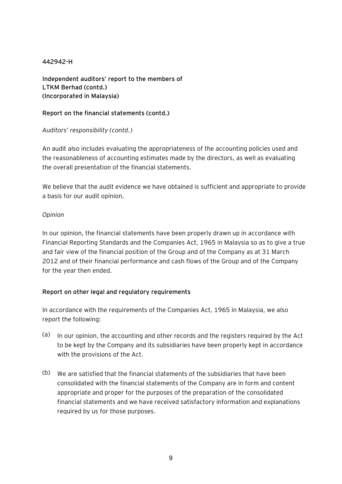**Independent auditors' report to the members of LTKM Berhad (contd.) (Incorporated in Malaysia)**

**Report on the financial statements (contd.)**

*Auditors' responsibility (contd.)*

An audit also includes evaluating the appropriateness of the accounting policies used and the reasonableness of accounting estimates made by the directors, as well as evaluating the overall presentation of the financial statements.

We believe that the audit evidence we have obtained is sufficient and appropriate to provide a basis for our audit opinion.

#### *Opinion*

In our opinion, the financial statements have been properly drawn up in accordance with Financial Reporting Standards and the Companies Act, 1965 in Malaysia so as to give a true and fair view of the financial position of the Group and of the Company as at 31 March 2012 and of their financial performance and cash flows of the Group and of the Company for the year then ended.

## **Report on other legal and regulatory requirements**

In accordance with the requirements of the Companies Act, 1965 in Malaysia, we also report the following:

- (a) In our opinion, the accounting and other records and the registers required by the Act to be kept by the Company and its subsidiaries have been properly kept in accordance with the provisions of the Act.
- (b) We are satisfied that the financial statements of the subsidiaries that have been consolidated with the financial statements of the Company are in form and content appropriate and proper for the purposes of the preparation of the consolidated financial statements and we have received satisfactory information and explanations required by us for those purposes.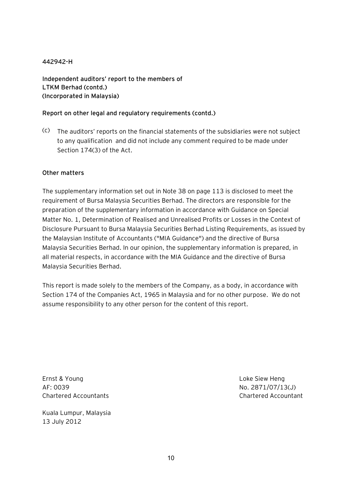**Independent auditors' report to the members of LTKM Berhad (contd.) (Incorporated in Malaysia)**

## **Report on other legal and regulatory requirements (contd.)**

(c) The auditors' reports on the financial statements of the subsidiaries were not subject to any qualification and did not include any comment required to be made under Section 174(3) of the Act.

#### **Other matters**

The supplementary information set out in Note 38 on page 113 is disclosed to meet the requirement of Bursa Malaysia Securities Berhad. The directors are responsible for the preparation of the supplementary information in accordance with Guidance on Special Matter No. 1, Determination of Realised and Unrealised Profits or Losses in the Context of Disclosure Pursuant to Bursa Malaysia Securities Berhad Listing Requirements, as issued by the Malaysian Institute of Accountants ("MIA Guidance") and the directive of Bursa Malaysia Securities Berhad. In our opinion, the supplementary information is prepared, in all material respects, in accordance with the MIA Guidance and the directive of Bursa Malaysia Securities Berhad.

This report is made solely to the members of the Company, as a body, in accordance with Section 174 of the Companies Act, 1965 in Malaysia and for no other purpose. We do not assume responsibility to any other person for the content of this report.

Ernst & Young Loke Siew Heng AF: 0039 No. 2871/07/13(J)

Kuala Lumpur, Malaysia 13 July 2012

Chartered Accountants Chartered Accountant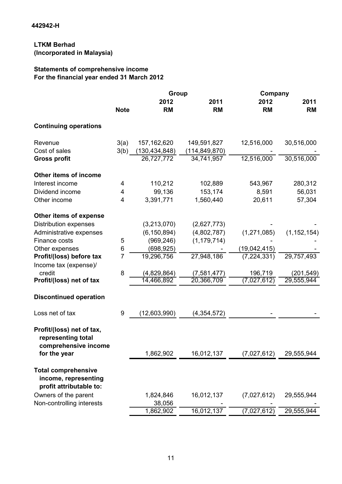## **Statements of comprehensive income For the financial year ended 31 March 2012**

|                                                                               |                  | <b>Group</b>      |                   | Company                 |                   |  |  |
|-------------------------------------------------------------------------------|------------------|-------------------|-------------------|-------------------------|-------------------|--|--|
|                                                                               | <b>Note</b>      | 2012<br><b>RM</b> | 2011<br><b>RM</b> | 2012<br><b>RM</b>       | 2011<br><b>RM</b> |  |  |
| <b>Continuing operations</b>                                                  |                  |                   |                   |                         |                   |  |  |
| Revenue                                                                       | 3(a)             | 157, 162, 620     | 149,591,827       | 12,516,000              | 30,516,000        |  |  |
| Cost of sales                                                                 | 3(b)             | (130, 434, 848)   | (114, 849, 870)   |                         |                   |  |  |
| <b>Gross profit</b>                                                           |                  | 26,727,772        | 34,741,957        | $\overline{12,}516,000$ | 30,516,000        |  |  |
| Other items of income                                                         |                  |                   |                   |                         |                   |  |  |
| Interest income                                                               | 4                | 110,212           | 102,889           | 543,967                 | 280,312           |  |  |
| Dividend income                                                               | 4                | 99,136            | 153,174           | 8,591                   | 56,031            |  |  |
| Other income                                                                  | 4                | 3,391,771         | 1,560,440         | 20,611                  | 57,304            |  |  |
| Other items of expense                                                        |                  |                   |                   |                         |                   |  |  |
| <b>Distribution expenses</b>                                                  |                  | (3,213,070)       | (2,627,773)       |                         |                   |  |  |
| Administrative expenses                                                       |                  | (6, 150, 894)     | (4,802,787)       | (1,271,085)             | (1, 152, 154)     |  |  |
| Finance costs                                                                 | 5                | (969, 246)        | (1, 179, 714)     |                         |                   |  |  |
| Other expenses                                                                | 6                | (698,925)         |                   | (19,042,415)            |                   |  |  |
| Profit/(loss) before tax<br>Income tax (expense)/                             | 7                | 19,296,756        | 27,948,186        | (7, 224, 331)           | 29,757,493        |  |  |
| credit                                                                        | 8                | (4,829,864)       | (7,581,477)       | 196,719                 | (201, 549)        |  |  |
| Profit/(loss) net of tax                                                      |                  | 14,466,892        | 20,366,709        | (7,027,612)             | 29,555,944        |  |  |
| <b>Discontinued operation</b>                                                 |                  |                   |                   |                         |                   |  |  |
| Loss net of tax                                                               | $\boldsymbol{9}$ | (12,603,990)      | (4, 354, 572)     |                         |                   |  |  |
| Profit/(loss) net of tax,<br>representing total<br>comprehensive income       |                  |                   |                   |                         |                   |  |  |
| for the year                                                                  |                  | 1,862,902         | 16,012,137        | (7,027,612)             | 29,555,944        |  |  |
| <b>Total comprehensive</b><br>income, representing<br>profit attributable to: |                  |                   |                   |                         |                   |  |  |
| Owners of the parent                                                          |                  | 1,824,846         | 16,012,137        | (7,027,612)             | 29,555,944        |  |  |
| Non-controlling interests                                                     |                  | 38,056            |                   |                         |                   |  |  |
|                                                                               |                  | 1,862,902         | 16,012,137        | (7,027,612)             | 29,555,944        |  |  |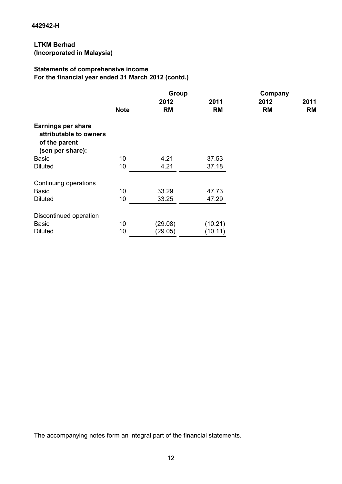## **Statements of comprehensive income For the financial year ended 31 March 2012 (contd.)**

|                                                                                          |             | Group             |                   | Company           |                   |
|------------------------------------------------------------------------------------------|-------------|-------------------|-------------------|-------------------|-------------------|
|                                                                                          | <b>Note</b> | 2012<br><b>RM</b> | 2011<br><b>RM</b> | 2012<br><b>RM</b> | 2011<br><b>RM</b> |
| <b>Earnings per share</b><br>attributable to owners<br>of the parent<br>(sen per share): |             |                   |                   |                   |                   |
| Basic                                                                                    | 10          | 4.21              | 37.53             |                   |                   |
| <b>Diluted</b>                                                                           | 10          | 4.21              | 37.18             |                   |                   |
| Continuing operations                                                                    |             |                   |                   |                   |                   |
| <b>Basic</b>                                                                             | 10          | 33.29             | 47.73             |                   |                   |
| <b>Diluted</b>                                                                           | 10          | 33.25             | 47.29             |                   |                   |
| Discontinued operation                                                                   |             |                   |                   |                   |                   |
| <b>Basic</b>                                                                             | 10          | (29.08)           | (10.21)           |                   |                   |
| <b>Diluted</b>                                                                           | 10          | (29.05)           | (10.11)           |                   |                   |

The accompanying notes form an integral part of the financial statements.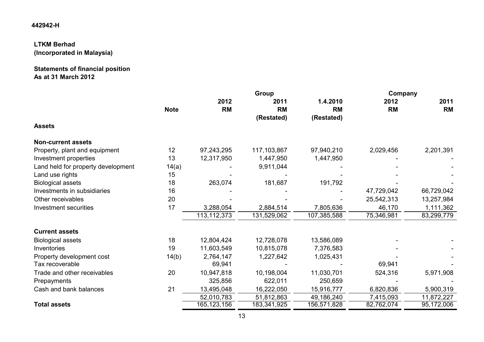## **LTKM Berhad (Incorporated in Malaysia)**

## **Statements of financial position As at 31 March 2012**

|                                    |             |               | Group       | Company     |            |            |
|------------------------------------|-------------|---------------|-------------|-------------|------------|------------|
|                                    |             | 2012          | 2011        | 1.4.2010    | 2012       | 2011       |
|                                    | <b>Note</b> | <b>RM</b>     | <b>RM</b>   | <b>RM</b>   | <b>RM</b>  | <b>RM</b>  |
|                                    |             |               | (Restated)  | (Restated)  |            |            |
| <b>Assets</b>                      |             |               |             |             |            |            |
| <b>Non-current assets</b>          |             |               |             |             |            |            |
| Property, plant and equipment      | 12          | 97,243,295    | 117,103,867 | 97,940,210  | 2,029,456  | 2,201,391  |
| Investment properties              | 13          | 12,317,950    | 1,447,950   | 1,447,950   |            |            |
| Land held for property development | 14(a)       |               | 9,911,044   |             |            |            |
| Land use rights                    | 15          |               |             |             |            |            |
| <b>Biological assets</b>           | 18          | 263,074       | 181,687     | 191,792     |            |            |
| Investments in subsidiaries        | 16          |               |             |             | 47,729,042 | 66,729,042 |
| Other receivables                  | 20          |               |             |             | 25,542,313 | 13,257,984 |
| Investment securities              | 17          | 3,288,054     | 2,884,514   | 7,805,636   | 46,170     | 1,111,362  |
|                                    |             | 113,112,373   | 131,529,062 | 107,385,588 | 75,346,981 | 83,299,779 |
| <b>Current assets</b>              |             |               |             |             |            |            |
| <b>Biological assets</b>           | 18          | 12,804,424    | 12,728,078  | 13,586,089  |            |            |
| Inventories                        | 19          | 11,603,549    | 10,815,078  | 7,376,583   |            |            |
| Property development cost          | 14(b)       | 2,764,147     | 1,227,642   | 1,025,431   |            |            |
| Tax recoverable                    |             | 69,941        |             |             | 69,941     |            |
| Trade and other receivables        | 20          | 10,947,818    | 10,198,004  | 11,030,701  | 524,316    | 5,971,908  |
| Prepayments                        |             | 325,856       | 622,011     | 250,659     |            |            |
| Cash and bank balances             | 21          | 13,495,048    | 16,222,050  | 15,916,777  | 6,820,836  | 5,900,319  |
|                                    |             | 52,010,783    | 51,812,863  | 49,186,240  | 7,415,093  | 11,872,227 |
| <b>Total assets</b>                |             | 165, 123, 156 | 183,341,925 | 156,571,828 | 82,762,074 | 95,172,006 |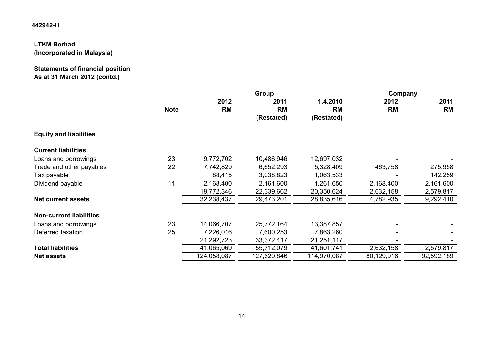## **LTKM Berhad (Incorporated in Malaysia)**

#### **Statements of financial position As at 31 March 2012 (contd.)**

|                                |             |             | Company     |             |            |            |
|--------------------------------|-------------|-------------|-------------|-------------|------------|------------|
|                                |             | 2012        | 2011        | 1.4.2010    | 2012       | 2011       |
|                                | <b>Note</b> | <b>RM</b>   | <b>RM</b>   | <b>RM</b>   | <b>RM</b>  | <b>RM</b>  |
|                                |             |             | (Restated)  | (Restated)  |            |            |
| <b>Equity and liabilities</b>  |             |             |             |             |            |            |
| <b>Current liabilities</b>     |             |             |             |             |            |            |
| Loans and borrowings           | 23          | 9,772,702   | 10,486,946  | 12,697,032  |            |            |
| Trade and other payables       | 22          | 7,742,829   | 6,652,293   | 5,328,409   | 463,758    | 275,958    |
| Tax payable                    |             | 88,415      | 3,038,823   | 1,063,533   |            | 142,259    |
| Dividend payable               | 11          | 2,168,400   | 2,161,600   | 1,261,650   | 2,168,400  | 2,161,600  |
|                                |             | 19,772,346  | 22,339,662  | 20,350,624  | 2,632,158  | 2,579,817  |
| <b>Net current assets</b>      |             | 32,238,437  | 29,473,201  | 28,835,616  | 4,782,935  | 9,292,410  |
| <b>Non-current liabilities</b> |             |             |             |             |            |            |
| Loans and borrowings           | 23          | 14,066,707  | 25,772,164  | 13,387,857  |            |            |
| Deferred taxation              | 25          | 7,226,016   | 7,600,253   | 7,863,260   |            |            |
|                                |             | 21,292,723  | 33,372,417  | 21,251,117  |            |            |
| <b>Total liabilities</b>       |             | 41,065,069  | 55,712,079  | 41,601,741  | 2,632,158  | 2,579,817  |
| <b>Net assets</b>              |             | 124,058,087 | 127,629,846 | 114,970,087 | 80,129,916 | 92,592,189 |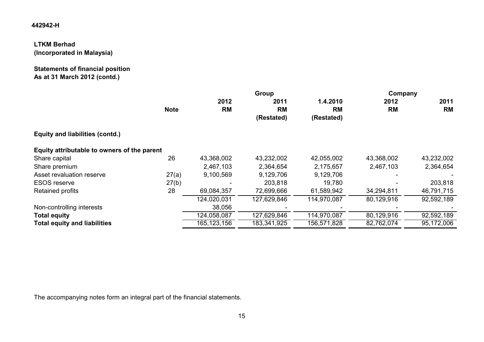## **LTKM Berhad (Incorporated in Malaysia)**

## **Statements of financial position As at 31 March 2012 (contd.)**

|                                             |             |               | Group       | Company     |            |            |  |
|---------------------------------------------|-------------|---------------|-------------|-------------|------------|------------|--|
|                                             |             | 2012          | 2011        | 1.4.2010    | 2012       | 2011       |  |
|                                             | <b>Note</b> | <b>RM</b>     | <b>RM</b>   | <b>RM</b>   | <b>RM</b>  | <b>RM</b>  |  |
|                                             |             |               | (Restated)  | (Restated)  |            |            |  |
| <b>Equity and liabilities (contd.)</b>      |             |               |             |             |            |            |  |
| Equity attributable to owners of the parent |             |               |             |             |            |            |  |
| Share capital                               | 26          | 43,368,002    | 43,232,002  | 42,055,002  | 43,368,002 | 43,232,002 |  |
| Share premium                               |             | 2,467,103     | 2,364,654   | 2,175,657   | 2,467,103  | 2,364,654  |  |
| Asset revaluation reserve                   | 27(a)       | 9,100,569     | 9,129,706   | 9,129,706   |            |            |  |
| <b>ESOS</b> reserve                         | 27(b)       |               | 203,818     | 19,780      |            | 203,818    |  |
| Retained profits                            | 28          | 69,084,357    | 72,699,666  | 61,589,942  | 34,294,811 | 46,791,715 |  |
|                                             |             | 124,020,031   | 127,629,846 | 114,970,087 | 80,129,916 | 92,592,189 |  |
| Non-controlling interests                   |             | 38,056        |             |             |            |            |  |
| <b>Total equity</b>                         |             | 124,058,087   | 127,629,846 | 114,970,087 | 80,129,916 | 92,592,189 |  |
| <b>Total equity and liabilities</b>         |             | 165, 123, 156 | 183,341,925 | 156,571,828 | 82,762,074 | 95,172,006 |  |

The accompanying notes form an integral part of the financial statements.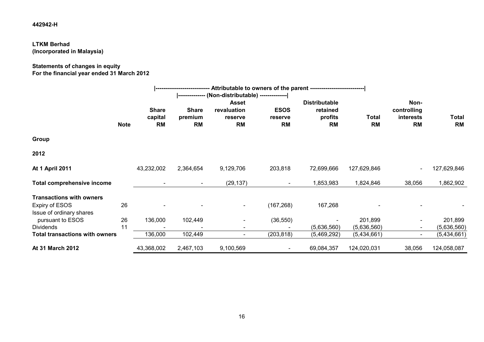#### **LTKM Berhad (Incorporated in Malaysia)**

**Statements of changes in equity For the financial year ended 31 March 2012**

|                                       |             |              |                | --------------------------- Attributable to owners of the parent --------------------------- |                |                      |             |                          |             |
|---------------------------------------|-------------|--------------|----------------|----------------------------------------------------------------------------------------------|----------------|----------------------|-------------|--------------------------|-------------|
|                                       |             |              |                | -------------- (Non-distributable) --------------                                            |                |                      |             |                          |             |
|                                       |             |              |                | <b>Asset</b>                                                                                 |                | <b>Distributable</b> |             | Non-                     |             |
|                                       |             | <b>Share</b> | <b>Share</b>   | revaluation                                                                                  | <b>ESOS</b>    | retained             |             | controlling              |             |
|                                       |             | capital      | premium        | reserve                                                                                      | reserve        | profits              | Total       | interests                | Total       |
|                                       | <b>Note</b> | <b>RM</b>    | <b>RM</b>      | <b>RM</b>                                                                                    | <b>RM</b>      | <b>RM</b>            | <b>RM</b>   | <b>RM</b>                | <b>RM</b>   |
| Group                                 |             |              |                |                                                                                              |                |                      |             |                          |             |
| 2012                                  |             |              |                |                                                                                              |                |                      |             |                          |             |
| <b>At 1 April 2011</b>                |             | 43,232,002   | 2,364,654      | 9,129,706                                                                                    | 203,818        | 72,699,666           | 127,629,846 | $\sim$                   | 127,629,846 |
| <b>Total comprehensive income</b>     |             |              | $\blacksquare$ | (29, 137)                                                                                    | $\blacksquare$ | 1,853,983            | 1,824,846   | 38,056                   | 1,862,902   |
| <b>Transactions with owners</b>       |             |              |                |                                                                                              |                |                      |             |                          |             |
| Expiry of ESOS                        | 26          |              |                | $\overline{\phantom{a}}$                                                                     | (167, 268)     | 167,268              |             |                          |             |
| Issue of ordinary shares              |             |              |                |                                                                                              |                |                      |             |                          |             |
| pursuant to ESOS                      | 26          | 136,000      | 102,449        |                                                                                              | (36, 550)      |                      | 201,899     |                          | 201,899     |
| <b>Dividends</b>                      | 11          |              |                | $\qquad \qquad \blacksquare$                                                                 |                | (5,636,560)          | (5,636,560) | $\overline{\phantom{0}}$ | (5,636,560) |
| <b>Total transactions with owners</b> |             | 136,000      | 102,449        | $\blacksquare$                                                                               | (203, 818)     | (5,469,292)          | (5,434,661) | $\blacksquare$           | (5,434,661) |
| At 31 March 2012                      |             | 43,368,002   | 2,467,103      | 9,100,569                                                                                    | $\sim$         | 69,084,357           | 124,020,031 | 38,056                   | 124,058,087 |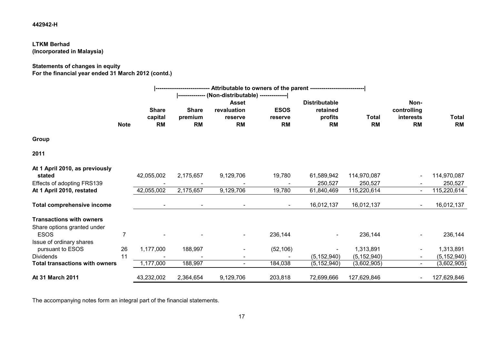#### **LTKM Berhad (Incorporated in Malaysia)**

#### **Statements of changes in equity For the financial year ended 31 March 2012 (contd.)**

|                                       |             |              |              | ---------------------------- Attributable to owners of the parent ----------------------------- |                |                      |               |                                            |                              |
|---------------------------------------|-------------|--------------|--------------|-------------------------------------------------------------------------------------------------|----------------|----------------------|---------------|--------------------------------------------|------------------------------|
|                                       |             |              |              | -------------- (Non-distributable) --------------                                               |                |                      |               |                                            |                              |
|                                       |             |              |              | <b>Asset</b>                                                                                    |                | <b>Distributable</b> |               | Non-                                       |                              |
|                                       |             | <b>Share</b> | <b>Share</b> | revaluation                                                                                     | <b>ESOS</b>    | retained             |               | controlling                                |                              |
|                                       |             | capital      | premium      | reserve                                                                                         | reserve        | profits              | <b>Total</b>  | interests                                  | Total                        |
|                                       | <b>Note</b> | <b>RM</b>    | <b>RM</b>    | <b>RM</b>                                                                                       | <b>RM</b>      | <b>RM</b>            | <b>RM</b>     | <b>RM</b>                                  | <b>RM</b>                    |
| Group                                 |             |              |              |                                                                                                 |                |                      |               |                                            |                              |
| 2011                                  |             |              |              |                                                                                                 |                |                      |               |                                            |                              |
| At 1 April 2010, as previously        |             |              |              |                                                                                                 |                |                      |               |                                            |                              |
| stated                                |             | 42,055,002   | 2,175,657    | 9,129,706                                                                                       | 19,780         | 61,589,942           | 114,970,087   |                                            | 114,970,087                  |
| Effects of adopting FRS139            |             |              |              |                                                                                                 |                | 250,527              | 250,527       |                                            | 250,527                      |
| At 1 April 2010, restated             |             | 42,055,002   | 2,175,657    | 9,129,706                                                                                       | 19,780         | 61,840,469           | 115,220,614   |                                            | 115,220,614                  |
|                                       |             |              |              |                                                                                                 |                |                      |               |                                            |                              |
| <b>Total comprehensive income</b>     |             |              |              | $\overline{\phantom{a}}$                                                                        | $\blacksquare$ | 16,012,137           | 16,012,137    |                                            | 16,012,137                   |
| <b>Transactions with owners</b>       |             |              |              |                                                                                                 |                |                      |               |                                            |                              |
| Share options granted under           |             |              |              |                                                                                                 |                |                      |               |                                            |                              |
| <b>ESOS</b>                           |             |              |              |                                                                                                 | 236,144        |                      | 236,144       |                                            | 236,144                      |
| Issue of ordinary shares              |             |              |              |                                                                                                 |                |                      |               |                                            |                              |
| pursuant to ESOS                      | 26          | 1,177,000    | 188,997      | $\overline{\phantom{a}}$                                                                        | (52, 106)      |                      | 1,313,891     |                                            | 1,313,891                    |
| <b>Dividends</b>                      | 11          |              |              |                                                                                                 |                | (5, 152, 940)        | (5, 152, 940) |                                            |                              |
| <b>Total transactions with owners</b> |             | 1,177,000    | 188,997      | $\qquad \qquad \blacksquare$                                                                    | 184,038        | (5, 152, 940)        |               | $\blacksquare$<br>$\overline{\phantom{a}}$ | (5, 152, 940)<br>(3,602,905) |
|                                       |             |              |              | $\blacksquare$                                                                                  |                |                      | (3,602,905)   |                                            |                              |
| <b>At 31 March 2011</b>               |             | 43,232,002   | 2,364,654    | 9,129,706                                                                                       | 203,818        | 72,699,666           | 127,629,846   | $\overline{\phantom{a}}$                   | 127,629,846                  |

The accompanying notes form an integral part of the financial statements.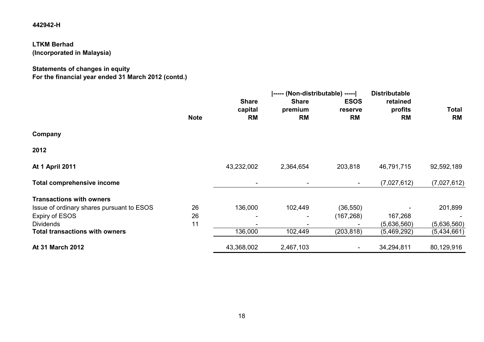## **LTKM Berhad**

**(Incorporated in Malaysia)**

## **Statements of changes in equity For the financial year ended 31 March 2012 (contd.)**

|                                           |             |              | ----- (Non-distributable) ----- |             | <b>Distributable</b> |             |
|-------------------------------------------|-------------|--------------|---------------------------------|-------------|----------------------|-------------|
|                                           |             | <b>Share</b> | <b>Share</b>                    | <b>ESOS</b> | retained             |             |
|                                           |             | capital      | premium                         | reserve     | profits              | Total       |
|                                           | <b>Note</b> | <b>RM</b>    | <b>RM</b>                       | <b>RM</b>   | <b>RM</b>            | <b>RM</b>   |
| Company                                   |             |              |                                 |             |                      |             |
| 2012                                      |             |              |                                 |             |                      |             |
| <b>At 1 April 2011</b>                    |             | 43,232,002   | 2,364,654                       | 203,818     | 46,791,715           | 92,592,189  |
| <b>Total comprehensive income</b>         |             |              |                                 | $\sim$      | (7,027,612)          | (7,027,612) |
| <b>Transactions with owners</b>           |             |              |                                 |             |                      |             |
| Issue of ordinary shares pursuant to ESOS | 26          | 136,000      | 102,449                         | (36, 550)   |                      | 201,899     |
| Expiry of ESOS                            | 26          |              |                                 | (167, 268)  | 167,268              |             |
| <b>Dividends</b>                          | 11          |              |                                 |             | (5,636,560)          | (5,636,560) |
| <b>Total transactions with owners</b>     |             | 136,000      | 102,449                         | (203, 818)  | (5,469,292)          | (5,434,661) |
| At 31 March 2012                          |             | 43,368,002   | 2,467,103                       | $\sim$      | 34,294,811           | 80,129,916  |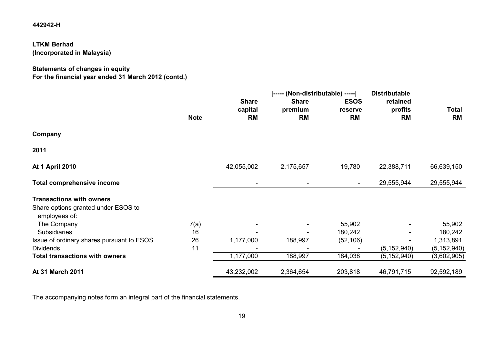# **LTKM Berhad**

**(Incorporated in Malaysia)**

# **Statements of changes in equity**

**For the financial year ended 31 March 2012 (contd.)**

|                                                      |             |              | ----- (Non-distributable) ----- |                          | <b>Distributable</b> |               |  |
|------------------------------------------------------|-------------|--------------|---------------------------------|--------------------------|----------------------|---------------|--|
|                                                      |             | <b>Share</b> | <b>Share</b>                    | <b>ESOS</b>              | retained             |               |  |
|                                                      |             | capital      | premium                         | reserve                  | profits              | Total         |  |
|                                                      | <b>Note</b> | <b>RM</b>    | <b>RM</b>                       | <b>RM</b>                | <b>RM</b>            | <b>RM</b>     |  |
| Company                                              |             |              |                                 |                          |                      |               |  |
| 2011                                                 |             |              |                                 |                          |                      |               |  |
| <b>At 1 April 2010</b>                               |             | 42,055,002   | 2,175,657                       | 19,780                   | 22,388,711           | 66,639,150    |  |
| <b>Total comprehensive income</b>                    |             |              |                                 | $\overline{\phantom{a}}$ | 29,555,944           | 29,555,944    |  |
| <b>Transactions with owners</b>                      |             |              |                                 |                          |                      |               |  |
| Share options granted under ESOS to<br>employees of: |             |              |                                 |                          |                      |               |  |
| The Company                                          | 7(a)        |              |                                 | 55,902                   |                      | 55,902        |  |
| <b>Subsidiaries</b>                                  | 16          |              |                                 | 180,242                  |                      | 180,242       |  |
| Issue of ordinary shares pursuant to ESOS            | 26          | 1,177,000    | 188,997                         | (52, 106)                |                      | 1,313,891     |  |
| <b>Dividends</b>                                     | 11          |              |                                 |                          | (5, 152, 940)        | (5, 152, 940) |  |
| <b>Total transactions with owners</b>                |             | 1,177,000    | 188,997                         | 184,038                  | (5, 152, 940)        | (3,602,905)   |  |
| At 31 March 2011                                     |             | 43,232,002   | 2,364,654                       | 203,818                  | 46,791,715           | 92,592,189    |  |

The accompanying notes form an integral part of the financial statements.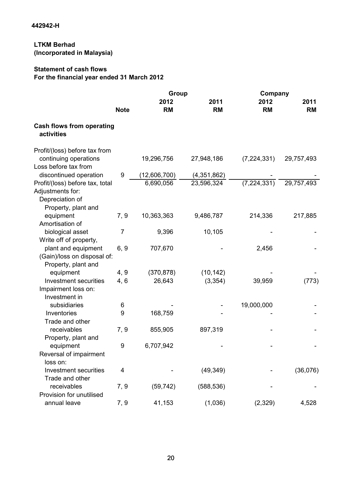## **Statement of cash flows For the financial year ended 31 March 2012**

|                                                        | <b>Group</b> |                   |                   | Company           |                   |  |
|--------------------------------------------------------|--------------|-------------------|-------------------|-------------------|-------------------|--|
|                                                        | <b>Note</b>  | 2012<br><b>RM</b> | 2011<br><b>RM</b> | 2012<br><b>RM</b> | 2011<br><b>RM</b> |  |
| <b>Cash flows from operating</b><br>activities         |              |                   |                   |                   |                   |  |
| Profit/(loss) before tax from<br>continuing operations |              | 19,296,756        | 27,948,186        | (7, 224, 331)     | 29,757,493        |  |
| Loss before tax from                                   |              |                   |                   |                   |                   |  |
| discontinued operation                                 | 9            | (12,606,700)      | (4,351,862)       |                   |                   |  |
| Profit/(loss) before tax, total<br>Adjustments for:    |              | 6,690,056         | 23,596,324        | (7, 224, 331)     | 29,757,493        |  |
| Depreciation of<br>Property, plant and                 |              |                   |                   |                   |                   |  |
| equipment                                              | 7, 9         | 10,363,363        | 9,486,787         | 214,336           | 217,885           |  |
| Amortisation of                                        |              |                   |                   |                   |                   |  |
| biological asset                                       | 7            | 9,396             | 10,105            |                   |                   |  |
| Write off of property,                                 |              |                   |                   |                   |                   |  |
| plant and equipment                                    | 6, 9         | 707,670           |                   | 2,456             |                   |  |
| (Gain)/loss on disposal of:                            |              |                   |                   |                   |                   |  |
| Property, plant and                                    |              |                   |                   |                   |                   |  |
| equipment                                              | 4, 9         | (370, 878)        | (10, 142)         |                   |                   |  |
| Investment securities                                  | 4, 6         | 26,643            | (3, 354)          | 39,959            | (773)             |  |
| Impairment loss on:<br>Investment in                   |              |                   |                   |                   |                   |  |
| subsidiaries                                           | 6            |                   |                   | 19,000,000        |                   |  |
| Inventories                                            | 9            | 168,759           |                   |                   |                   |  |
| Trade and other                                        |              |                   |                   |                   |                   |  |
| receivables                                            | 7, 9         | 855,905           | 897,319           |                   |                   |  |
| Property, plant and                                    |              |                   |                   |                   |                   |  |
| equipment                                              | 9            | 6,707,942         |                   |                   |                   |  |
| Reversal of impairment                                 |              |                   |                   |                   |                   |  |
| loss on:                                               |              |                   |                   |                   |                   |  |
| Investment securities                                  | 4            |                   | (49, 349)         |                   | (36,076)          |  |
| Trade and other                                        |              |                   |                   |                   |                   |  |
| receivables                                            | 7, 9         | (59, 742)         | (588, 536)        |                   |                   |  |
| Provision for unutilised                               |              |                   |                   |                   |                   |  |
| annual leave                                           | 7, 9         | 41,153            | (1,036)           | (2,329)           | 4,528             |  |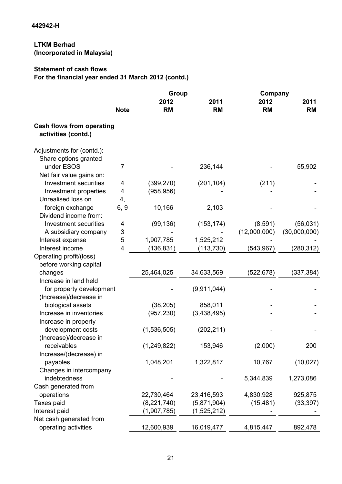## **Statement of cash flows**

## **For the financial year ended 31 March 2012 (contd.)**

|                                                         |                | <b>Group</b>      |                   | Company           |                   |  |
|---------------------------------------------------------|----------------|-------------------|-------------------|-------------------|-------------------|--|
|                                                         | <b>Note</b>    | 2012<br><b>RM</b> | 2011<br><b>RM</b> | 2012<br><b>RM</b> | 2011<br><b>RM</b> |  |
|                                                         |                |                   |                   |                   |                   |  |
| <b>Cash flows from operating</b><br>activities (contd.) |                |                   |                   |                   |                   |  |
| Adjustments for (contd.):                               |                |                   |                   |                   |                   |  |
| Share options granted                                   |                |                   |                   |                   |                   |  |
| under ESOS                                              | $\overline{7}$ |                   | 236,144           |                   | 55,902            |  |
| Net fair value gains on:                                |                |                   |                   |                   |                   |  |
| Investment securities                                   | 4              | (399, 270)        | (201, 104)        | (211)             |                   |  |
| Investment properties                                   | 4              | (958, 956)        |                   |                   |                   |  |
| Unrealised loss on                                      | 4,             |                   |                   |                   |                   |  |
| foreign exchange                                        | 6, 9           | 10,166            | 2,103             |                   |                   |  |
| Dividend income from:                                   |                |                   |                   |                   |                   |  |
| Investment securities                                   | 4              | (99, 136)         | (153, 174)        | (8,591)           | (56,031)          |  |
| A subsidiary company                                    | 3              |                   |                   | (12,000,000)      | (30,000,000)      |  |
| Interest expense                                        | 5              | 1,907,785         | 1,525,212         |                   |                   |  |
| Interest income                                         | 4              | (136, 831)        | (113, 730)        | (543, 967)        | (280, 312)        |  |
| Operating profit/(loss)                                 |                |                   |                   |                   |                   |  |
| before working capital                                  |                |                   |                   |                   |                   |  |
| changes                                                 |                | 25,464,025        | 34,633,569        | (522, 678)        | (337, 384)        |  |
| Increase in land held                                   |                |                   |                   |                   |                   |  |
| for property development                                |                |                   | (9,911,044)       |                   |                   |  |
| (Increase)/decrease in                                  |                |                   |                   |                   |                   |  |
| biological assets                                       |                | (38, 205)         | 858,011           |                   |                   |  |
| Increase in inventories                                 |                | (957, 230)        | (3,438,495)       |                   |                   |  |
| Increase in property                                    |                |                   |                   |                   |                   |  |
| development costs                                       |                | (1,536,505)       | (202, 211)        |                   |                   |  |
| (Increase)/decrease in                                  |                |                   |                   |                   |                   |  |
| receivables                                             |                | (1, 249, 822)     | 153,946           | (2,000)           | 200               |  |
| Increase/(decrease) in                                  |                |                   |                   |                   |                   |  |
| payables                                                |                | 1,048,201         | 1,322,817         | 10,767            | (10, 027)         |  |
| Changes in intercompany                                 |                |                   |                   |                   |                   |  |
| indebtedness                                            |                |                   |                   | 5,344,839         | 1,273,086         |  |
| Cash generated from                                     |                |                   |                   |                   |                   |  |
| operations                                              |                | 22,730,464        | 23,416,593        | 4,830,928         | 925,875           |  |
| Taxes paid                                              |                | (8,221,740)       | (5,871,904)       | (15, 481)         | (33, 397)         |  |
| Interest paid                                           |                | (1,907,785)       | (1,525,212)       |                   |                   |  |
| Net cash generated from                                 |                |                   |                   |                   |                   |  |
| operating activities                                    |                | 12,600,939        | 16,019,477        | 4,815,447         | 892,478           |  |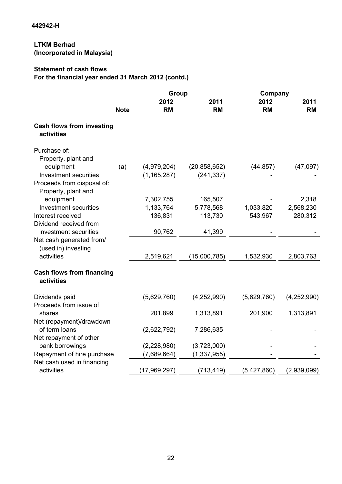## **Statement of cash flows**

## **For the financial year ended 31 March 2012 (contd.)**

|                                                 |             | <b>Group</b>  | Company        |             |             |
|-------------------------------------------------|-------------|---------------|----------------|-------------|-------------|
|                                                 |             | 2012          | 2011           | 2012        | 2011        |
|                                                 | <b>Note</b> | <b>RM</b>     | <b>RM</b>      | <b>RM</b>   | <b>RM</b>   |
| <b>Cash flows from investing</b><br>activities  |             |               |                |             |             |
| Purchase of:                                    |             |               |                |             |             |
| Property, plant and                             |             |               |                |             |             |
| equipment                                       | (a)         | (4,979,204)   | (20, 858, 652) | (44, 857)   | (47,097)    |
| <b>Investment securities</b>                    |             | (1, 165, 287) | (241, 337)     |             |             |
| Proceeds from disposal of:                      |             |               |                |             |             |
| Property, plant and                             |             |               |                |             |             |
| equipment                                       |             | 7,302,755     | 165,507        |             | 2,318       |
| <b>Investment securities</b>                    |             | 1,133,764     | 5,778,568      | 1,033,820   | 2,568,230   |
| Interest received                               |             | 136,831       | 113,730        | 543,967     | 280,312     |
| Dividend received from                          |             |               |                |             |             |
| investment securities                           |             | 90,762        | 41,399         |             |             |
| Net cash generated from/<br>(used in) investing |             |               |                |             |             |
| activities                                      |             | 2,519,621     | (15,000,785)   | 1,532,930   | 2,803,763   |
| <b>Cash flows from financing</b><br>activities  |             |               |                |             |             |
| Dividends paid                                  |             | (5,629,760)   | (4,252,990)    | (5,629,760) | (4,252,990) |
| Proceeds from issue of                          |             |               |                |             |             |
| shares                                          |             | 201,899       | 1,313,891      | 201,900     | 1,313,891   |
| Net (repayment)/drawdown                        |             |               |                |             |             |
| of term loans                                   |             | (2,622,792)   | 7,286,635      |             |             |
| Net repayment of other                          |             |               |                |             |             |
| bank borrowings                                 |             | (2,228,980)   | (3,723,000)    |             |             |
| Repayment of hire purchase                      |             | (7,689,664)   | (1, 337, 955)  |             |             |
| Net cash used in financing                      |             |               |                |             |             |
| activities                                      |             | (17,969,297)  | (713, 419)     | (5,427,860) | (2,939,099) |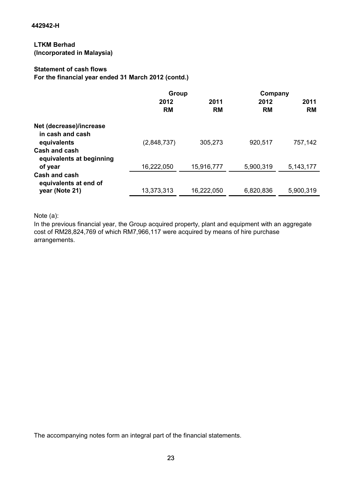## **Statement of cash flows**

**For the financial year ended 31 March 2012 (contd.)**

|                                             | Group       |            | Company   |             |
|---------------------------------------------|-------------|------------|-----------|-------------|
|                                             | 2012        | 2011       | 2012      | 2011        |
|                                             | <b>RM</b>   | <b>RM</b>  | <b>RM</b> | <b>RM</b>   |
| Net (decrease)/increase<br>in cash and cash |             |            |           |             |
| equivalents                                 | (2,848,737) | 305,273    | 920,517   | 757,142     |
| Cash and cash<br>equivalents at beginning   |             |            |           |             |
| of year                                     | 16,222,050  | 15,916,777 | 5,900,319 | 5, 143, 177 |
| Cash and cash<br>equivalents at end of      |             |            |           |             |
| year (Note 21)                              | 13,373,313  | 16,222,050 | 6,820,836 | 5,900,319   |

Note (a):

In the previous financial year, the Group acquired property, plant and equipment with an aggregate cost of RM28,824,769 of which RM7,966,117 were acquired by means of hire purchase arrangements.

The accompanying notes form an integral part of the financial statements.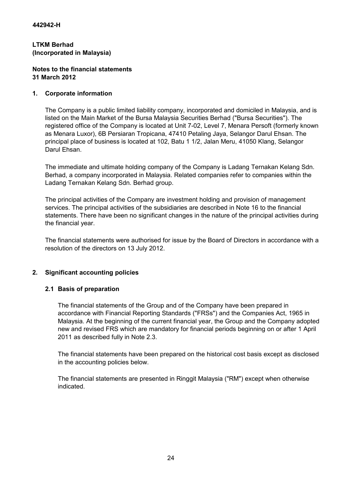## **Notes to the financial statements 31 March 2012**

#### **1. Corporate information**

The Company is a public limited liability company, incorporated and domiciled in Malaysia, and is listed on the Main Market of the Bursa Malaysia Securities Berhad ("Bursa Securities"). The registered office of the Company is located at Unit 7-02, Level 7, Menara Persoft (formerly known as Menara Luxor), 6B Persiaran Tropicana, 47410 Petaling Jaya, Selangor Darul Ehsan. The principal place of business is located at 102, Batu 1 1/2, Jalan Meru, 41050 Klang, Selangor Darul Ehsan.

The immediate and ultimate holding company of the Company is Ladang Ternakan Kelang Sdn. Berhad, a company incorporated in Malaysia. Related companies refer to companies within the Ladang Ternakan Kelang Sdn. Berhad group.

The principal activities of the Company are investment holding and provision of management services. The principal activities of the subsidiaries are described in Note 16 to the financial statements. There have been no significant changes in the nature of the principal activities during the financial year.

The financial statements were authorised for issue by the Board of Directors in accordance with a resolution of the directors on 13 July 2012.

## **2. Significant accounting policies**

#### **2.1 Basis of preparation**

The financial statements of the Group and of the Company have been prepared in accordance with Financial Reporting Standards ("FRSs") and the Companies Act, 1965 in Malaysia. At the beginning of the current financial year, the Group and the Company adopted new and revised FRS which are mandatory for financial periods beginning on or after 1 April 2011 as described fully in Note 2.3.

The financial statements have been prepared on the historical cost basis except as disclosed in the accounting policies below.

The financial statements are presented in Ringgit Malaysia ("RM") except when otherwise indicated.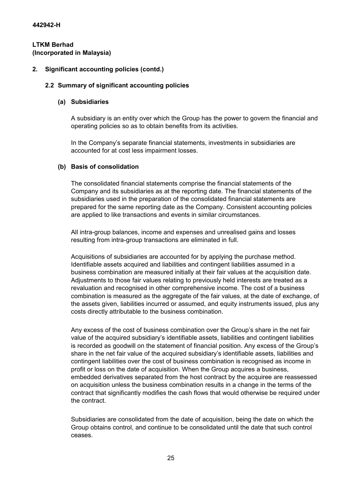#### **2. Significant accounting policies (contd.)**

#### **2.2 Summary of significant accounting policies**

#### **(a) Subsidiaries**

A subsidiary is an entity over which the Group has the power to govern the financial and operating policies so as to obtain benefits from its activities.

In the Company's separate financial statements, investments in subsidiaries are accounted for at cost less impairment losses.

#### **(b) Basis of consolidation**

The consolidated financial statements comprise the financial statements of the Company and its subsidiaries as at the reporting date. The financial statements of the subsidiaries used in the preparation of the consolidated financial statements are prepared for the same reporting date as the Company. Consistent accounting policies are applied to like transactions and events in similar circumstances.

All intra-group balances, income and expenses and unrealised gains and losses resulting from intra-group transactions are eliminated in full.

Acquisitions of subsidiaries are accounted for by applying the purchase method. Identifiable assets acquired and liabilities and contingent liabilities assumed in a business combination are measured initially at their fair values at the acquisition date. Adjustments to those fair values relating to previously held interests are treated as a revaluation and recognised in other comprehensive income. The cost of a business combination is measured as the aggregate of the fair values, at the date of exchange, of the assets given, liabilities incurred or assumed, and equity instruments issued, plus any costs directly attributable to the business combination.

Any excess of the cost of business combination over the Group's share in the net fair value of the acquired subsidiary's identifiable assets, liabilities and contingent liabilities is recorded as goodwill on the statement of financial position. Any excess of the Group's share in the net fair value of the acquired subsidiary's identifiable assets, liabilities and contingent liabilities over the cost of business combination is recognised as income in profit or loss on the date of acquisition. When the Group acquires a business, embedded derivatives separated from the host contract by the acquiree are reassessed on acquisition unless the business combination results in a change in the terms of the contract that significantly modifies the cash flows that would otherwise be required under the contract.

Subsidiaries are consolidated from the date of acquisition, being the date on which the Group obtains control, and continue to be consolidated until the date that such control ceases.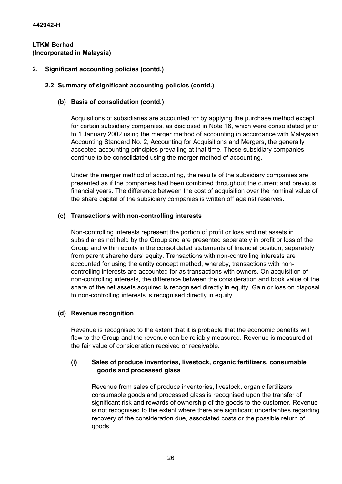## **2. Significant accounting policies (contd.)**

#### **2.2 Summary of significant accounting policies (contd.)**

#### **(b) Basis of consolidation (contd.)**

Acquisitions of subsidiaries are accounted for by applying the purchase method except for certain subsidiary companies, as disclosed in Note 16, which were consolidated prior to 1 January 2002 using the merger method of accounting in accordance with Malaysian Accounting Standard No. 2, Accounting for Acquisitions and Mergers, the generally accepted accounting principles prevailing at that time. These subsidiary companies continue to be consolidated using the merger method of accounting.

Under the merger method of accounting, the results of the subsidiary companies are presented as if the companies had been combined throughout the current and previous financial years. The difference between the cost of acquisition over the nominal value of the share capital of the subsidiary companies is written off against reserves.

#### **(c) Transactions with non-controlling interests**

Non-controlling interests represent the portion of profit or loss and net assets in subsidiaries not held by the Group and are presented separately in profit or loss of the Group and within equity in the consolidated statements of financial position, separately from parent shareholders' equity. Transactions with non-controlling interests are accounted for using the entity concept method, whereby, transactions with noncontrolling interests are accounted for as transactions with owners. On acquisition of non-controlling interests, the difference between the consideration and book value of the share of the net assets acquired is recognised directly in equity. Gain or loss on disposal to non-controlling interests is recognised directly in equity.

#### **(d) Revenue recognition**

Revenue is recognised to the extent that it is probable that the economic benefits will flow to the Group and the revenue can be reliably measured. Revenue is measured at the fair value of consideration received or receivable.

## **(i) Sales of produce inventories, livestock, organic fertilizers, consumable goods and processed glass**

Revenue from sales of produce inventories, livestock, organic fertilizers, consumable goods and processed glass is recognised upon the transfer of significant risk and rewards of ownership of the goods to the customer. Revenue is not recognised to the extent where there are significant uncertainties regarding recovery of the consideration due, associated costs or the possible return of goods.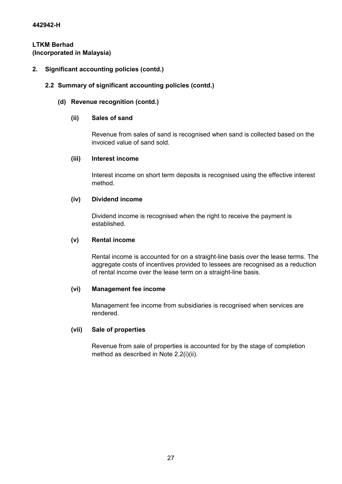## **2. Significant accounting policies (contd.)**

#### **2.2 Summary of significant accounting policies (contd.)**

#### **(d) Revenue recognition (contd.)**

#### **(ii) Sales of sand**

Revenue from sales of sand is recognised when sand is collected based on the invoiced value of sand sold.

#### **(iii) Interest income**

Interest income on short term deposits is recognised using the effective interest method.

#### **(iv) Dividend income**

Dividend income is recognised when the right to receive the payment is established.

#### **(v) Rental income**

Rental income is accounted for on a straight-line basis over the lease terms. The aggregate costs of incentives provided to lessees are recognised as a reduction of rental income over the lease term on a straight-line basis.

#### **(vi) Management fee income**

Management fee income from subsidiaries is recognised when services are rendered.

#### **(vii) Sale of properties**

Revenue from sale of properties is accounted for by the stage of completion method as described in Note 2.2(i)(ii).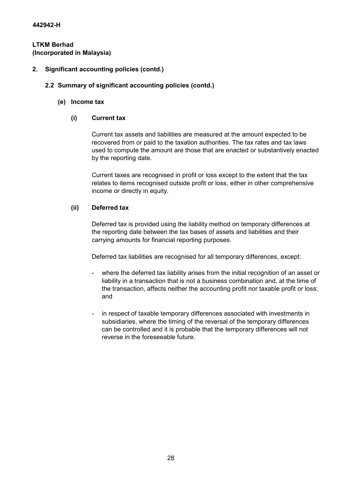#### **2. Significant accounting policies (contd.)**

#### **2.2 Summary of significant accounting policies (contd.)**

#### **(e) Income tax**

#### **(i) Current tax**

Current tax assets and liabilities are measured at the amount expected to be recovered from or paid to the taxation authorities. The tax rates and tax laws used to compute the amount are those that are enacted or substantively enacted by the reporting date.

Current taxes are recognised in profit or loss except to the extent that the tax relates to items recognised outside profit or loss, either in other comprehensive income or directly in equity.

#### **(ii) Deferred tax**

Deferred tax is provided using the liability method on temporary differences at the reporting date between the tax bases of assets and liabilities and their carrying amounts for financial reporting purposes.

Deferred tax liabilities are recognised for all temporary differences, except:

- where the deferred tax liability arises from the initial recognition of an asset or liability in a transaction that is not a business combination and, at the time of the transaction, affects neither the accounting profit nor taxable profit or loss; and
- in respect of taxable temporary differences associated with investments in subsidiaries, where the timing of the reversal of the temporary differences can be controlled and it is probable that the temporary differences will not reverse in the foreseeable future.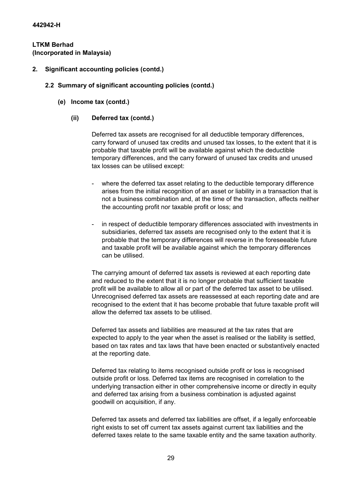**2. Significant accounting policies (contd.)**

#### **2.2 Summary of significant accounting policies (contd.)**

**(e) Income tax (contd.)**

#### **(ii) Deferred tax (contd.)**

Deferred tax assets are recognised for all deductible temporary differences, carry forward of unused tax credits and unused tax losses, to the extent that it is probable that taxable profit will be available against which the deductible temporary differences, and the carry forward of unused tax credits and unused tax losses can be utilised except:

- where the deferred tax asset relating to the deductible temporary difference arises from the initial recognition of an asset or liability in a transaction that is not a business combination and, at the time of the transaction, affects neither the accounting profit nor taxable profit or loss; and
- in respect of deductible temporary differences associated with investments in subsidiaries, deferred tax assets are recognised only to the extent that it is probable that the temporary differences will reverse in the foreseeable future and taxable profit will be available against which the temporary differences can be utilised.

The carrying amount of deferred tax assets is reviewed at each reporting date and reduced to the extent that it is no longer probable that sufficient taxable profit will be available to allow all or part of the deferred tax asset to be utilised. Unrecognised deferred tax assets are reassessed at each reporting date and are recognised to the extent that it has become probable that future taxable profit will allow the deferred tax assets to be utilised.

Deferred tax assets and liabilities are measured at the tax rates that are expected to apply to the year when the asset is realised or the liability is settled, based on tax rates and tax laws that have been enacted or substantively enacted at the reporting date.

Deferred tax relating to items recognised outside profit or loss is recognised outside profit or loss. Deferred tax items are recognised in correlation to the underlying transaction either in other comprehensive income or directly in equity and deferred tax arising from a business combination is adjusted against goodwill on acquisition, if any.

Deferred tax assets and deferred tax liabilities are offset, if a legally enforceable right exists to set off current tax assets against current tax liabilities and the deferred taxes relate to the same taxable entity and the same taxation authority.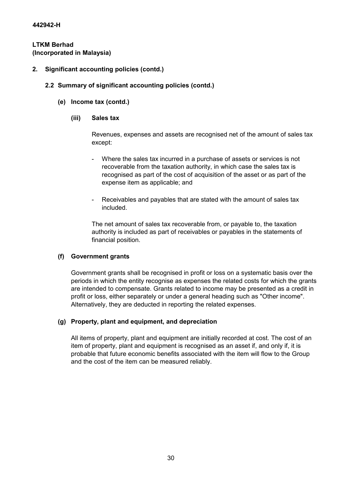#### **2. Significant accounting policies (contd.)**

#### **2.2 Summary of significant accounting policies (contd.)**

#### **(e) Income tax (contd.)**

#### **(iii) Sales tax**

Revenues, expenses and assets are recognised net of the amount of sales tax except:

- Where the sales tax incurred in a purchase of assets or services is not recoverable from the taxation authority, in which case the sales tax is recognised as part of the cost of acquisition of the asset or as part of the expense item as applicable; and
- Receivables and payables that are stated with the amount of sales tax included.

The net amount of sales tax recoverable from, or payable to, the taxation authority is included as part of receivables or payables in the statements of financial position.

#### **(f) Government grants**

Government grants shall be recognised in profit or loss on a systematic basis over the periods in which the entity recognise as expenses the related costs for which the grants are intended to compensate. Grants related to income may be presented as a credit in profit or loss, either separately or under a general heading such as "Other income". Alternatively, they are deducted in reporting the related expenses.

## **(g) Property, plant and equipment, and depreciation**

All items of property, plant and equipment are initially recorded at cost. The cost of an item of property, plant and equipment is recognised as an asset if, and only if, it is probable that future economic benefits associated with the item will flow to the Group and the cost of the item can be measured reliably.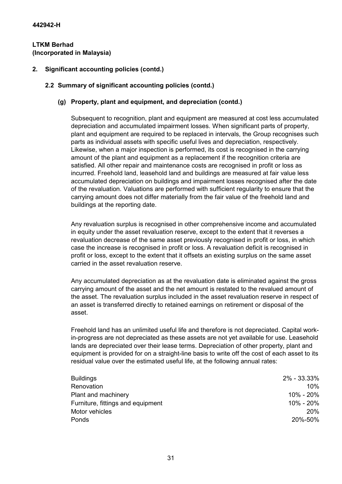## **2. Significant accounting policies (contd.)**

#### **2.2 Summary of significant accounting policies (contd.)**

#### **(g) Property, plant and equipment, and depreciation (contd.)**

Subsequent to recognition, plant and equipment are measured at cost less accumulated depreciation and accumulated impairment losses. When significant parts of property, plant and equipment are required to be replaced in intervals, the Group recognises such parts as individual assets with specific useful lives and depreciation, respectively. Likewise, when a major inspection is performed, its cost is recognised in the carrying amount of the plant and equipment as a replacement if the recognition criteria are satisfied. All other repair and maintenance costs are recognised in profit or loss as incurred. Freehold land, leasehold land and buildings are measured at fair value less accumulated depreciation on buildings and impairment losses recognised after the date of the revaluation. Valuations are performed with sufficient regularity to ensure that the carrying amount does not differ materially from the fair value of the freehold land and buildings at the reporting date.

Any revaluation surplus is recognised in other comprehensive income and accumulated in equity under the asset revaluation reserve, except to the extent that it reverses a revaluation decrease of the same asset previously recognised in profit or loss, in which case the increase is recognised in profit or loss. A revaluation deficit is recognised in profit or loss, except to the extent that it offsets an existing surplus on the same asset carried in the asset revaluation reserve.

Any accumulated depreciation as at the revaluation date is eliminated against the gross carrying amount of the asset and the net amount is restated to the revalued amount of the asset. The revaluation surplus included in the asset revaluation reserve in respect of an asset is transferred directly to retained earnings on retirement or disposal of the asset.

Freehold land has an unlimited useful life and therefore is not depreciated. Capital workin-progress are not depreciated as these assets are not yet available for use. Leasehold lands are depreciated over their lease terms. Depreciation of other property, plant and equipment is provided for on a straight-line basis to write off the cost of each asset to its residual value over the estimated useful life, at the following annual rates:

| <b>Buildings</b>                  | 2% - 33.33% |
|-----------------------------------|-------------|
| Renovation                        | 10%         |
| Plant and machinery               | 10% - 20%   |
| Furniture, fittings and equipment | 10% - 20%   |
| Motor vehicles                    | 20%         |
| Ponds                             | 20%-50%     |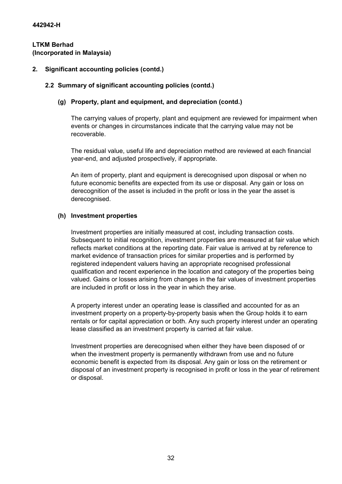## **2. Significant accounting policies (contd.)**

#### **2.2 Summary of significant accounting policies (contd.)**

#### **(g) Property, plant and equipment, and depreciation (contd.)**

The carrying values of property, plant and equipment are reviewed for impairment when events or changes in circumstances indicate that the carrying value may not be recoverable.

The residual value, useful life and depreciation method are reviewed at each financial year-end, and adjusted prospectively, if appropriate.

An item of property, plant and equipment is derecognised upon disposal or when no future economic benefits are expected from its use or disposal. Any gain or loss on derecognition of the asset is included in the profit or loss in the year the asset is derecognised.

#### **(h) Investment properties**

Investment properties are initially measured at cost, including transaction costs. Subsequent to initial recognition, investment properties are measured at fair value which reflects market conditions at the reporting date. Fair value is arrived at by reference to market evidence of transaction prices for similar properties and is performed by registered independent valuers having an appropriate recognised professional qualification and recent experience in the location and category of the properties being valued. Gains or losses arising from changes in the fair values of investment properties are included in profit or loss in the year in which they arise.

A property interest under an operating lease is classified and accounted for as an investment property on a property-by-property basis when the Group holds it to earn rentals or for capital appreciation or both. Any such property interest under an operating lease classified as an investment property is carried at fair value.

Investment properties are derecognised when either they have been disposed of or when the investment property is permanently withdrawn from use and no future economic benefit is expected from its disposal. Any gain or loss on the retirement or disposal of an investment property is recognised in profit or loss in the year of retirement or disposal.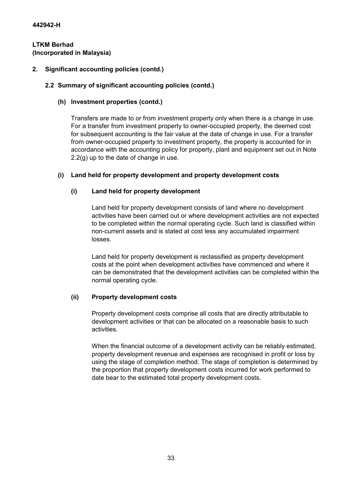## **2. Significant accounting policies (contd.)**

#### **2.2 Summary of significant accounting policies (contd.)**

#### **(h) Investment properties (contd.)**

Transfers are made to or from investment property only when there is a change in use. For a transfer from investment property to owner-occupied property, the deemed cost for subsequent accounting is the fair value at the date of change in use. For a transfer from owner-occupied property to investment property, the property is accounted for in accordance with the accounting policy for property, plant and equipment set out in Note 2.2(g) up to the date of change in use.

#### **(i) Land held for property development and property development costs**

#### **(i) Land held for property development**

Land held for property development consists of land where no development activities have been carried out or where development activities are not expected to be completed within the normal operating cycle. Such land is classified within non-current assets and is stated at cost less any accumulated impairment losses.

Land held for property development is reclassified as property development costs at the point when development activities have commenced and where it can be demonstrated that the development activities can be completed within the normal operating cycle.

#### **(ii) Property development costs**

Property development costs comprise all costs that are directly attributable to development activities or that can be allocated on a reasonable basis to such activities.

When the financial outcome of a development activity can be reliably estimated, property development revenue and expenses are recognised in profit or loss by using the stage of completion method. The stage of completion is determined by the proportion that property development costs incurred for work performed to date bear to the estimated total property development costs.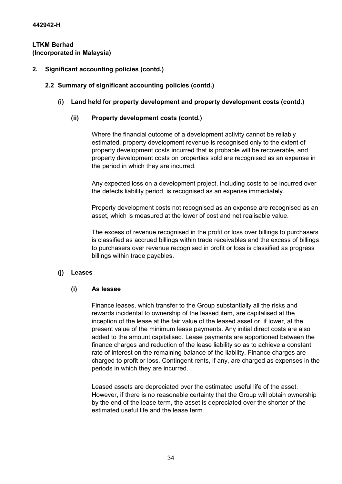## **2. Significant accounting policies (contd.)**

#### **2.2 Summary of significant accounting policies (contd.)**

#### **(i) Land held for property development and property development costs (contd.)**

#### **(ii) Property development costs (contd.)**

Where the financial outcome of a development activity cannot be reliably estimated, property development revenue is recognised only to the extent of property development costs incurred that is probable will be recoverable, and property development costs on properties sold are recognised as an expense in the period in which they are incurred.

Any expected loss on a development project, including costs to be incurred over the defects liability period, is recognised as an expense immediately.

Property development costs not recognised as an expense are recognised as an asset, which is measured at the lower of cost and net realisable value.

The excess of revenue recognised in the profit or loss over billings to purchasers is classified as accrued billings within trade receivables and the excess of billings to purchasers over revenue recognised in profit or loss is classified as progress billings within trade payables.

#### **(j) Leases**

#### **(i) As lessee**

Finance leases, which transfer to the Group substantially all the risks and rewards incidental to ownership of the leased item, are capitalised at the inception of the lease at the fair value of the leased asset or, if lower, at the present value of the minimum lease payments. Any initial direct costs are also added to the amount capitalised. Lease payments are apportioned between the finance charges and reduction of the lease liability so as to achieve a constant rate of interest on the remaining balance of the liability. Finance charges are charged to profit or loss. Contingent rents, if any, are charged as expenses in the periods in which they are incurred.

Leased assets are depreciated over the estimated useful life of the asset. However, if there is no reasonable certainty that the Group will obtain ownership by the end of the lease term, the asset is depreciated over the shorter of the estimated useful life and the lease term.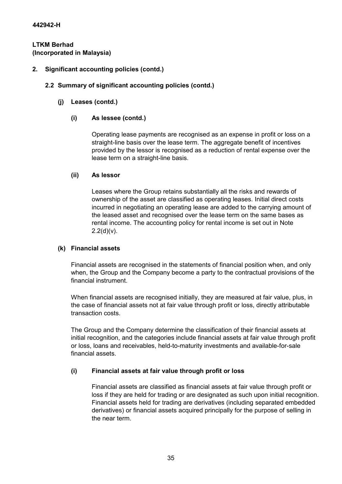## **2. Significant accounting policies (contd.)**

#### **2.2 Summary of significant accounting policies (contd.)**

#### **(j) Leases (contd.)**

#### **(i) As lessee (contd.)**

Operating lease payments are recognised as an expense in profit or loss on a straight-line basis over the lease term. The aggregate benefit of incentives provided by the lessor is recognised as a reduction of rental expense over the lease term on a straight-line basis.

#### **(ii) As lessor**

Leases where the Group retains substantially all the risks and rewards of ownership of the asset are classified as operating leases. Initial direct costs incurred in negotiating an operating lease are added to the carrying amount of the leased asset and recognised over the lease term on the same bases as rental income. The accounting policy for rental income is set out in Note  $2.2(d)(v)$ .

#### **(k) Financial assets**

Financial assets are recognised in the statements of financial position when, and only when, the Group and the Company become a party to the contractual provisions of the financial instrument.

When financial assets are recognised initially, they are measured at fair value, plus, in the case of financial assets not at fair value through profit or loss, directly attributable transaction costs.

The Group and the Company determine the classification of their financial assets at initial recognition, and the categories include financial assets at fair value through profit or loss, loans and receivables, held-to-maturity investments and available-for-sale financial assets.

#### **(i) Financial assets at fair value through profit or loss**

Financial assets are classified as financial assets at fair value through profit or loss if they are held for trading or are designated as such upon initial recognition. Financial assets held for trading are derivatives (including separated embedded derivatives) or financial assets acquired principally for the purpose of selling in the near term.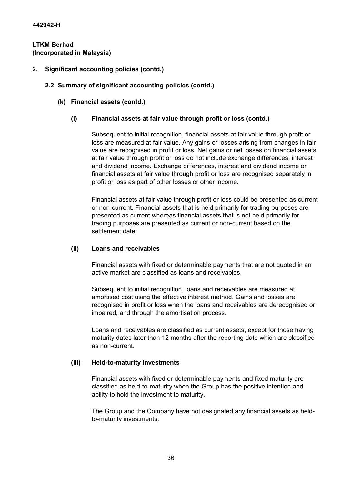## **2. Significant accounting policies (contd.)**

#### **2.2 Summary of significant accounting policies (contd.)**

#### **(k) Financial assets (contd.)**

#### **(i) Financial assets at fair value through profit or loss (contd.)**

Subsequent to initial recognition, financial assets at fair value through profit or loss are measured at fair value. Any gains or losses arising from changes in fair value are recognised in profit or loss. Net gains or net losses on financial assets at fair value through profit or loss do not include exchange differences, interest and dividend income. Exchange differences, interest and dividend income on financial assets at fair value through profit or loss are recognised separately in profit or loss as part of other losses or other income.

Financial assets at fair value through profit or loss could be presented as current or non-current. Financial assets that is held primarily for trading purposes are presented as current whereas financial assets that is not held primarily for trading purposes are presented as current or non-current based on the settlement date.

#### **(ii) Loans and receivables**

Financial assets with fixed or determinable payments that are not quoted in an active market are classified as loans and receivables.

Subsequent to initial recognition, loans and receivables are measured at amortised cost using the effective interest method. Gains and losses are recognised in profit or loss when the loans and receivables are derecognised or impaired, and through the amortisation process.

Loans and receivables are classified as current assets, except for those having maturity dates later than 12 months after the reporting date which are classified as non-current.

#### **(iii) Held-to-maturity investments**

Financial assets with fixed or determinable payments and fixed maturity are classified as held-to-maturity when the Group has the positive intention and ability to hold the investment to maturity.

The Group and the Company have not designated any financial assets as heldto-maturity investments.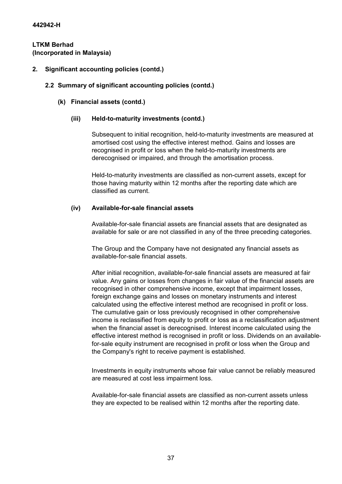### **2. Significant accounting policies (contd.)**

#### **2.2 Summary of significant accounting policies (contd.)**

#### **(k) Financial assets (contd.)**

#### **(iii) Held-to-maturity investments (contd.)**

Subsequent to initial recognition, held-to-maturity investments are measured at amortised cost using the effective interest method. Gains and losses are recognised in profit or loss when the held-to-maturity investments are derecognised or impaired, and through the amortisation process.

Held-to-maturity investments are classified as non-current assets, except for those having maturity within 12 months after the reporting date which are classified as current.

### **(iv) Available-for-sale financial assets**

Available-for-sale financial assets are financial assets that are designated as available for sale or are not classified in any of the three preceding categories.

The Group and the Company have not designated any financial assets as available-for-sale financial assets.

After initial recognition, available-for-sale financial assets are measured at fair value. Any gains or losses from changes in fair value of the financial assets are recognised in other comprehensive income, except that impairment losses, foreign exchange gains and losses on monetary instruments and interest calculated using the effective interest method are recognised in profit or loss. The cumulative gain or loss previously recognised in other comprehensive income is reclassified from equity to profit or loss as a reclassification adjustment when the financial asset is derecognised. Interest income calculated using the effective interest method is recognised in profit or loss. Dividends on an availablefor-sale equity instrument are recognised in profit or loss when the Group and the Company's right to receive payment is established.

Investments in equity instruments whose fair value cannot be reliably measured are measured at cost less impairment loss.

Available-for-sale financial assets are classified as non-current assets unless they are expected to be realised within 12 months after the reporting date.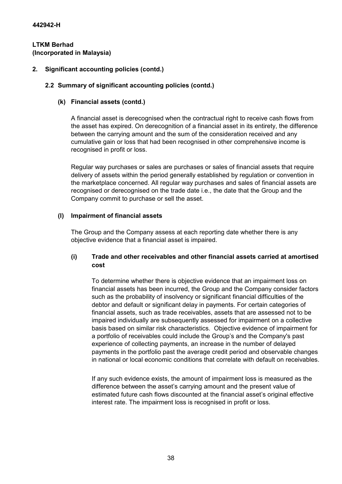## **2. Significant accounting policies (contd.)**

### **2.2 Summary of significant accounting policies (contd.)**

### **(k) Financial assets (contd.)**

A financial asset is derecognised when the contractual right to receive cash flows from the asset has expired. On derecognition of a financial asset in its entirety, the difference between the carrying amount and the sum of the consideration received and any cumulative gain or loss that had been recognised in other comprehensive income is recognised in profit or loss.

Regular way purchases or sales are purchases or sales of financial assets that require delivery of assets within the period generally established by regulation or convention in the marketplace concerned. All regular way purchases and sales of financial assets are recognised or derecognised on the trade date i.e., the date that the Group and the Company commit to purchase or sell the asset.

### **(l) Impairment of financial assets**

The Group and the Company assess at each reporting date whether there is any objective evidence that a financial asset is impaired.

#### **(i) Trade and other receivables and other financial assets carried at amortised cost**

To determine whether there is objective evidence that an impairment loss on financial assets has been incurred, the Group and the Company consider factors such as the probability of insolvency or significant financial difficulties of the debtor and default or significant delay in payments. For certain categories of financial assets, such as trade receivables, assets that are assessed not to be impaired individually are subsequently assessed for impairment on a collective basis based on similar risk characteristics. Objective evidence of impairment for a portfolio of receivables could include the Group's and the Company's past experience of collecting payments, an increase in the number of delayed payments in the portfolio past the average credit period and observable changes in national or local economic conditions that correlate with default on receivables.

If any such evidence exists, the amount of impairment loss is measured as the difference between the asset's carrying amount and the present value of estimated future cash flows discounted at the financial asset's original effective interest rate. The impairment loss is recognised in profit or loss.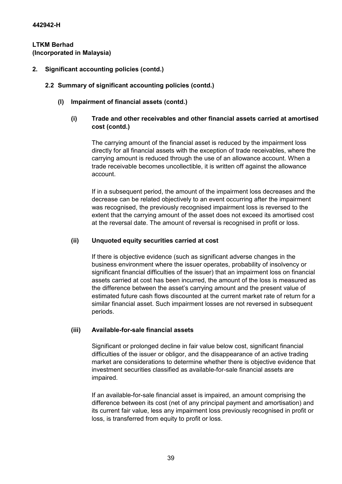## **2. Significant accounting policies (contd.)**

### **2.2 Summary of significant accounting policies (contd.)**

### **(l) Impairment of financial assets (contd.)**

#### **(i) Trade and other receivables and other financial assets carried at amortised cost (contd.)**

The carrying amount of the financial asset is reduced by the impairment loss directly for all financial assets with the exception of trade receivables, where the carrying amount is reduced through the use of an allowance account. When a trade receivable becomes uncollectible, it is written off against the allowance account.

If in a subsequent period, the amount of the impairment loss decreases and the decrease can be related objectively to an event occurring after the impairment was recognised, the previously recognised impairment loss is reversed to the extent that the carrying amount of the asset does not exceed its amortised cost at the reversal date. The amount of reversal is recognised in profit or loss.

#### **(ii) Unquoted equity securities carried at cost**

If there is objective evidence (such as significant adverse changes in the business environment where the issuer operates, probability of insolvency or significant financial difficulties of the issuer) that an impairment loss on financial assets carried at cost has been incurred, the amount of the loss is measured as the difference between the asset's carrying amount and the present value of estimated future cash flows discounted at the current market rate of return for a similar financial asset. Such impairment losses are not reversed in subsequent periods.

#### **(iii) Available-for-sale financial assets**

Significant or prolonged decline in fair value below cost, significant financial difficulties of the issuer or obligor, and the disappearance of an active trading market are considerations to determine whether there is objective evidence that investment securities classified as available-for-sale financial assets are impaired.

If an available-for-sale financial asset is impaired, an amount comprising the difference between its cost (net of any principal payment and amortisation) and its current fair value, less any impairment loss previously recognised in profit or loss, is transferred from equity to profit or loss.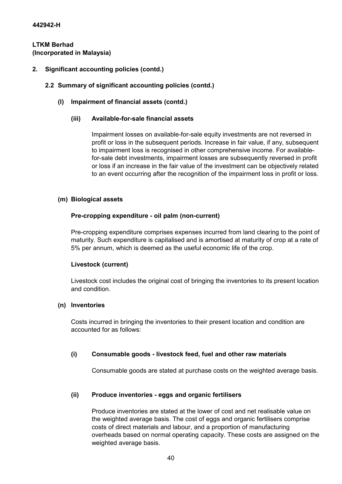## **2. Significant accounting policies (contd.)**

### **2.2 Summary of significant accounting policies (contd.)**

#### **(l) Impairment of financial assets (contd.)**

#### **(iii) Available-for-sale financial assets**

Impairment losses on available-for-sale equity investments are not reversed in profit or loss in the subsequent periods. Increase in fair value, if any, subsequent to impairment loss is recognised in other comprehensive income. For availablefor-sale debt investments, impairment losses are subsequently reversed in profit or loss if an increase in the fair value of the investment can be objectively related to an event occurring after the recognition of the impairment loss in profit or loss.

#### **(m) Biological assets**

#### **Pre-cropping expenditure - oil palm (non-current)**

Pre-cropping expenditure comprises expenses incurred from land clearing to the point of maturity. Such expenditure is capitalised and is amortised at maturity of crop at a rate of 5% per annum, which is deemed as the useful economic life of the crop.

#### **Livestock (current)**

Livestock cost includes the original cost of bringing the inventories to its present location and condition.

#### **(n) Inventories**

Costs incurred in bringing the inventories to their present location and condition are accounted for as follows:

#### **(i) Consumable goods - livestock feed, fuel and other raw materials**

Consumable goods are stated at purchase costs on the weighted average basis.

#### **(ii) Produce inventories - eggs and organic fertilisers**

Produce inventories are stated at the lower of cost and net realisable value on the weighted average basis. The cost of eggs and organic fertilisers comprise costs of direct materials and labour, and a proportion of manufacturing overheads based on normal operating capacity. These costs are assigned on the weighted average basis.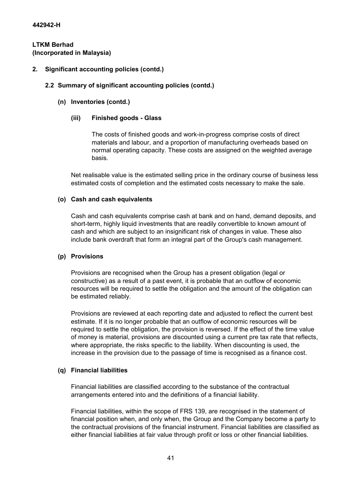### **2. Significant accounting policies (contd.)**

#### **2.2 Summary of significant accounting policies (contd.)**

#### **(n) Inventories (contd.)**

#### **(iii) Finished goods - Glass**

The costs of finished goods and work-in-progress comprise costs of direct materials and labour, and a proportion of manufacturing overheads based on normal operating capacity. These costs are assigned on the weighted average basis.

Net realisable value is the estimated selling price in the ordinary course of business less estimated costs of completion and the estimated costs necessary to make the sale.

#### **(o) Cash and cash equivalents**

Cash and cash equivalents comprise cash at bank and on hand, demand deposits, and short-term, highly liquid investments that are readily convertible to known amount of cash and which are subject to an insignificant risk of changes in value. These also include bank overdraft that form an integral part of the Group's cash management.

#### **(p) Provisions**

Provisions are recognised when the Group has a present obligation (legal or constructive) as a result of a past event, it is probable that an outflow of economic resources will be required to settle the obligation and the amount of the obligation can be estimated reliably.

Provisions are reviewed at each reporting date and adjusted to reflect the current best estimate. If it is no longer probable that an outflow of economic resources will be required to settle the obligation, the provision is reversed. If the effect of the time value of money is material, provisions are discounted using a current pre tax rate that reflects, where appropriate, the risks specific to the liability. When discounting is used, the increase in the provision due to the passage of time is recognised as a finance cost.

#### **(q) Financial liabilities**

Financial liabilities are classified according to the substance of the contractual arrangements entered into and the definitions of a financial liability.

Financial liabilities, within the scope of FRS 139, are recognised in the statement of financial position when, and only when, the Group and the Company become a party to the contractual provisions of the financial instrument. Financial liabilities are classified as either financial liabilities at fair value through profit or loss or other financial liabilities.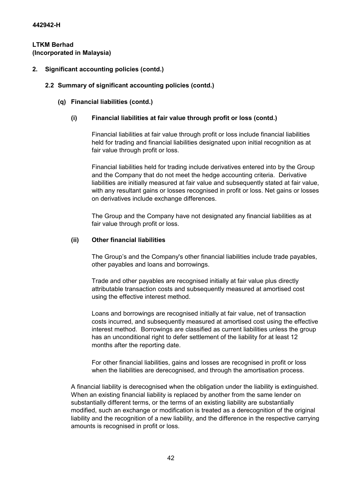## **2. Significant accounting policies (contd.)**

#### **2.2 Summary of significant accounting policies (contd.)**

#### **(q) Financial liabilities (contd.)**

### **(i) Financial liabilities at fair value through profit or loss (contd.)**

Financial liabilities at fair value through profit or loss include financial liabilities held for trading and financial liabilities designated upon initial recognition as at fair value through profit or loss.

Financial liabilities held for trading include derivatives entered into by the Group and the Company that do not meet the hedge accounting criteria. Derivative liabilities are initially measured at fair value and subsequently stated at fair value, with any resultant gains or losses recognised in profit or loss. Net gains or losses on derivatives include exchange differences.

The Group and the Company have not designated any financial liabilities as at fair value through profit or loss.

#### **(ii) Other financial liabilities**

The Group's and the Company's other financial liabilities include trade payables, other payables and loans and borrowings.

Trade and other payables are recognised initially at fair value plus directly attributable transaction costs and subsequently measured at amortised cost using the effective interest method.

Loans and borrowings are recognised initially at fair value, net of transaction costs incurred, and subsequently measured at amortised cost using the effective interest method. Borrowings are classified as current liabilities unless the group has an unconditional right to defer settlement of the liability for at least 12 months after the reporting date.

For other financial liabilities, gains and losses are recognised in profit or loss when the liabilities are derecognised, and through the amortisation process.

A financial liability is derecognised when the obligation under the liability is extinguished. When an existing financial liability is replaced by another from the same lender on substantially different terms, or the terms of an existing liability are substantially modified, such an exchange or modification is treated as a derecognition of the original liability and the recognition of a new liability, and the difference in the respective carrying amounts is recognised in profit or loss.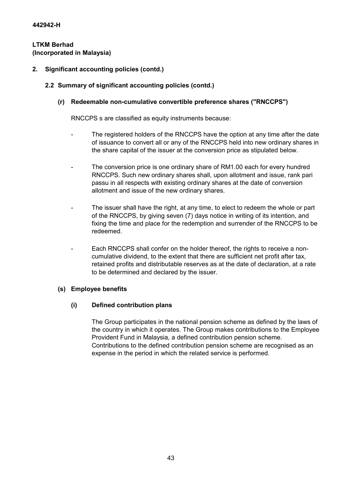## **2. Significant accounting policies (contd.)**

## **2.2 Summary of significant accounting policies (contd.)**

## **(r) Redeemable non-cumulative convertible preference shares ("RNCCPS")**

RNCCPS s are classified as equity instruments because:

- The registered holders of the RNCCPS have the option at any time after the date of issuance to convert all or any of the RNCCPS held into new ordinary shares in the share capital of the issuer at the conversion price as stipulated below.
- The conversion price is one ordinary share of RM1.00 each for every hundred RNCCPS. Such new ordinary shares shall, upon allotment and issue, rank pari passu in all respects with existing ordinary shares at the date of conversion allotment and issue of the new ordinary shares.
- The issuer shall have the right, at any time, to elect to redeem the whole or part of the RNCCPS, by giving seven (7) days notice in writing of its intention, and fixing the time and place for the redemption and surrender of the RNCCPS to be redeemed.
- Each RNCCPS shall confer on the holder thereof, the rights to receive a noncumulative dividend, to the extent that there are sufficient net profit after tax, retained profits and distributable reserves as at the date of declaration, at a rate to be determined and declared by the issuer.

## **(s) Employee benefits**

## **(i) Defined contribution plans**

The Group participates in the national pension scheme as defined by the laws of the country in which it operates. The Group makes contributions to the Employee Provident Fund in Malaysia, a defined contribution pension scheme. Contributions to the defined contribution pension scheme are recognised as an expense in the period in which the related service is performed.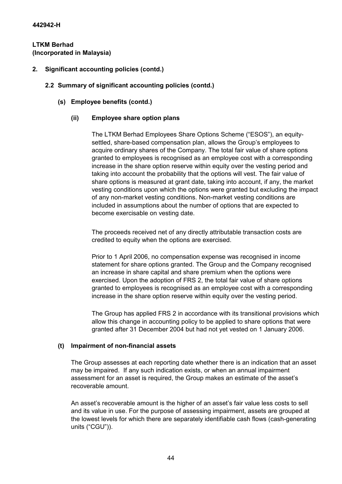**2. Significant accounting policies (contd.)**

## **2.2 Summary of significant accounting policies (contd.)**

**(s) Employee benefits (contd.)**

## **(ii) Employee share option plans**

The LTKM Berhad Employees Share Options Scheme ("ESOS"), an equitysettled, share-based compensation plan, allows the Group's employees to acquire ordinary shares of the Company. The total fair value of share options granted to employees is recognised as an employee cost with a corresponding increase in the share option reserve within equity over the vesting period and taking into account the probability that the options will vest. The fair value of share options is measured at grant date, taking into account, if any, the market vesting conditions upon which the options were granted but excluding the impact of any non-market vesting conditions. Non-market vesting conditions are included in assumptions about the number of options that are expected to become exercisable on vesting date.

The proceeds received net of any directly attributable transaction costs are credited to equity when the options are exercised.

Prior to 1 April 2006, no compensation expense was recognised in income statement for share options granted. The Group and the Company recognised an increase in share capital and share premium when the options were exercised. Upon the adoption of FRS 2, the total fair value of share options granted to employees is recognised as an employee cost with a corresponding increase in the share option reserve within equity over the vesting period.

The Group has applied FRS 2 in accordance with its transitional provisions which allow this change in accounting policy to be applied to share options that were granted after 31 December 2004 but had not yet vested on 1 January 2006.

#### **(t) Impairment of non-financial assets**

The Group assesses at each reporting date whether there is an indication that an asset may be impaired. If any such indication exists, or when an annual impairment assessment for an asset is required, the Group makes an estimate of the asset's recoverable amount.

An asset's recoverable amount is the higher of an asset's fair value less costs to sell and its value in use. For the purpose of assessing impairment, assets are grouped at the lowest levels for which there are separately identifiable cash flows (cash-generating units ("CGU")).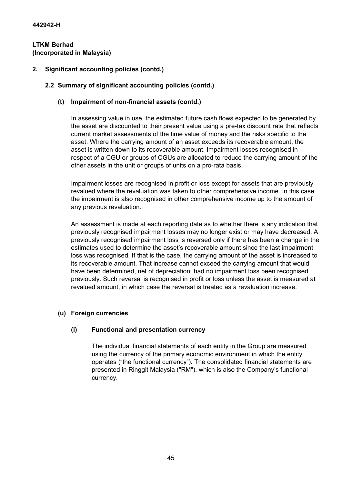## **2. Significant accounting policies (contd.)**

#### **2.2 Summary of significant accounting policies (contd.)**

#### **(t) Impairment of non-financial assets (contd.)**

In assessing value in use, the estimated future cash flows expected to be generated by the asset are discounted to their present value using a pre-tax discount rate that reflects current market assessments of the time value of money and the risks specific to the asset. Where the carrying amount of an asset exceeds its recoverable amount, the asset is written down to its recoverable amount. Impairment losses recognised in respect of a CGU or groups of CGUs are allocated to reduce the carrying amount of the other assets in the unit or groups of units on a pro-rata basis.

Impairment losses are recognised in profit or loss except for assets that are previously revalued where the revaluation was taken to other comprehensive income. In this case the impairment is also recognised in other comprehensive income up to the amount of any previous revaluation.

An assessment is made at each reporting date as to whether there is any indication that previously recognised impairment losses may no longer exist or may have decreased. A previously recognised impairment loss is reversed only if there has been a change in the estimates used to determine the asset's recoverable amount since the last impairment loss was recognised. If that is the case, the carrying amount of the asset is increased to its recoverable amount. That increase cannot exceed the carrying amount that would have been determined, net of depreciation, had no impairment loss been recognised previously. Such reversal is recognised in profit or loss unless the asset is measured at revalued amount, in which case the reversal is treated as a revaluation increase.

#### **(u) Foreign currencies**

#### **(i) Functional and presentation currency**

The individual financial statements of each entity in the Group are measured using the currency of the primary economic environment in which the entity operates ("the functional currency"). The consolidated financial statements are presented in Ringgit Malaysia ("RM"), which is also the Company's functional currency.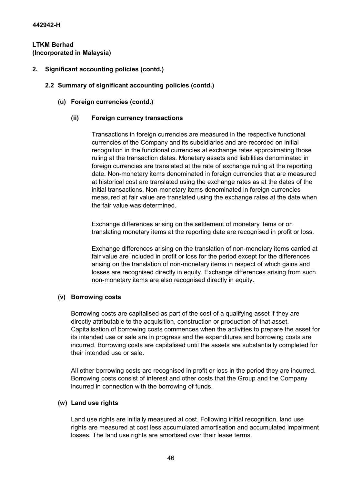**2. Significant accounting policies (contd.)**

## **2.2 Summary of significant accounting policies (contd.)**

**(u) Foreign currencies (contd.)**

## **(ii) Foreign currency transactions**

Transactions in foreign currencies are measured in the respective functional currencies of the Company and its subsidiaries and are recorded on initial recognition in the functional currencies at exchange rates approximating those ruling at the transaction dates. Monetary assets and liabilities denominated in foreign currencies are translated at the rate of exchange ruling at the reporting date. Non-monetary items denominated in foreign currencies that are measured at historical cost are translated using the exchange rates as at the dates of the initial transactions. Non-monetary items denominated in foreign currencies measured at fair value are translated using the exchange rates at the date when the fair value was determined.

Exchange differences arising on the settlement of monetary items or on translating monetary items at the reporting date are recognised in profit or loss.

Exchange differences arising on the translation of non-monetary items carried at fair value are included in profit or loss for the period except for the differences arising on the translation of non-monetary items in respect of which gains and losses are recognised directly in equity. Exchange differences arising from such non-monetary items are also recognised directly in equity.

#### **(v) Borrowing costs**

Borrowing costs are capitalised as part of the cost of a qualifying asset if they are directly attributable to the acquisition, construction or production of that asset. Capitalisation of borrowing costs commences when the activities to prepare the asset for its intended use or sale are in progress and the expenditures and borrowing costs are incurred. Borrowing costs are capitalised until the assets are substantially completed for their intended use or sale.

All other borrowing costs are recognised in profit or loss in the period they are incurred. Borrowing costs consist of interest and other costs that the Group and the Company incurred in connection with the borrowing of funds.

#### **(w) Land use rights**

Land use rights are initially measured at cost. Following initial recognition, land use rights are measured at cost less accumulated amortisation and accumulated impairment losses. The land use rights are amortised over their lease terms.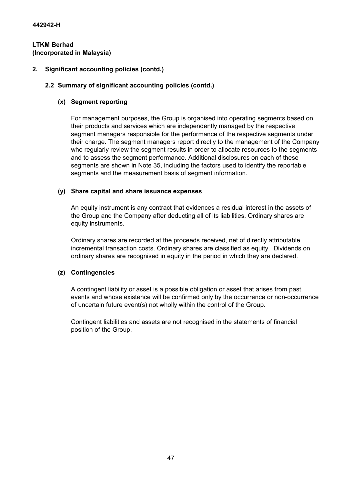## **2. Significant accounting policies (contd.)**

#### **2.2 Summary of significant accounting policies (contd.)**

### **(x) Segment reporting**

For management purposes, the Group is organised into operating segments based on their products and services which are independently managed by the respective segment managers responsible for the performance of the respective segments under their charge. The segment managers report directly to the management of the Company who regularly review the segment results in order to allocate resources to the segments and to assess the segment performance. Additional disclosures on each of these segments are shown in Note 35, including the factors used to identify the reportable segments and the measurement basis of segment information.

#### **(y) Share capital and share issuance expenses**

An equity instrument is any contract that evidences a residual interest in the assets of the Group and the Company after deducting all of its liabilities. Ordinary shares are equity instruments.

Ordinary shares are recorded at the proceeds received, net of directly attributable incremental transaction costs. Ordinary shares are classified as equity. Dividends on ordinary shares are recognised in equity in the period in which they are declared.

#### **(z) Contingencies**

A contingent liability or asset is a possible obligation or asset that arises from past events and whose existence will be confirmed only by the occurrence or non-occurrence of uncertain future event(s) not wholly within the control of the Group.

Contingent liabilities and assets are not recognised in the statements of financial position of the Group.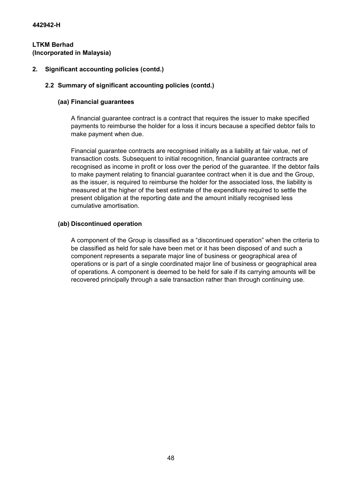### **2. Significant accounting policies (contd.)**

#### **2.2 Summary of significant accounting policies (contd.)**

#### **(aa) Financial guarantees**

A financial guarantee contract is a contract that requires the issuer to make specified payments to reimburse the holder for a loss it incurs because a specified debtor fails to make payment when due.

Financial guarantee contracts are recognised initially as a liability at fair value, net of transaction costs. Subsequent to initial recognition, financial guarantee contracts are recognised as income in profit or loss over the period of the guarantee. If the debtor fails to make payment relating to financial guarantee contract when it is due and the Group, as the issuer, is required to reimburse the holder for the associated loss, the liability is measured at the higher of the best estimate of the expenditure required to settle the present obligation at the reporting date and the amount initially recognised less cumulative amortisation.

#### **(ab) Discontinued operation**

A component of the Group is classified as a "discontinued operation" when the criteria to be classified as held for sale have been met or it has been disposed of and such a component represents a separate major line of business or geographical area of operations or is part of a single coordinated major line of business or geographical area of operations. A component is deemed to be held for sale if its carrying amounts will be recovered principally through a sale transaction rather than through continuing use.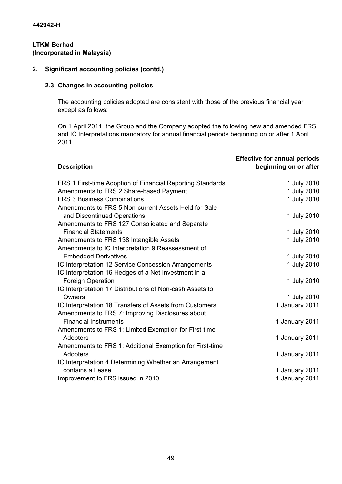## **2. Significant accounting policies (contd.)**

### **2.3 Changes in accounting policies**

The accounting policies adopted are consistent with those of the previous financial year except as follows:

On 1 April 2011, the Group and the Company adopted the following new and amended FRS and IC Interpretations mandatory for annual financial periods beginning on or after 1 April 2011.

|                                                            | <b>Effective for annual periods</b> |
|------------------------------------------------------------|-------------------------------------|
| <b>Description</b>                                         | beginning on or after               |
|                                                            |                                     |
| FRS 1 First-time Adoption of Financial Reporting Standards | 1 July 2010                         |
| Amendments to FRS 2 Share-based Payment                    | 1 July 2010                         |
| <b>FRS 3 Business Combinations</b>                         | 1 July 2010                         |
| Amendments to FRS 5 Non-current Assets Held for Sale       |                                     |
| and Discontinued Operations                                | 1 July 2010                         |
| Amendments to FRS 127 Consolidated and Separate            |                                     |
| <b>Financial Statements</b>                                | 1 July 2010                         |
| Amendments to FRS 138 Intangible Assets                    | 1 July 2010                         |
| Amendments to IC Interpretation 9 Reassessment of          |                                     |
| <b>Embedded Derivatives</b>                                | 1 July 2010                         |
| IC Interpretation 12 Service Concession Arrangements       | 1 July 2010                         |
| IC Interpretation 16 Hedges of a Net Investment in a       |                                     |
| <b>Foreign Operation</b>                                   | 1 July 2010                         |
| IC Interpretation 17 Distributions of Non-cash Assets to   |                                     |
| Owners                                                     | 1 July 2010                         |
| IC Interpretation 18 Transfers of Assets from Customers    | 1 January 2011                      |
| Amendments to FRS 7: Improving Disclosures about           |                                     |
| <b>Financial Instruments</b>                               | 1 January 2011                      |
| Amendments to FRS 1: Limited Exemption for First-time      |                                     |
| Adopters                                                   | 1 January 2011                      |
| Amendments to FRS 1: Additional Exemption for First-time   |                                     |
| Adopters                                                   | 1 January 2011                      |
| IC Interpretation 4 Determining Whether an Arrangement     |                                     |
| contains a Lease                                           | 1 January 2011                      |
| Improvement to FRS issued in 2010                          | 1 January 2011                      |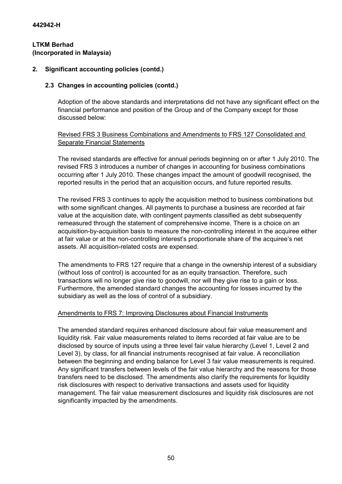## **2. Significant accounting policies (contd.)**

### **2.3 Changes in accounting policies (contd.)**

Adoption of the above standards and interpretations did not have any significant effect on the financial performance and position of the Group and of the Company except for those discussed below:

### Revised FRS 3 Business Combinations and Amendments to FRS 127 Consolidated and Separate Financial Statements

The revised standards are effective for annual periods beginning on or after 1 July 2010. The revised FRS 3 introduces a number of changes in accounting for business combinations occurring after 1 July 2010. These changes impact the amount of goodwill recognised, the reported results in the period that an acquisition occurs, and future reported results.

The revised FRS 3 continues to apply the acquisition method to business combinations but with some significant changes. All payments to purchase a business are recorded at fair value at the acquisition date, with contingent payments classified as debt subsequently remeasured through the statement of comprehensive income. There is a choice on an acquisition-by-acquisition basis to measure the non-controlling interest in the acquiree either at fair value or at the non-controlling interest's proportionate share of the acquiree's net assets. All acquisition-related costs are expensed.

The amendments to FRS 127 require that a change in the ownership interest of a subsidiary (without loss of control) is accounted for as an equity transaction. Therefore, such transactions will no longer give rise to goodwill, nor will they give rise to a gain or loss. Furthermore, the amended standard changes the accounting for losses incurred by the subsidiary as well as the loss of control of a subsidiary.

#### Amendments to FRS 7: Improving Disclosures about Financial Instruments

The amended standard requires enhanced disclosure about fair value measurement and liquidity risk. Fair value measurements related to items recorded at fair value are to be disclosed by source of inputs using a three level fair value hierarchy (Level 1, Level 2 and Level 3), by class, for all financial instruments recognised at fair value. A reconciliation between the beginning and ending balance for Level 3 fair value measurements is required. Anv significant transfers between levels of the fair value hierarchy and the reasons for those transfers need to be disclosed. The amendments also clarify the requirements for liquidity risk disclosures with respect to derivative transactions and assets used for liquidity management. The fair value measurement disclosures and liquidity risk disclosures are not significantly impacted by the amendments.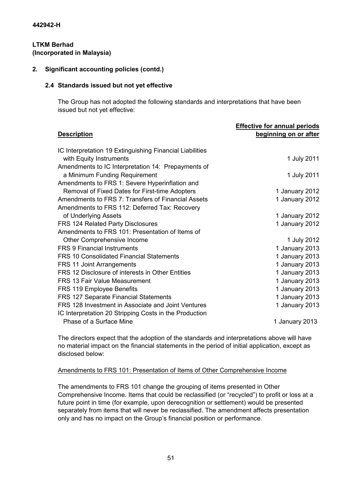### **2. Significant accounting policies (contd.)**

#### **2.4 Standards issued but not yet effective**

The Group has not adopted the following standards and interpretations that have been issued but not yet effective:

|                                                          | <b>Effective for annual periods</b> |
|----------------------------------------------------------|-------------------------------------|
| <b>Description</b>                                       | beginning on or after               |
| IC Interpretation 19 Extinguishing Financial Liabilities |                                     |
| with Equity Instruments                                  | 1 July 2011                         |
| Amendments to IC Interpretation 14: Prepayments of       |                                     |
| a Minimum Funding Requirement                            | 1 July 2011                         |
| Amendments to FRS 1: Severe Hyperinflation and           |                                     |
| Removal of Fixed Dates for First-time Adopters           | 1 January 2012                      |
| Amendments to FRS 7: Transfers of Financial Assets       | 1 January 2012                      |
| Amendments to FRS 112: Deferred Tax: Recovery            |                                     |
| of Underlying Assets                                     | 1 January 2012                      |
| <b>FRS 124 Related Party Disclosures</b>                 | 1 January 2012                      |
| Amendments to FRS 101: Presentation of Items of          |                                     |
| Other Comprehensive Income                               | 1 July 2012                         |
| <b>FRS 9 Financial Instruments</b>                       | 1 January 2013                      |
| <b>FRS 10 Consolidated Financial Statements</b>          | 1 January 2013                      |
| FRS 11 Joint Arrangements                                | 1 January 2013                      |
| FRS 12 Disclosure of interests in Other Entities         | 1 January 2013                      |
| FRS 13 Fair Value Measurement                            | 1 January 2013                      |
| FRS 119 Employee Benefits                                | 1 January 2013                      |
| <b>FRS 127 Separate Financial Statements</b>             | 1 January 2013                      |
| FRS 128 Investment in Associate and Joint Ventures       | 1 January 2013                      |
| IC Interpretation 20 Stripping Costs in the Production   |                                     |
| Phase of a Surface Mine                                  | 1 January 2013                      |
|                                                          |                                     |

The directors expect that the adoption of the standards and interpretations above will have no material impact on the financial statements in the period of initial application, except as disclosed below:

#### Amendments to FRS 101: Presentation of Items of Other Comprehensive Income

The amendments to FRS 101 change the grouping of items presented in Other Comprehensive Income. Items that could be reclassified (or "recycled") to profit or loss at a future point in time (for example, upon derecognition or settlement) would be presented separately from items that will never be reclassified. The amendment affects presentation only and has no impact on the Group's financial position or performance.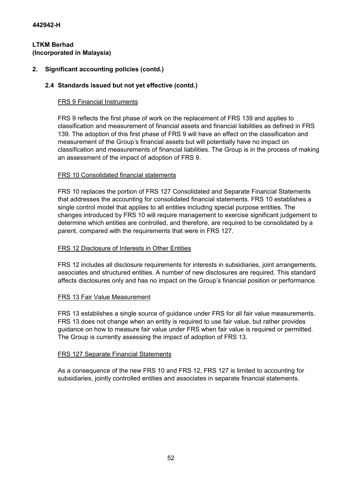## **2. Significant accounting policies (contd.)**

## **2.4 Standards issued but not yet effective (contd.)**

#### FRS 9 Financial Instruments

FRS 9 reflects the first phase of work on the replacement of FRS 139 and applies to classification and measurement of financial assets and financial liabilities as defined in FRS 139. The adoption of this first phase of FRS 9 will have an effect on the classification and measurement of the Group's financial assets but will potentially have no impact on classification and measurements of financial liabilities. The Group is in the process of making an assessment of the impact of adoption of FRS 9.

### FRS 10 Consolidated financial statements

FRS 10 replaces the portion of FRS 127 Consolidated and Separate Financial Statements that addresses the accounting for consolidated financial statements. FRS 10 establishes a single control model that applies to all entities including special purpose entities. The changes introduced by FRS 10 will require management to exercise significant judgement to determine which entities are controlled, and therefore, are required to be consolidated by a parent, compared with the requirements that were in FRS 127.

#### FRS 12 Disclosure of Interests in Other Entities

FRS 12 includes all disclosure requirements for interests in subsidiaries, joint arrangements, associates and structured entities. A number of new disclosures are required. This standard affects disclosures only and has no impact on the Group's financial position or performance.

#### FRS 13 Fair Value Measurement

FRS 13 establishes a single source of guidance under FRS for all fair value measurements. FRS 13 does not change when an entity is required to use fair value, but rather provides guidance on how to measure fair value under FRS when fair value is required or permitted. The Group is currently assessing the impact of adoption of FRS 13.

#### FRS 127 Separate Financial Statements

As a consequence of the new FRS 10 and FRS 12, FRS 127 is limited to accounting for subsidiaries, jointly controlled entities and associates in separate financial statements.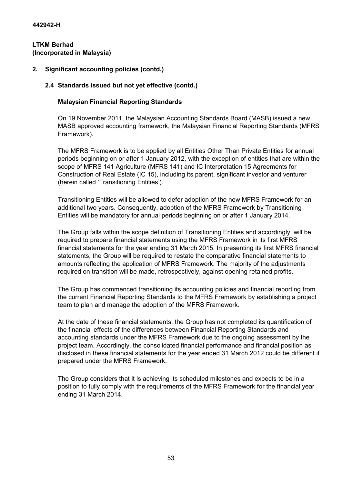## **2. Significant accounting policies (contd.)**

### **2.4 Standards issued but not yet effective (contd.)**

#### **Malaysian Financial Reporting Standards**

On 19 November 2011, the Malaysian Accounting Standards Board (MASB) issued a new MASB approved accounting framework, the Malaysian Financial Reporting Standards (MFRS Framework).

The MFRS Framework is to be applied by all Entities Other Than Private Entities for annual periods beginning on or after 1 January 2012, with the exception of entities that are within the scope of MFRS 141 Agriculture (MFRS 141) and IC Interpretation 15 Agreements for Construction of Real Estate (IC 15), including its parent, significant investor and venturer (herein called 'Transitioning Entities').

Transitioning Entities will be allowed to defer adoption of the new MFRS Framework for an additional two years. Consequently, adoption of the MFRS Framework by Transitioning Entities will be mandatory for annual periods beginning on or after 1 January 2014.

The Group falls within the scope definition of Transitioning Entities and accordingly, will be required to prepare financial statements using the MFRS Framework in its first MFRS financial statements for the year ending 31 March 2015. In presenting its first MFRS financial statements, the Group will be required to restate the comparative financial statements to amounts reflecting the application of MFRS Framework. The majority of the adjustments required on transition will be made, retrospectively, against opening retained profits.

The Group has commenced transitioning its accounting policies and financial reporting from the current Financial Reporting Standards to the MFRS Framework by establishing a project team to plan and manage the adoption of the MFRS Framework.

At the date of these financial statements, the Group has not completed its quantification of the financial effects of the differences between Financial Reporting Standards and accounting standards under the MFRS Framework due to the ongoing assessment by the project team. Accordingly, the consolidated financial performance and financial position as disclosed in these financial statements for the year ended 31 March 2012 could be different if prepared under the MFRS Framework.

The Group considers that it is achieving its scheduled milestones and expects to be in a position to fully comply with the requirements of the MFRS Framework for the financial year ending 31 March 2014.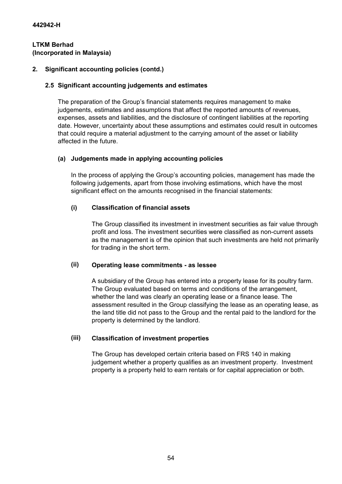## **2. Significant accounting policies (contd.)**

#### **2.5 Significant accounting judgements and estimates**

The preparation of the Group's financial statements requires management to make judgements, estimates and assumptions that affect the reported amounts of revenues, expenses, assets and liabilities, and the disclosure of contingent liabilities at the reporting date. However, uncertainty about these assumptions and estimates could result in outcomes that could require a material adjustment to the carrying amount of the asset or liability affected in the future.

### **(a) Judgements made in applying accounting policies**

In the process of applying the Group's accounting policies, management has made the following judgements, apart from those involving estimations, which have the most significant effect on the amounts recognised in the financial statements:

### **(i) Classification of financial assets**

The Group classified its investment in investment securities as fair value through profit and loss. The investment securities were classified as non-current assets as the management is of the opinion that such investments are held not primarily for trading in the short term.

#### **(ii) Operating lease commitments - as lessee**

A subsidiary of the Group has entered into a property lease for its poultry farm. The Group evaluated based on terms and conditions of the arrangement, whether the land was clearly an operating lease or a finance lease. The assessment resulted in the Group classifying the lease as an operating lease, as the land title did not pass to the Group and the rental paid to the landlord for the property is determined by the landlord.

#### **(iii) Classification of investment properties**

The Group has developed certain criteria based on FRS 140 in making judgement whether a property qualifies as an investment property. Investment property is a property held to earn rentals or for capital appreciation or both.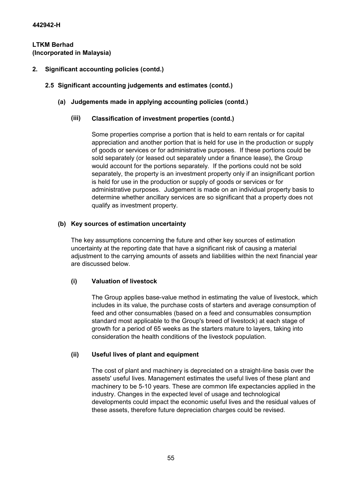## **2. Significant accounting policies (contd.)**

## **2.5 Significant accounting judgements and estimates (contd.)**

### **(a) Judgements made in applying accounting policies (contd.)**

#### **(iii) Classification of investment properties (contd.)**

Some properties comprise a portion that is held to earn rentals or for capital appreciation and another portion that is held for use in the production or supply of goods or services or for administrative purposes. If these portions could be sold separately (or leased out separately under a finance lease), the Group would account for the portions separately. If the portions could not be sold separately, the property is an investment property only if an insignificant portion is held for use in the production or supply of goods or services or for administrative purposes. Judgement is made on an individual property basis to determine whether ancillary services are so significant that a property does not qualify as investment property.

#### **(b) Key sources of estimation uncertainty**

The key assumptions concerning the future and other key sources of estimation uncertainty at the reporting date that have a significant risk of causing a material adjustment to the carrying amounts of assets and liabilities within the next financial year are discussed below.

#### **(i) Valuation of livestock**

The Group applies base-value method in estimating the value of livestock, which includes in its value, the purchase costs of starters and average consumption of feed and other consumables (based on a feed and consumables consumption standard most applicable to the Group's breed of livestock) at each stage of growth for a period of 65 weeks as the starters mature to layers, taking into consideration the health conditions of the livestock population.

#### **(ii) Useful lives of plant and equipment**

The cost of plant and machinery is depreciated on a straight-line basis over the assets' useful lives. Management estimates the useful lives of these plant and machinery to be 5-10 years. These are common life expectancies applied in the industry. Changes in the expected level of usage and technological developments could impact the economic useful lives and the residual values of these assets, therefore future depreciation charges could be revised.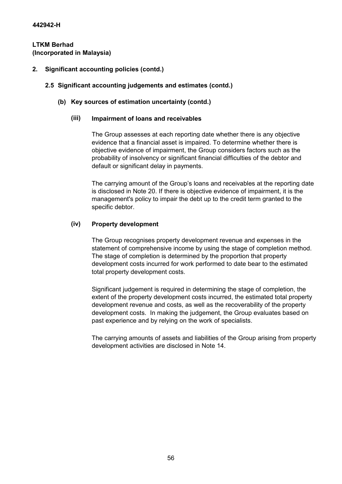## **2. Significant accounting policies (contd.)**

### **2.5 Significant accounting judgements and estimates (contd.)**

#### **(b) Key sources of estimation uncertainty (contd.)**

#### **(iii) Impairment of loans and receivables**

The Group assesses at each reporting date whether there is any objective evidence that a financial asset is impaired. To determine whether there is objective evidence of impairment, the Group considers factors such as the probability of insolvency or significant financial difficulties of the debtor and default or significant delay in payments.

The carrying amount of the Group's loans and receivables at the reporting date is disclosed in Note 20. If there is objective evidence of impairment, it is the management's policy to impair the debt up to the credit term granted to the specific debtor.

## **(iv) Property development**

The Group recognises property development revenue and expenses in the statement of comprehensive income by using the stage of completion method. The stage of completion is determined by the proportion that property development costs incurred for work performed to date bear to the estimated total property development costs.

Significant judgement is required in determining the stage of completion, the extent of the property development costs incurred, the estimated total property development revenue and costs, as well as the recoverability of the property development costs. In making the judgement, the Group evaluates based on past experience and by relying on the work of specialists.

The carrying amounts of assets and liabilities of the Group arising from property development activities are disclosed in Note 14.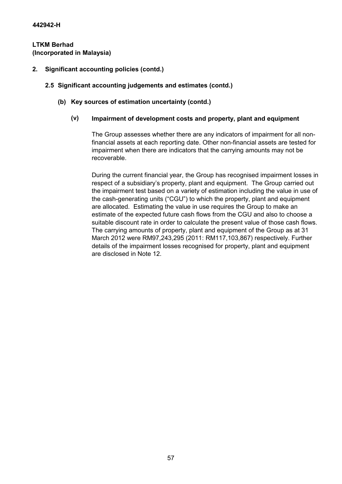**2. Significant accounting policies (contd.)**

## **2.5 Significant accounting judgements and estimates (contd.)**

**(b) Key sources of estimation uncertainty (contd.)**

#### **(v) Impairment of development costs and property, plant and equipment**

The Group assesses whether there are any indicators of impairment for all nonfinancial assets at each reporting date. Other non-financial assets are tested for impairment when there are indicators that the carrying amounts may not be recoverable.

During the current financial year, the Group has recognised impairment losses in respect of a subsidiary's property, plant and equipment. The Group carried out the impairment test based on a variety of estimation including the value in use of the cash-generating units ("CGU") to which the property, plant and equipment are allocated. Estimating the value in use requires the Group to make an estimate of the expected future cash flows from the CGU and also to choose a suitable discount rate in order to calculate the present value of those cash flows. The carrying amounts of property, plant and equipment of the Group as at 31 March 2012 were RM97,243,295 (2011: RM117,103,867) respectively. Further details of the impairment losses recognised for property, plant and equipment are disclosed in Note 12.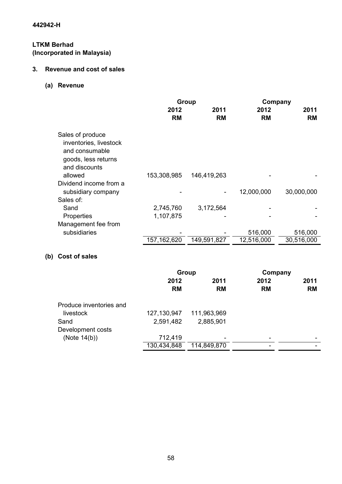## **3. Revenue and cost of sales**

# **(a) Revenue**

|                                                                                                      |               |             |            | <b>Group</b><br>Company |  |  |
|------------------------------------------------------------------------------------------------------|---------------|-------------|------------|-------------------------|--|--|
|                                                                                                      | 2012          | 2011        | 2012       | 2011                    |  |  |
|                                                                                                      | <b>RM</b>     | <b>RM</b>   | <b>RM</b>  | <b>RM</b>               |  |  |
| Sales of produce<br>inventories, livestock<br>and consumable<br>goods, less returns<br>and discounts |               |             |            |                         |  |  |
| allowed                                                                                              | 153,308,985   | 146,419,263 |            |                         |  |  |
| Dividend income from a                                                                               |               |             |            |                         |  |  |
| subsidiary company                                                                                   |               |             | 12,000,000 | 30,000,000              |  |  |
| Sales of:                                                                                            |               |             |            |                         |  |  |
| Sand                                                                                                 | 2,745,760     | 3,172,564   |            |                         |  |  |
| Properties                                                                                           | 1,107,875     |             |            |                         |  |  |
| Management fee from                                                                                  |               |             |            |                         |  |  |
| subsidiaries                                                                                         |               |             | 516,000    | 516,000                 |  |  |
|                                                                                                      | 157, 162, 620 | 149,591,827 | 12,516,000 | 30,516,000              |  |  |

## **(b) Cost of sales**

|                         | Group       |             | Company   |           |
|-------------------------|-------------|-------------|-----------|-----------|
|                         | 2012        | 2011        | 2012      | 2011      |
|                         | <b>RM</b>   | <b>RM</b>   | <b>RM</b> | <b>RM</b> |
| Produce inventories and |             |             |           |           |
| livestock               | 127,130,947 | 111,963,969 |           |           |
| Sand                    | 2,591,482   | 2,885,901   |           |           |
| Development costs       |             |             |           |           |
| (Note $14(b)$ )         | 712,419     |             | -         |           |
|                         | 130,434,848 | 114,849,870 |           |           |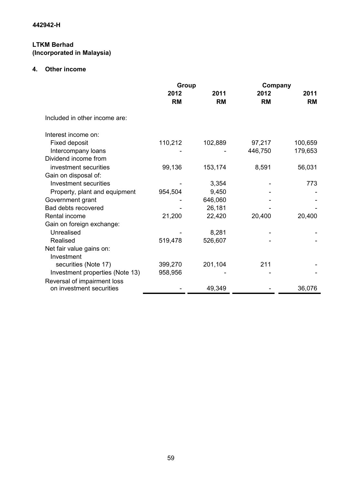## **4. Other income**

|                                 |           | Group     |           | Company   |
|---------------------------------|-----------|-----------|-----------|-----------|
|                                 | 2012      | 2011      | 2012      | 2011      |
|                                 | <b>RM</b> | <b>RM</b> | <b>RM</b> | <b>RM</b> |
| Included in other income are:   |           |           |           |           |
| Interest income on:             |           |           |           |           |
| <b>Fixed deposit</b>            | 110,212   | 102,889   | 97,217    | 100,659   |
| Intercompany loans              |           |           | 446,750   | 179,653   |
| Dividend income from            |           |           |           |           |
| investment securities           | 99,136    | 153,174   | 8,591     | 56,031    |
| Gain on disposal of:            |           |           |           |           |
| Investment securities           |           | 3,354     |           | 773       |
| Property, plant and equipment   | 954,504   | 9,450     |           |           |
| Government grant                |           | 646,060   |           |           |
| <b>Bad debts recovered</b>      |           | 26,181    |           |           |
| Rental income                   | 21,200    | 22,420    | 20,400    | 20,400    |
| Gain on foreign exchange:       |           |           |           |           |
| Unrealised                      |           | 8,281     |           |           |
| Realised                        | 519,478   | 526,607   |           |           |
| Net fair value gains on:        |           |           |           |           |
| Investment                      |           |           |           |           |
| securities (Note 17)            | 399,270   | 201,104   | 211       |           |
| Investment properties (Note 13) | 958,956   |           |           |           |
| Reversal of impairment loss     |           |           |           |           |
| on investment securities        |           | 49,349    |           | 36,076    |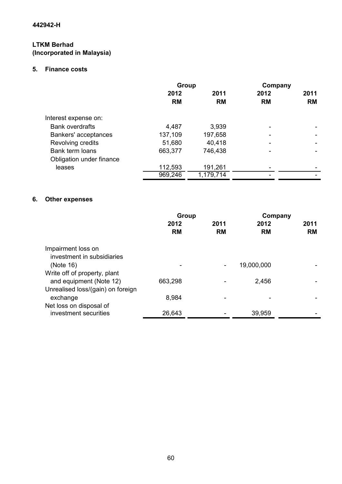## **5. Finance costs**

|                          | Group     |           | Company   |           |
|--------------------------|-----------|-----------|-----------|-----------|
|                          | 2012      | 2011      | 2012      | 2011      |
|                          | <b>RM</b> | <b>RM</b> | <b>RM</b> | <b>RM</b> |
| Interest expense on:     |           |           |           |           |
| <b>Bank overdrafts</b>   | 4,487     | 3,939     |           |           |
| Bankers' acceptances     | 137,109   | 197,658   |           |           |
| Revolving credits        | 51,680    | 40,418    |           |           |
| Bank term loans          | 663,377   | 746,438   |           |           |
| Obligation under finance |           |           |           |           |
| leases                   | 112,593   | 191,261   |           |           |
|                          | 969,246   | 1,179,714 |           |           |

# **6. Other expenses**

|                                   | <b>Group</b> |                          | Company    |           |
|-----------------------------------|--------------|--------------------------|------------|-----------|
|                                   | 2012         | 2011                     | 2012       | 2011      |
|                                   | <b>RM</b>    | <b>RM</b>                | <b>RM</b>  | <b>RM</b> |
| Impairment loss on                |              |                          |            |           |
| investment in subsidiaries        |              |                          |            |           |
| (Note 16)                         |              | $\overline{\phantom{a}}$ | 19,000,000 |           |
| Write off of property, plant      |              |                          |            |           |
| and equipment (Note 12)           | 663,298      |                          | 2,456      |           |
| Unrealised loss/(gain) on foreign |              |                          |            |           |
| exchange                          | 8,984        | ٠                        |            |           |
| Net loss on disposal of           |              |                          |            |           |
| investment securities             | 26,643       |                          | 39,959     |           |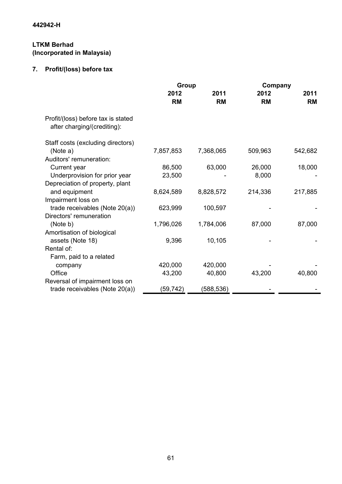# **7. Profit/(loss) before tax**

|                                                                   | <b>Group</b> |            | Company   |           |
|-------------------------------------------------------------------|--------------|------------|-----------|-----------|
|                                                                   | 2012         | 2011       | 2012      | 2011      |
|                                                                   | <b>RM</b>    | <b>RM</b>  | <b>RM</b> | <b>RM</b> |
| Profit/(loss) before tax is stated<br>after charging/(crediting): |              |            |           |           |
| Staff costs (excluding directors)                                 |              |            |           |           |
| (Note a)                                                          | 7,857,853    | 7,368,065  | 509,963   | 542,682   |
| Auditors' remuneration:                                           |              |            |           |           |
| Current year                                                      | 86,500       | 63,000     | 26,000    | 18,000    |
| Underprovision for prior year                                     | 23,500       |            | 8,000     |           |
| Depreciation of property, plant                                   |              |            |           |           |
| and equipment                                                     | 8,624,589    | 8,828,572  | 214,336   | 217,885   |
| Impairment loss on                                                |              |            |           |           |
| trade receivables (Note 20(a))                                    | 623,999      | 100,597    |           |           |
| Directors' remuneration                                           |              |            |           |           |
| (Note b)                                                          | 1,796,026    | 1,784,006  | 87,000    | 87,000    |
| Amortisation of biological                                        |              |            |           |           |
| assets (Note 18)                                                  | 9,396        | 10,105     |           |           |
| Rental of:                                                        |              |            |           |           |
| Farm, paid to a related                                           |              |            |           |           |
| company                                                           | 420,000      | 420,000    |           |           |
| Office                                                            | 43,200       | 40,800     | 43,200    | 40,800    |
| Reversal of impairment loss on                                    |              |            |           |           |
| trade receivables (Note 20(a))                                    | (59, 742)    | (588, 536) |           |           |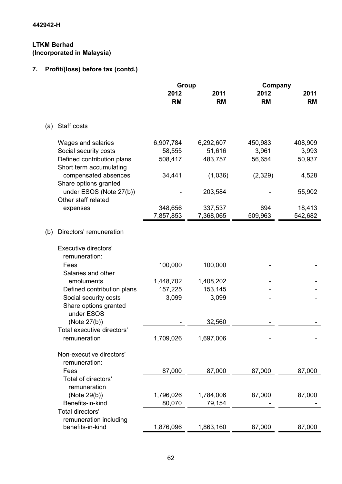# **7. Profit/(loss) before tax (contd.)**

|     |                                                       | Group     |           | Company   |           |
|-----|-------------------------------------------------------|-----------|-----------|-----------|-----------|
|     |                                                       | 2012      | 2011      | 2012      | 2011      |
|     |                                                       | <b>RM</b> | <b>RM</b> | <b>RM</b> | <b>RM</b> |
| (a) | Staff costs                                           |           |           |           |           |
|     | Wages and salaries                                    | 6,907,784 | 6,292,607 | 450,983   | 408,909   |
|     | Social security costs                                 | 58,555    | 51,616    | 3,961     | 3,993     |
|     | Defined contribution plans<br>Short term accumulating | 508,417   | 483,757   | 56,654    | 50,937    |
|     | compensated absences<br>Share options granted         | 34,441    | (1,036)   | (2,329)   | 4,528     |
|     | under ESOS (Note 27(b))<br>Other staff related        |           | 203,584   |           | 55,902    |
|     | expenses                                              | 348,656   | 337,537   | 694       | 18,413    |
|     |                                                       | 7,857,853 | 7,368,065 | 509,963   | 542,682   |
| (b) | Directors' remuneration                               |           |           |           |           |
|     | <b>Executive directors'</b><br>remuneration:          |           |           |           |           |
|     | Fees<br>Salaries and other                            | 100,000   | 100,000   |           |           |
|     | emoluments                                            | 1,448,702 | 1,408,202 |           |           |
|     | Defined contribution plans                            | 157,225   | 153,145   |           |           |
|     | Social security costs                                 | 3,099     | 3,099     |           |           |
|     | Share options granted<br>under ESOS                   |           |           |           |           |
|     | (Note 27(b))                                          |           | 32,560    |           |           |
|     | Total executive directors'                            |           |           |           |           |
|     | remuneration                                          | 1,709,026 | 1,697,006 |           |           |
|     | Non-executive directors'<br>remuneration:             |           |           |           |           |
|     | Fees                                                  | 87,000    | 87,000    | 87,000    | 87,000    |
|     | Total of directors'<br>remuneration                   |           |           |           |           |
|     | (Note 29(b))                                          | 1,796,026 | 1,784,006 | 87,000    | 87,000    |
|     | Benefits-in-kind                                      | 80,070    | 79,154    |           |           |
|     | Total directors'                                      |           |           |           |           |
|     | remuneration including                                |           |           |           |           |
|     | benefits-in-kind                                      | 1,876,096 | 1,863,160 | 87,000    | 87,000    |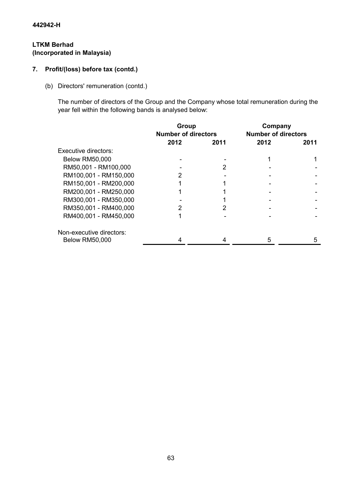## **7. Profit/(loss) before tax (contd.)**

(b) Directors' remuneration (contd.)

The number of directors of the Group and the Company whose total remuneration during the year fell within the following bands is analysed below:

|                          | Group<br><b>Number of directors</b> |      | Company<br><b>Number of directors</b> |      |
|--------------------------|-------------------------------------|------|---------------------------------------|------|
|                          | 2012                                | 2011 | 2012                                  | 2011 |
| Executive directors:     |                                     |      |                                       |      |
| <b>Below RM50,000</b>    |                                     |      |                                       |      |
| RM50,001 - RM100,000     |                                     |      |                                       |      |
| RM100,001 - RM150,000    |                                     |      |                                       |      |
| RM150,001 - RM200,000    |                                     |      |                                       |      |
| RM200,001 - RM250,000    |                                     |      |                                       |      |
| RM300,001 - RM350,000    |                                     |      |                                       |      |
| RM350,001 - RM400,000    |                                     |      |                                       |      |
| RM400,001 - RM450,000    |                                     |      |                                       |      |
| Non-executive directors: |                                     |      |                                       |      |
| <b>Below RM50,000</b>    |                                     |      | 5                                     | 5    |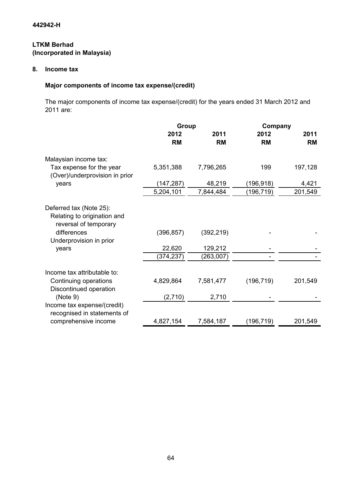#### **8. Income tax**

## **Major components of income tax expense/(credit)**

The major components of income tax expense/(credit) for the years ended 31 March 2012 and 2011 are:

|                                                                                                                                    | Group                              |                                    | Company    |           |
|------------------------------------------------------------------------------------------------------------------------------------|------------------------------------|------------------------------------|------------|-----------|
|                                                                                                                                    | 2012                               | 2011                               | 2012       | 2011      |
|                                                                                                                                    | <b>RM</b>                          | <b>RM</b>                          | <b>RM</b>  | <b>RM</b> |
| Malaysian income tax:                                                                                                              |                                    |                                    |            |           |
| Tax expense for the year<br>(Over)/underprovision in prior                                                                         | 5,351,388                          | 7,796,265                          | 199        | 197,128   |
| years                                                                                                                              | (147,287)                          | 48,219                             | (196, 918) | 4,421     |
|                                                                                                                                    | 5,204,101                          | 7,844,484                          | (196, 719) | 201,549   |
| Deferred tax (Note 25):<br>Relating to origination and<br>reversal of temporary<br>differences<br>Underprovision in prior<br>years | (396, 857)<br>22,620<br>(374, 237) | (392, 219)<br>129,212<br>(263,007) |            |           |
| Income tax attributable to:<br>Continuing operations<br>Discontinued operation<br>(Note 9)                                         | 4,829,864<br>(2,710)               | 7,581,477<br>2,710                 | (196, 719) | 201,549   |
|                                                                                                                                    |                                    |                                    |            |           |
| Income tax expense/(credit)<br>recognised in statements of<br>comprehensive income                                                 | 4,827,154                          | 7,584,187                          | (196, 719) | 201,549   |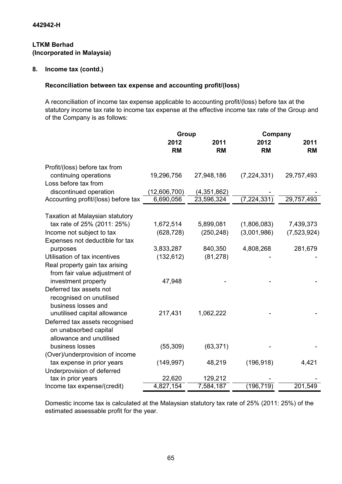#### **8. Income tax (contd.)**

#### **Reconciliation between tax expense and accounting profit/(loss)**

A reconciliation of income tax expense applicable to accounting profit/(loss) before tax at the statutory income tax rate to income tax expense at the effective income tax rate of the Group and of the Company is as follows:

|                                        | <b>Group</b> |             | Company       |             |
|----------------------------------------|--------------|-------------|---------------|-------------|
|                                        | 2012         | 2011        | 2012          | 2011        |
|                                        | <b>RM</b>    | <b>RM</b>   | <b>RM</b>     | <b>RM</b>   |
| Profit/(loss) before tax from          |              |             |               |             |
| continuing operations                  | 19,296,756   | 27,948,186  | (7, 224, 331) | 29,757,493  |
| Loss before tax from                   |              |             |               |             |
| discontinued operation                 | (12,606,700) | (4,351,862) |               |             |
| Accounting profit/(loss) before tax    | 6,690,056    | 23,596,324  | (7, 224, 331) | 29,757,493  |
| <b>Taxation at Malaysian statutory</b> |              |             |               |             |
| tax rate of 25% (2011: 25%)            | 1,672,514    | 5,899,081   | (1,806,083)   | 7,439,373   |
| Income not subject to tax              | (628, 728)   | (250, 248)  | (3,001,986)   | (7,523,924) |
| Expenses not deductible for tax        |              |             |               |             |
| purposes                               | 3,833,287    | 840,350     | 4,808,268     | 281,679     |
| Utilisation of tax incentives          | (132, 612)   | (81, 278)   |               |             |
| Real property gain tax arising         |              |             |               |             |
| from fair value adjustment of          |              |             |               |             |
| investment property                    | 47,948       |             |               |             |
| Deferred tax assets not                |              |             |               |             |
| recognised on unutilised               |              |             |               |             |
| business losses and                    |              |             |               |             |
| unutilised capital allowance           | 217,431      | 1,062,222   |               |             |
| Deferred tax assets recognised         |              |             |               |             |
| on unabsorbed capital                  |              |             |               |             |
| allowance and unutilised               |              |             |               |             |
| business losses                        | (55, 309)    | (63, 371)   |               |             |
| (Over)/underprovision of income        |              |             |               |             |
| tax expense in prior years             | (149, 997)   | 48,219      | (196, 918)    | 4,421       |
| Underprovision of deferred             |              |             |               |             |
| tax in prior years                     | 22,620       | 129,212     |               |             |
| Income tax expense/(credit)            | 4,827,154    | 7,584,187   | (196, 719)    | 201,549     |

Domestic income tax is calculated at the Malaysian statutory tax rate of 25% (2011: 25%) of the estimated assessable profit for the year.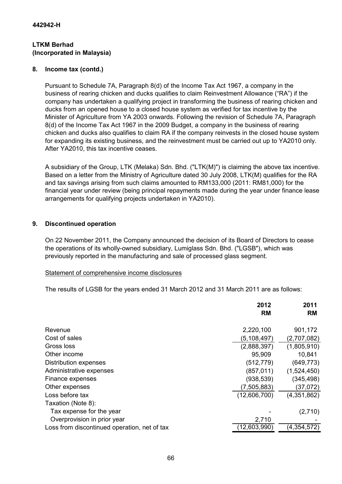### **8. Income tax (contd.)**

Pursuant to Schedule 7A, Paragraph 8(d) of the Income Tax Act 1967, a company in the business of rearing chicken and ducks qualifies to claim Reinvestment Allowance ("RA") if the company has undertaken a qualifying project in transforming the business of rearing chicken and ducks from an opened house to a closed house system as verified for tax incentive by the Minister of Agriculture from YA 2003 onwards. Following the revision of Schedule 7A, Paragraph 8(d) of the Income Tax Act 1967 in the 2009 Budget, a company in the business of rearing chicken and ducks also qualifies to claim RA if the company reinvests in the closed house system for expanding its existing business, and the reinvestment must be carried out up to YA2010 only. After YA2010, this tax incentive ceases.

A subsidiary of the Group, LTK (Melaka) Sdn. Bhd. ("LTK(M)") is claiming the above tax incentive. Based on a letter from the Ministry of Agriculture dated 30 July 2008, LTK(M) qualifies for the RA and tax savings arising from such claims amounted to RM133,000 (2011: RM81,000) for the financial year under review (being principal repayments made during the year under finance lease arrangements for qualifying projects undertaken in YA2010).

### **9. Discontinued operation**

On 22 November 2011, the Company announced the decision of its Board of Directors to cease the operations of its wholly-owned subsidiary, Lumiglass Sdn. Bhd. ("LGSB"), which was previously reported in the manufacturing and sale of processed glass segment.

#### Statement of comprehensive income disclosures

The results of LGSB for the years ended 31 March 2012 and 31 March 2011 are as follows:

|                                              | 2012<br><b>RM</b> | 2011<br><b>RM</b> |
|----------------------------------------------|-------------------|-------------------|
|                                              |                   |                   |
| Revenue                                      | 2,220,100         | 901,172           |
| Cost of sales                                | (5, 108, 497)     | (2,707,082)       |
| Gross loss                                   | (2,888,397)       | (1,805,910)       |
| Other income                                 | 95,909            | 10,841            |
| <b>Distribution expenses</b>                 | (512,779)         | (649, 773)        |
| Administrative expenses                      | (857, 011)        | (1,524,450)       |
| Finance expenses                             | (938,539)         | (345, 498)        |
| Other expenses                               | (7, 505, 883)     | (37,072)          |
| Loss before tax                              | (12,606,700)      | (4,351,862)       |
| Taxation (Note 8):                           |                   |                   |
| Tax expense for the year                     |                   | (2,710)           |
| Overprovision in prior year                  | 2,710             |                   |
| Loss from discontinued operation, net of tax | 12,603,990)       | (4,354,572)       |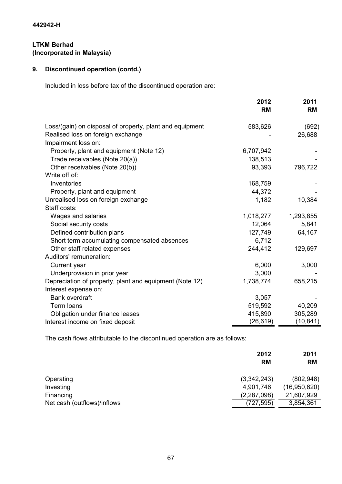## **9. Discontinued operation (contd.)**

Included in loss before tax of the discontinued operation are:

|                                                          | 2012<br><b>RM</b> | 2011<br><b>RM</b> |
|----------------------------------------------------------|-------------------|-------------------|
| Loss/(gain) on disposal of property, plant and equipment | 583,626           | (692)             |
| Realised loss on foreign exchange                        |                   | 26,688            |
| Impairment loss on:                                      |                   |                   |
| Property, plant and equipment (Note 12)                  | 6,707,942         |                   |
| Trade receivables (Note 20(a))                           | 138,513           |                   |
| Other receivables (Note 20(b))                           | 93,393            | 796,722           |
| Write off of:                                            |                   |                   |
| Inventories                                              | 168,759           |                   |
| Property, plant and equipment                            | 44,372            |                   |
| Unrealised loss on foreign exchange                      | 1,182             | 10,384            |
| Staff costs:                                             |                   |                   |
| Wages and salaries                                       | 1,018,277         | 1,293,855         |
| Social security costs                                    | 12,064            | 5,841             |
| Defined contribution plans                               | 127,749           | 64,167            |
| Short term accumulating compensated absences             | 6,712             |                   |
| Other staff related expenses                             | 244,412           | 129,697           |
| Auditors' remuneration:                                  |                   |                   |
| Current year                                             | 6,000             | 3,000             |
| Underprovision in prior year                             | 3,000             |                   |
| Depreciation of property, plant and equipment (Note 12)  | 1,738,774         | 658,215           |
| Interest expense on:                                     |                   |                   |
| <b>Bank overdraft</b>                                    | 3,057             |                   |
| Term loans                                               | 519,592           | 40,209            |
| Obligation under finance leases                          | 415,890           | 305,289           |
| Interest income on fixed deposit                         | (26, 619)         | (10, 841)         |

The cash flows attributable to the discontinued operation are as follows:

|                             | 2012<br><b>RM</b> | 2011<br><b>RM</b> |
|-----------------------------|-------------------|-------------------|
| Operating                   | (3,342,243)       | (802, 948)        |
| Investing                   | 4,901,746         | (16,950,620)      |
| Financing                   | (2, 287, 098)     | 21,607,929        |
| Net cash (outflows)/inflows | (727,595)         | 3,854,361         |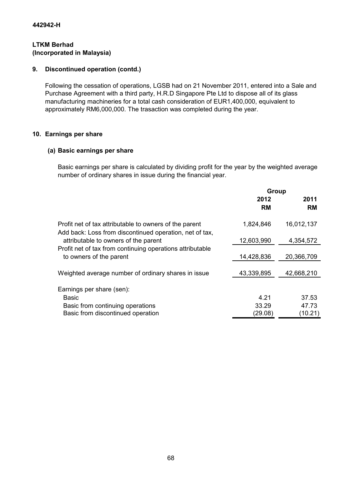## **9. Discontinued operation (contd.)**

Following the cessation of operations, LGSB had on 21 November 2011, entered into a Sale and Purchase Agreement with a third party, H.R.D Singapore Pte Ltd to dispose all of its glass manufacturing machineries for a total cash consideration of EUR1,400,000, equivalent to approximately RM6,000,000. The trasaction was completed during the year.

### **10. Earnings per share**

### **(a) Basic earnings per share**

Basic earnings per share is calculated by dividing profit for the year by the weighted average number of ordinary shares in issue during the financial year.

|                                                                                                                   | Group             |                   |  |  |
|-------------------------------------------------------------------------------------------------------------------|-------------------|-------------------|--|--|
|                                                                                                                   | 2012<br><b>RM</b> | 2011<br><b>RM</b> |  |  |
| Profit net of tax attributable to owners of the parent<br>Add back: Loss from discontinued operation, net of tax, | 1,824,846         | 16,012,137        |  |  |
| attributable to owners of the parent                                                                              | 12,603,990        | 4,354,572         |  |  |
| Profit net of tax from continuing operations attributable<br>to owners of the parent                              | 14,428,836        | 20,366,709        |  |  |
| Weighted average number of ordinary shares in issue                                                               | 43,339,895        | 42,668,210        |  |  |
| Earnings per share (sen):                                                                                         |                   |                   |  |  |
| <b>Basic</b>                                                                                                      | 4.21              | 37.53             |  |  |
| Basic from continuing operations                                                                                  | 33.29             | 47.73             |  |  |
| Basic from discontinued operation                                                                                 | (29.08)           | (10.21)           |  |  |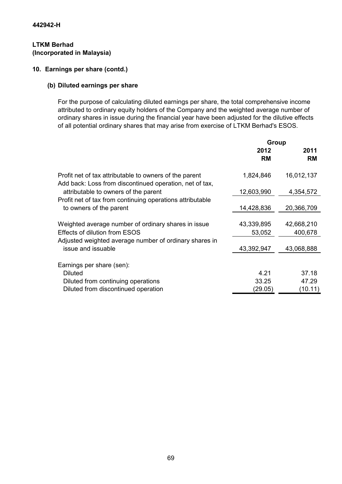### **10. Earnings per share (contd.)**

## **(b) Diluted earnings per share**

For the purpose of calculating diluted earnings per share, the total comprehensive income attributed to ordinary equity holders of the Company and the weighted average number of ordinary shares in issue during the financial year have been adjusted for the dilutive effects of all potential ordinary shares that may arise from exercise of LTKM Berhad's ESOS.

|                                                                                                                   | Group                |                       |  |  |
|-------------------------------------------------------------------------------------------------------------------|----------------------|-----------------------|--|--|
|                                                                                                                   | 2012<br><b>RM</b>    | 2011<br><b>RM</b>     |  |  |
| Profit net of tax attributable to owners of the parent<br>Add back: Loss from discontinued operation, net of tax, | 1,824,846            | 16,012,137            |  |  |
| attributable to owners of the parent                                                                              | 12,603,990           | 4,354,572             |  |  |
| Profit net of tax from continuing operations attributable<br>to owners of the parent                              | 14,428,836           | 20,366,709            |  |  |
| Weighted average number of ordinary shares in issue<br><b>Effects of dilution from ESOS</b>                       | 43,339,895<br>53,052 | 42,668,210<br>400,678 |  |  |
| Adjusted weighted average number of ordinary shares in<br>issue and issuable                                      | 43,392,947           | 43,068,888            |  |  |
| Earnings per share (sen):                                                                                         |                      |                       |  |  |
| <b>Diluted</b>                                                                                                    | 4.21                 | 37.18                 |  |  |
| Diluted from continuing operations<br>Diluted from discontinued operation                                         | 33.25<br>(29.05)     | 47.29<br>(10.11)      |  |  |
|                                                                                                                   |                      |                       |  |  |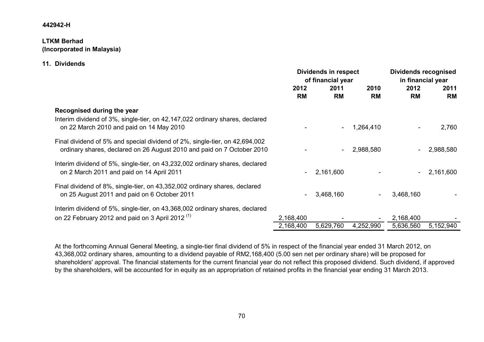#### **442942-H**

## **LTKM Berhad (Incorporated in Malaysia)**

**11. Dividends**

|                                                                                                                                                       | Dividends in respect<br>of financial year |                          |                          | Dividends recognised<br>in financial year |                   |
|-------------------------------------------------------------------------------------------------------------------------------------------------------|-------------------------------------------|--------------------------|--------------------------|-------------------------------------------|-------------------|
|                                                                                                                                                       | 2012<br><b>RM</b>                         | 2011<br><b>RM</b>        | 2010<br><b>RM</b>        | 2012<br><b>RM</b>                         | 2011<br><b>RM</b> |
| Recognised during the year<br>Interim dividend of 3%, single-tier, on 42,147,022 ordinary shares, declared                                            |                                           |                          |                          |                                           |                   |
| on 22 March 2010 and paid on 14 May 2010                                                                                                              |                                           | ۰                        | 1,264,410                | $\overline{\phantom{a}}$                  | 2,760             |
| Final dividend of 5% and special dividend of 2%, single-tier, on 42,694,002<br>ordinary shares, declared on 26 August 2010 and paid on 7 October 2010 |                                           | $\overline{\phantom{a}}$ | 2,988,580                | $\overline{\phantom{a}}$                  | 2,988,580         |
| Interim dividend of 5%, single-tier, on 43,232,002 ordinary shares, declared<br>on 2 March 2011 and paid on 14 April 2011                             |                                           | 2,161,600                |                          | ÷,                                        | 2,161,600         |
| Final dividend of 8%, single-tier, on 43,352,002 ordinary shares, declared<br>on 25 August 2011 and paid on 6 October 2011                            |                                           | 3,468,160                | $\overline{\phantom{0}}$ | 3,468,160                                 |                   |
| Interim dividend of 5%, single-tier, on 43,368,002 ordinary shares, declared                                                                          |                                           |                          |                          |                                           |                   |
| on 22 February 2012 and paid on 3 April 2012 <sup>(1)</sup>                                                                                           | 2,168,400<br>2,168,400                    | 5,629,760                | 4,252,990                | 2,168,400<br>5,636,560                    | 5,152,940         |

At the forthcoming Annual General Meeting, a single-tier final dividend of 5% in respect of the financial year ended 31 March 2012, on 43,368,002 ordinary shares, amounting to a dividend payable of RM2,168,400 (5.00 sen net per ordinary share) will be proposed for shareholders' approval. The financial statements for the current financial year do not reflect this proposed dividend. Such dividend, if approved by the shareholders, will be accounted for in equity as an appropriation of retained profits in the financial year ending 31 March 2013.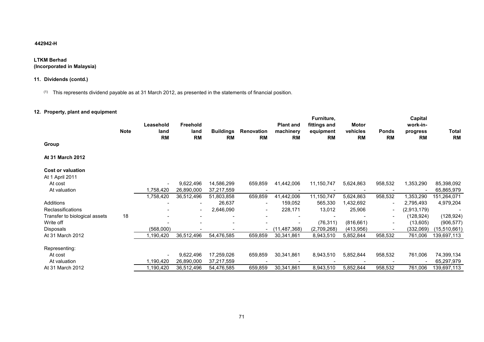#### **442942-H**

#### **LTKM Berhad (Incorporated in Malaysia)**

#### **11. Dividends (contd.)**

 $(1)$  This represents dividend payable as at 31 March 2012, as presented in the statements of financial position.

#### **12. Property, plant and equipment**

|                                             | <b>Note</b> | Leasehold<br>land<br><b>RM</b> | <b>Freehold</b><br>land<br><b>RM</b> | <b>Buildings</b><br><b>RM</b> | Renovation<br><b>RM</b> | <b>Plant and</b><br>machinery<br><b>RM</b> | Furniture,<br>fittings and<br>equipment<br><b>RM</b> | Motor<br>vehicles<br><b>RM</b> | Ponds<br><b>RM</b> | Capital<br>work-in-<br>progress<br><b>RM</b> | Total<br><b>RM</b> |
|---------------------------------------------|-------------|--------------------------------|--------------------------------------|-------------------------------|-------------------------|--------------------------------------------|------------------------------------------------------|--------------------------------|--------------------|----------------------------------------------|--------------------|
| Group                                       |             |                                |                                      |                               |                         |                                            |                                                      |                                |                    |                                              |                    |
| At 31 March 2012                            |             |                                |                                      |                               |                         |                                            |                                                      |                                |                    |                                              |                    |
| <b>Cost or valuation</b><br>At 1 April 2011 |             |                                |                                      |                               |                         |                                            |                                                      |                                |                    |                                              |                    |
| At cost                                     |             | $\sim$                         | 9,622,496                            | 14,586,299                    | 659,859                 | 41,442,006                                 | 11,150,747                                           | 5,624,863                      | 958,532            | 1,353,290                                    | 85,398,092         |
| At valuation                                |             | .758,420                       | 26,890,000                           | 37,217,559                    |                         |                                            |                                                      |                                |                    |                                              | 65,865,979         |
|                                             |             | 1,758,420                      | 36,512,496                           | 51,803,858                    | 659,859                 | 41,442,006                                 | 11,150,747                                           | 5,624,863                      | 958,532            | 1,353,290                                    | 151,264,071        |
| Additions                                   |             |                                |                                      | 26,637                        |                         | 159,052                                    | 565,330                                              | 1,432,692                      | $\blacksquare$     | 2,795,493                                    | 4,979,204          |
| <b>Reclassifications</b>                    |             |                                |                                      | 2,646,090                     |                         | 228,171                                    | 13,012                                               | 25,906                         |                    | (2,913,179)                                  |                    |
| Transfer to biological assets               | 18          |                                |                                      |                               |                         |                                            |                                                      |                                | $\sim$             | (128, 924)                                   | (128, 924)         |
| Write off                                   |             |                                |                                      |                               |                         |                                            | (76, 311)                                            | (816, 661)                     | $\sim$             | (13,605)                                     | (906, 577)         |
| Disposals                                   |             | (568,000)                      |                                      |                               |                         | (11, 487, 368)                             | (2,709,268)                                          | (413, 956)                     |                    | (332,069)                                    | (15,510,661)       |
| At 31 March 2012                            |             | ,190,420                       | 36,512,496                           | 54,476,585                    | 659,859                 | 30,341,861                                 | 8,943,510                                            | 5,852,844                      | 958,532            | 761,006                                      | 139,697,113        |
| Representing:                               |             |                                |                                      |                               |                         |                                            |                                                      |                                |                    |                                              |                    |
| At cost                                     |             | $\sim$                         | 9,622,496                            | 17,259,026                    | 659,859                 | 30,341,861                                 | 8,943,510                                            | 5,852,844                      | 958,532            | 761,006                                      | 74,399,134         |
| At valuation                                |             | 190,420                        | 26,890,000                           | 37,217,559                    |                         |                                            |                                                      |                                |                    |                                              | 65,297,979         |
| At 31 March 2012                            |             | 1,190,420                      | 36,512,496                           | 54,476,585                    | 659,859                 | 30,341,861                                 | 8,943,510                                            | 5,852,844                      | 958,532            | 761,006                                      | 139,697,113        |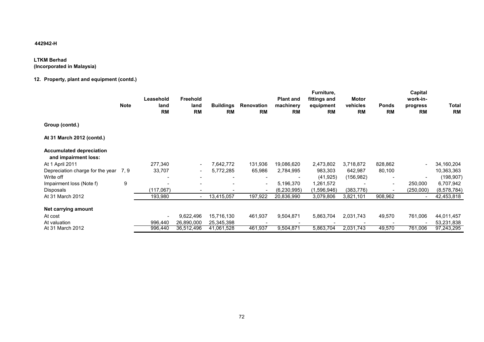#### **442942-H**

#### **LTKM Berhad (Incorporated in Malaysia)**

|                                                         | <b>Note</b> | Leasehold<br>land<br><b>RM</b> | <b>Freehold</b><br>land<br><b>RM</b> | <b>Buildings</b><br><b>RM</b> | <b>Renovation</b><br><b>RM</b> | <b>Plant and</b><br>machinery<br>RM | Furniture,<br>fittings and<br>equipment<br><b>RM</b> | Motor<br>vehicles<br><b>RM</b> | <b>Ponds</b><br><b>RM</b> | Capital<br>work-in-<br>progress<br><b>RM</b> | Total<br><b>RM</b> |
|---------------------------------------------------------|-------------|--------------------------------|--------------------------------------|-------------------------------|--------------------------------|-------------------------------------|------------------------------------------------------|--------------------------------|---------------------------|----------------------------------------------|--------------------|
| Group (contd.)                                          |             |                                |                                      |                               |                                |                                     |                                                      |                                |                           |                                              |                    |
| At 31 March 2012 (contd.)                               |             |                                |                                      |                               |                                |                                     |                                                      |                                |                           |                                              |                    |
| <b>Accumulated depreciation</b><br>and impairment loss: |             |                                |                                      |                               |                                |                                     |                                                      |                                |                           |                                              |                    |
| At 1 April 2011                                         |             | 277,340                        | $\overline{\phantom{a}}$             | 7,642,772                     | 131,936                        | 19,086,620                          | 2,473,802                                            | 3,718,872                      | 828,862                   |                                              | 34,160,204         |
| Depreciation charge for the year 7, 9                   |             | 33,707                         | $\sim$                               | 5,772,285                     | 65,986                         | 2,784,995                           | 983,303                                              | 642,987                        | 80,100                    |                                              | 10,363,363         |
| Write off                                               |             | $\overline{\phantom{a}}$       |                                      |                               |                                |                                     | (41, 925)                                            | (156,982)                      | $\overline{\phantom{a}}$  |                                              | (198, 907)         |
| Impairment loss (Note f)                                | 9           |                                |                                      |                               |                                | 5,196,370                           | 1,261,572                                            |                                | $\blacksquare$            | 250,000                                      | 6,707,942          |
| Disposals                                               |             | (117,067)                      |                                      |                               |                                | (6,230,995)                         | (1,596,946)                                          | (383, 776)                     |                           | (250,000)                                    | (8,578,784)        |
| At 31 March 2012                                        |             | 193,980                        | $\overline{\phantom{0}}$             | 13,415,057                    | 197,922                        | 20,836,990                          | 3,079,806                                            | 3,821,101                      | 908,962                   |                                              | 42,453,818         |
| Net carrying amount                                     |             |                                |                                      |                               |                                |                                     |                                                      |                                |                           |                                              |                    |
| At cost                                                 |             | $\overline{\phantom{a}}$       | 9,622,496                            | 15,716,130                    | 461,937                        | 9,504,871                           | 5,863,704                                            | 2,031,743                      | 49,570                    | 761,006                                      | 44,011,457         |
| At valuation                                            |             | 996,440                        | 26,890,000                           | 25,345,398                    |                                |                                     |                                                      |                                |                           |                                              | 53,231,838         |
| At 31 March 2012                                        |             | 996,440                        | 36,512,496                           | 41,061,528                    | 461,937                        | 9,504,871                           | 5,863,704                                            | 2,031,743                      | 49,570                    | 761,006                                      | 97,243,295         |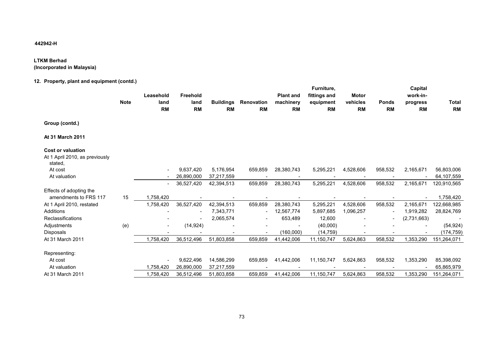#### **442942-H**

#### **LTKM Berhad**

**(Incorporated in Malaysia)**

|                                                                       | <b>Note</b> | Leasehold<br>land<br><b>RM</b> | <b>Freehold</b><br>land<br><b>RM</b> | <b>Buildings</b><br><b>RM</b> | Renovation<br><b>RM</b> | <b>Plant and</b><br>machinery<br><b>RM</b> | Furniture,<br>fittings and<br>equipment<br><b>RM</b> | <b>Motor</b><br>vehicles<br><b>RM</b> | <b>Ponds</b><br><b>RM</b> | Capital<br>work-in-<br>progress<br><b>RM</b> | <b>Total</b><br><b>RM</b> |
|-----------------------------------------------------------------------|-------------|--------------------------------|--------------------------------------|-------------------------------|-------------------------|--------------------------------------------|------------------------------------------------------|---------------------------------------|---------------------------|----------------------------------------------|---------------------------|
| Group (contd.)                                                        |             |                                |                                      |                               |                         |                                            |                                                      |                                       |                           |                                              |                           |
| <b>At 31 March 2011</b>                                               |             |                                |                                      |                               |                         |                                            |                                                      |                                       |                           |                                              |                           |
| <b>Cost or valuation</b><br>At 1 April 2010, as previously<br>stated, |             |                                |                                      |                               |                         |                                            |                                                      |                                       |                           |                                              |                           |
| At cost                                                               |             | $\overline{\phantom{0}}$       | 9,637,420                            | 5,176,954                     | 659,859                 | 28,380,743                                 | 5,295,221                                            | 4,528,606                             | 958,532                   | 2,165,671                                    | 56,803,006                |
| At valuation                                                          |             |                                | 26,890,000                           | 37,217,559                    |                         |                                            |                                                      |                                       |                           |                                              | 64,107,559                |
|                                                                       |             | $\overline{a}$                 | 36,527,420                           | 42,394,513                    | 659,859                 | 28,380,743                                 | 5,295,221                                            | 4,528,606                             | 958,532                   | 2,165,671                                    | 120,910,565               |
| Effects of adopting the                                               |             |                                |                                      |                               |                         |                                            |                                                      |                                       |                           |                                              |                           |
| amendments to FRS 117                                                 | 15          | 1,758,420                      |                                      |                               |                         |                                            |                                                      |                                       |                           |                                              | 1,758,420                 |
| At 1 April 2010, restated                                             |             | 1,758,420                      | 36,527,420                           | 42,394,513                    | 659,859                 | 28,380,743                                 | 5,295,221                                            | 4,528,606                             | 958,532                   | 2,165,671                                    | 122,668,985               |
| Additions                                                             |             | $\overline{\phantom{a}}$       | $\blacksquare$                       | 7,343,771                     |                         | 12,567,774                                 | 5,897,685                                            | 1,096,257                             | $\overline{\phantom{a}}$  | 1,919,282                                    | 28,824,769                |
| Reclassifications                                                     |             |                                | $\blacksquare$                       | 2,065,574                     |                         | 653,489                                    | 12,600                                               |                                       | $\overline{\phantom{a}}$  | (2,731,663)                                  |                           |
| Adjustments                                                           | (e)         | $\overline{\phantom{a}}$       | (14, 924)                            |                               |                         |                                            | (40,000)                                             |                                       |                           |                                              | (54, 924)                 |
| <b>Disposals</b>                                                      |             |                                |                                      |                               |                         | (160,000)                                  | (14, 759)                                            |                                       |                           |                                              | (174, 759)                |
| At 31 March 2011                                                      |             | 1,758,420                      | 36,512,496                           | 51,803,858                    | 659,859                 | 41,442,006                                 | 11,150,747                                           | 5,624,863                             | 958,532                   | 1,353,290                                    | 151,264,071               |
| Representing:                                                         |             |                                |                                      |                               |                         |                                            |                                                      |                                       |                           |                                              |                           |
| At cost                                                               |             | $\overline{\phantom{a}}$       | 9,622,496                            | 14,586,299                    | 659,859                 | 41,442,006                                 | 11,150,747                                           | 5,624,863                             | 958,532                   | 1,353,290                                    | 85,398,092                |
| At valuation                                                          |             | 1,758,420                      | 26,890,000                           | 37,217,559                    |                         |                                            |                                                      |                                       |                           |                                              | 65,865,979                |
| At 31 March 2011                                                      |             | 1,758,420                      | 36,512,496                           | 51,803,858                    | 659,859                 | 41,442,006                                 | 11,150,747                                           | 5,624,863                             | 958,532                   | 1,353,290                                    | 151,264,071               |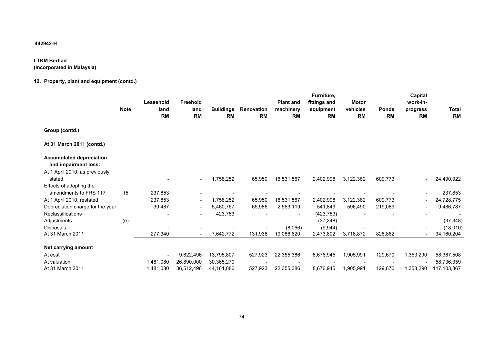#### **442942-H**

#### **LTKM Berhad**

**(Incorporated in Malaysia)**

|                                                                                                     | <b>Note</b> | Leasehold<br>land<br><b>RM</b>        | <b>Freehold</b><br>land<br><b>RM</b>         | <b>Buildings</b><br><b>RM</b>     | Renovation<br><b>RM</b> | <b>Plant and</b><br>machinery<br><b>RM</b> | Furniture,<br>fittings and<br>equipment<br><b>RM</b> | <b>Motor</b><br>vehicles<br><b>RM</b> | <b>Ponds</b><br><b>RM</b> | Capital<br>work-in-<br>progress<br><b>RM</b> | <b>Total</b><br><b>RM</b> |
|-----------------------------------------------------------------------------------------------------|-------------|---------------------------------------|----------------------------------------------|-----------------------------------|-------------------------|--------------------------------------------|------------------------------------------------------|---------------------------------------|---------------------------|----------------------------------------------|---------------------------|
| Group (contd.)                                                                                      |             |                                       |                                              |                                   |                         |                                            |                                                      |                                       |                           |                                              |                           |
| At 31 March 2011 (contd.)                                                                           |             |                                       |                                              |                                   |                         |                                            |                                                      |                                       |                           |                                              |                           |
| <b>Accumulated depreciation</b><br>and impairment loss:<br>At 1 April 2010, as previously<br>stated |             |                                       | $\sim$                                       | 1,758,252                         | 65,950                  | 16,531,567                                 | 2,402,998                                            | 3,122,382                             | 609,773                   |                                              | 24,490,922                |
| Effects of adopting the<br>amendments to FRS 117                                                    | 15          | 237,853                               |                                              |                                   |                         |                                            |                                                      |                                       |                           |                                              | 237,853                   |
| At 1 April 2010, restated<br>Depreciation charge for the year<br>Reclassifications                  |             | 237,853<br>39,487                     | $\sim$<br>$\sim$<br>$\overline{\phantom{a}}$ | 1,758,252<br>5,460,767<br>423,753 | 65,950<br>65,986        | 16,531,567<br>2,563,119                    | 2,402,998<br>541,849<br>(423, 753)                   | 3,122,382<br>596,490                  | 609,773<br>219,089        | $\sim$<br>-                                  | 24,728,775<br>9,486,787   |
| Adjustments<br><b>Disposals</b>                                                                     | (e)         | $\overline{\phantom{a}}$              | $\overline{\phantom{a}}$                     | $\overline{\phantom{a}}$          |                         | (8,066)                                    | (37, 348)<br>(9,944)                                 |                                       |                           | $\blacksquare$<br>$\sim$                     | (37, 348)<br>(18,010)     |
| At 31 March 2011                                                                                    |             | 277,340                               | $\sim$                                       | 7,642,772                         | 131,936                 | 19,086,620                                 | 2,473,802                                            | 3,718,872                             | 828,862                   | $\blacksquare$                               | 34,160,204                |
| Net carrying amount                                                                                 |             |                                       |                                              |                                   |                         |                                            |                                                      |                                       |                           |                                              |                           |
| At cost<br>At valuation                                                                             |             | $\overline{\phantom{a}}$<br>1.481.080 | 9,622,496<br>26.890.000                      | 13,795,807<br>30,365,279          | 527,923                 | 22,355,386                                 | 8,676,945                                            | 1,905,991                             | 129,670                   | 1,353,290                                    | 58,367,508<br>58,736,359  |
| At 31 March 2011                                                                                    |             | 1,481,080                             | 36,512,496                                   | 44,161,086                        | 527,923                 | 22,355,386                                 | 8,676,945                                            | 1,905,991                             | 129,670                   | 1,353,290                                    | 117,103,867               |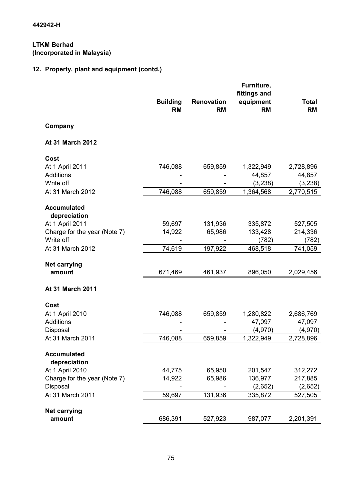|                                    | <b>Building</b><br><b>RM</b> | <b>Renovation</b><br><b>RM</b> | Furniture,<br>fittings and<br>equipment<br><b>RM</b> | <b>Total</b><br><b>RM</b> |
|------------------------------------|------------------------------|--------------------------------|------------------------------------------------------|---------------------------|
| Company                            |                              |                                |                                                      |                           |
| At 31 March 2012                   |                              |                                |                                                      |                           |
| Cost                               |                              |                                |                                                      |                           |
| At 1 April 2011                    | 746,088                      | 659,859                        | 1,322,949                                            | 2,728,896                 |
| <b>Additions</b>                   |                              |                                | 44,857                                               | 44,857                    |
| Write off                          |                              |                                | (3,238)                                              | (3,238)                   |
| At 31 March 2012                   | 746,088                      | 659,859                        | 1,364,568                                            | 2,770,515                 |
| <b>Accumulated</b><br>depreciation |                              |                                |                                                      |                           |
| At 1 April 2011                    | 59,697                       | 131,936                        | 335,872                                              | 527,505                   |
| Charge for the year (Note 7)       | 14,922                       | 65,986                         | 133,428                                              | 214,336                   |
| Write off                          |                              |                                | (782)                                                | (782)                     |
| At 31 March 2012                   | 74,619                       | 197,922                        | 468,518                                              | 741,059                   |
|                                    |                              |                                |                                                      |                           |
| <b>Net carrying</b><br>amount      | 671,469                      | 461,937                        | 896,050                                              | 2,029,456                 |
| At 31 March 2011                   |                              |                                |                                                      |                           |
| Cost                               |                              |                                |                                                      |                           |
| At 1 April 2010                    | 746,088                      | 659,859                        | 1,280,822                                            | 2,686,769                 |
| Additions                          |                              |                                | 47,097                                               | 47,097                    |
| Disposal                           |                              |                                | (4,970)                                              | (4,970)                   |
| At 31 March 2011                   | 746,088                      | 659,859                        | 1,322,949                                            | 2,728,896                 |
| <b>Accumulated</b><br>depreciation |                              |                                |                                                      |                           |
| At 1 April 2010                    | 44,775                       | 65,950                         | 201,547                                              | 312,272                   |
| Charge for the year (Note 7)       | 14,922                       | 65,986                         | 136,977                                              | 217,885                   |
| Disposal                           |                              |                                | (2,652)                                              | (2,652)                   |
| At 31 March 2011                   | 59,697                       | 131,936                        | 335,872                                              | 527,505                   |
|                                    |                              |                                |                                                      |                           |
| <b>Net carrying</b><br>amount      | 686,391                      | 527,923                        | 987,077                                              | 2,201,391                 |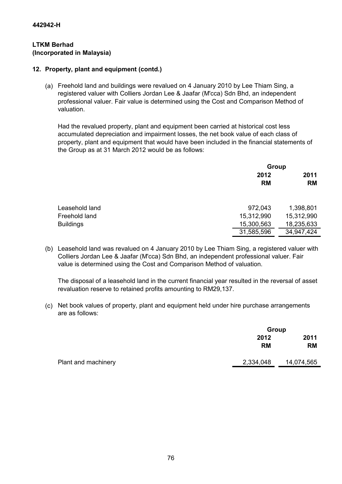### **12. Property, plant and equipment (contd.)**

(a) Freehold land and buildings were revalued on 4 January 2010 by Lee Thiam Sing, a registered valuer with Colliers Jordan Lee & Jaafar (M'cca) Sdn Bhd, an independent professional valuer. Fair value is determined using the Cost and Comparison Method of valuation.

Had the revalued property, plant and equipment been carried at historical cost less accumulated depreciation and impairment losses, the net book value of each class of property, plant and equipment that would have been included in the financial statements of the Group as at 31 March 2012 would be as follows:

|                  | Group      |            |  |
|------------------|------------|------------|--|
|                  | 2012       | 2011       |  |
|                  | <b>RM</b>  | <b>RM</b>  |  |
| Leasehold land   | 972,043    | 1,398,801  |  |
| Freehold land    | 15,312,990 | 15,312,990 |  |
| <b>Buildings</b> | 15,300,563 | 18,235,633 |  |
|                  | 31,585,596 | 34,947,424 |  |

(b) Leasehold land was revalued on 4 January 2010 by Lee Thiam Sing, a registered valuer with Colliers Jordan Lee & Jaafar (M'cca) Sdn Bhd, an independent professional valuer. Fair value is determined using the Cost and Comparison Method of valuation.

The disposal of a leasehold land in the current financial year resulted in the reversal of asset revaluation reserve to retained profits amounting to RM29,137.

(c) Net book values of property, plant and equipment held under hire purchase arrangements are as follows:

|                     |                   | Group             |  |  |
|---------------------|-------------------|-------------------|--|--|
|                     | 2012<br><b>RM</b> | 2011<br><b>RM</b> |  |  |
| Plant and machinery | 2,334,048         | 14,074,565        |  |  |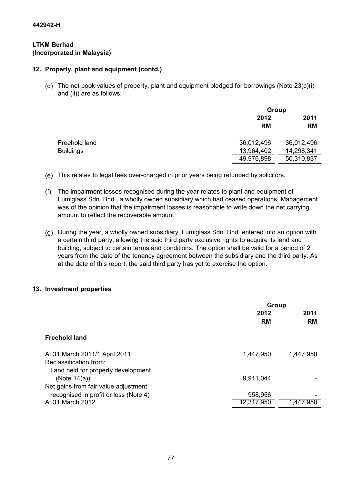### **12. Property, plant and equipment (contd.)**

(d) The net book values of property, plant and equipment pledged for borrowings (Note 23(c)(i) and (ii)) are as follows:

|                  |                   | Group             |  |  |
|------------------|-------------------|-------------------|--|--|
|                  | 2012<br><b>RM</b> | 2011<br><b>RM</b> |  |  |
| Freehold land    | 36,012,496        | 36,012,496        |  |  |
| <b>Buildings</b> | 13,964,402        | 14,298,341        |  |  |
|                  | 49,976,898        | 50,310,837        |  |  |
|                  |                   |                   |  |  |

- (e) This relates to legal fees over-charged in prior years being refunded by solicitors.
- (f) The impairment losses recognised during the year relates to plant and equipment of Lumiglass Sdn. Bhd., a wholly owned subsidiary which had ceased operations. Management was of the opinion that the impairment losses is reasonable to write down the net carrying amount to reflect the recoverable amount.
- (g) During the year, a wholly owned subsidiary, Lumiglass Sdn. Bhd. entered into an option with a certain third party, allowing the said third party exclusive rights to acquire its land and building, subject to certain terms and conditions. The option shall be valid for a period of 2 years from the date of the tenancy agreement between the subsidiary and the third party. As at the date of this report, the said third party has yet to exercise the option.

#### **13. Investment properties**

|                                       | Group             |                   |  |
|---------------------------------------|-------------------|-------------------|--|
|                                       | 2012<br><b>RM</b> | 2011<br><b>RM</b> |  |
| <b>Freehold land</b>                  |                   |                   |  |
| At 31 March 2011/1 April 2011         | 1,447,950         | 1,447,950         |  |
| Reclassification from:                |                   |                   |  |
| Land held for property development    |                   |                   |  |
| (Note $14(a)$ )                       | 9,911,044         |                   |  |
| Net gains from fair value adjustment  |                   |                   |  |
| recognised in profit or loss (Note 4) | 958,956           |                   |  |
| At 31 March 2012                      | 12,317,950        | 1,447,950         |  |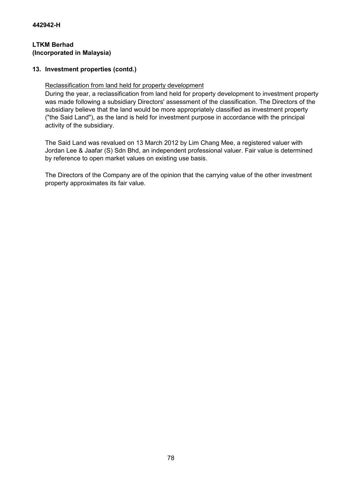### **13. Investment properties (contd.)**

### Reclassification from land held for property development

During the year, a reclassification from land held for property development to investment property was made following a subsidiary Directors' assessment of the classification. The Directors of the subsidiary believe that the land would be more appropriately classified as investment property ("the Said Land"), as the land is held for investment purpose in accordance with the principal activity of the subsidiary.

The Said Land was revalued on 13 March 2012 by Lim Chang Mee, a registered valuer with Jordan Lee & Jaafar (S) Sdn Bhd, an independent professional valuer. Fair value is determined by reference to open market values on existing use basis.

The Directors of the Company are of the opinion that the carrying value of the other investment property approximates its fair value.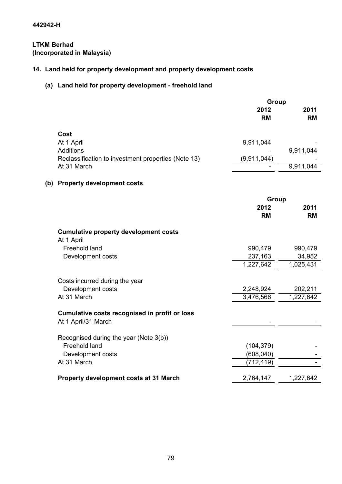### **14. Land held for property development and property development costs**

### **(a) Land held for property development - freehold land**

|                                                                      | <b>Group</b> |           |  |
|----------------------------------------------------------------------|--------------|-----------|--|
|                                                                      | 2012         | 2011      |  |
|                                                                      | <b>RM</b>    | <b>RM</b> |  |
| Cost                                                                 |              |           |  |
| At 1 April                                                           | 9,911,044    |           |  |
| <b>Additions</b>                                                     |              | 9,911,044 |  |
| Reclassification to investment properties (Note 13)                  | (9,911,044)  |           |  |
| At 31 March                                                          |              | 9,911,044 |  |
| (b) Property development costs                                       |              |           |  |
|                                                                      |              |           |  |
|                                                                      | <b>Group</b> |           |  |
|                                                                      | 2012         | 2011      |  |
|                                                                      | <b>RM</b>    | <b>RM</b> |  |
| <b>Cumulative property development costs</b><br>At 1 April           |              |           |  |
| Freehold land                                                        | 990,479      | 990,479   |  |
| Development costs                                                    | 237,163      | 34,952    |  |
|                                                                      | 1,227,642    | 1,025,431 |  |
| Costs incurred during the year                                       |              |           |  |
| Development costs                                                    | 2,248,924    | 202,211   |  |
| At 31 March                                                          | 3,476,566    | 1,227,642 |  |
|                                                                      |              |           |  |
| Cumulative costs recognised in profit or loss<br>At 1 April/31 March |              |           |  |
| Recognised during the year (Note 3(b))                               |              |           |  |
| Freehold land                                                        | (104, 379)   |           |  |
| Development costs                                                    | (608, 040)   |           |  |
| At 31 March                                                          | (712, 419)   |           |  |
| Property development costs at 31 March                               | 2,764,147    | 1,227,642 |  |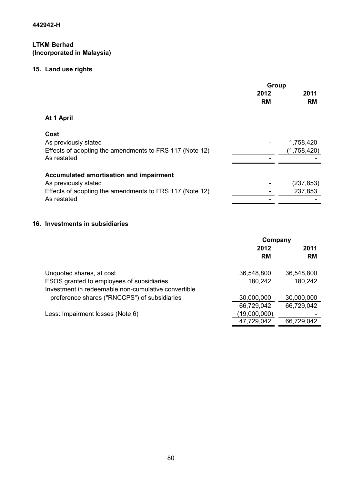# **15. Land use rights**

|                                                         | Group             |                   |  |
|---------------------------------------------------------|-------------------|-------------------|--|
|                                                         | 2012<br><b>RM</b> | 2011<br><b>RM</b> |  |
| At 1 April                                              |                   |                   |  |
| Cost                                                    |                   |                   |  |
| As previously stated                                    |                   | 1,758,420         |  |
| Effects of adopting the amendments to FRS 117 (Note 12) |                   | (1,758,420)       |  |
| As restated                                             |                   |                   |  |
| Accumulated amortisation and impairment                 |                   |                   |  |
| As previously stated                                    |                   | (237, 853)        |  |
| Effects of adopting the amendments to FRS 117 (Note 12) |                   | 237,853           |  |
| As restated                                             |                   |                   |  |

### **16. Investments in subsidiaries**

|                                                     |              | Company    |  |  |
|-----------------------------------------------------|--------------|------------|--|--|
|                                                     | 2012         | 2011       |  |  |
|                                                     | <b>RM</b>    | <b>RM</b>  |  |  |
| Unquoted shares, at cost                            | 36,548,800   | 36,548,800 |  |  |
| ESOS granted to employees of subsidiaries           | 180,242      | 180,242    |  |  |
| Investment in redeemable non-cumulative convertible |              |            |  |  |
| preference shares ("RNCCPS") of subsidiaries        | 30,000,000   | 30,000,000 |  |  |
|                                                     | 66,729,042   | 66,729,042 |  |  |
| Less: Impairment losses (Note 6)                    | (19,000,000) |            |  |  |
|                                                     | 47,729,042   | 66,729,042 |  |  |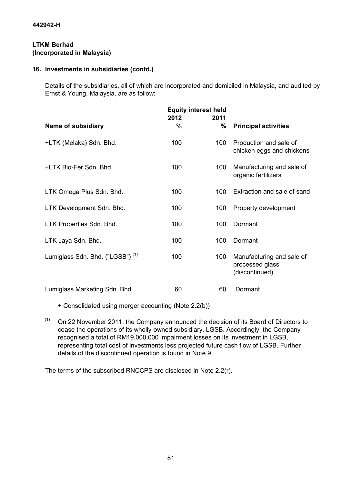### **16. Investments in subsidiaries (contd.)**

Details of the subsidiaries, all of which are incorporated and domiciled in Malaysia, and audited by Ernst & Young, Malaysia, are as follow:

|                                             | 2012 | <b>Equity interest held</b><br>2011 |                                                                |
|---------------------------------------------|------|-------------------------------------|----------------------------------------------------------------|
| <b>Name of subsidiary</b>                   | %    | %                                   | <b>Principal activities</b>                                    |
| +LTK (Melaka) Sdn. Bhd.                     | 100  | 100                                 | Production and sale of<br>chicken eggs and chickens            |
| +LTK Bio-Fer Sdn, Bhd.                      | 100  | 100                                 | Manufacturing and sale of<br>organic fertilizers               |
| LTK Omega Plus Sdn. Bhd.                    | 100  | 100                                 | Extraction and sale of sand                                    |
| LTK Development Sdn. Bhd.                   | 100  | 100                                 | Property development                                           |
| LTK Properties Sdn. Bhd.                    | 100  | 100                                 | Dormant                                                        |
| LTK Jaya Sdn. Bhd.                          | 100  | 100                                 | Dormant                                                        |
| Lumiglass Sdn. Bhd. ("LGSB") <sup>(1)</sup> | 100  | 100                                 | Manufacturing and sale of<br>processed glass<br>(discontinued) |
| Lumiglass Marketing Sdn. Bhd.               | 60   | 60                                  | Dormant                                                        |

+ Consolidated using merger accounting (Note 2.2(b))

(1) On 22 November 2011, the Company announced the decision of its Board of Directors to cease the operations of its wholly-owned subsidiary, LGSB. Accordingly, the Company recognised a total of RM19,000,000 impairment losses on its investment in LGSB, representing total cost of investments less projected future cash flow of LGSB. Further details of the discontinued operation is found in Note 9.

The terms of the subscribed RNCCPS are disclosed in Note 2.2(r).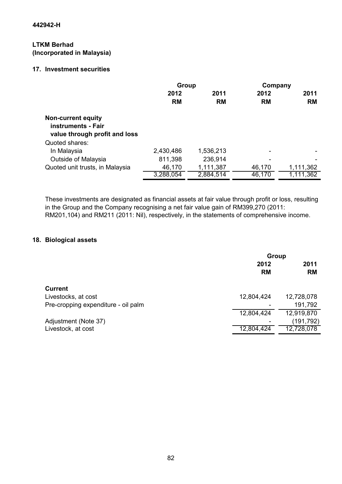### **17. Investment securities**

|                                                                                  | Group     |           | Company   |           |
|----------------------------------------------------------------------------------|-----------|-----------|-----------|-----------|
|                                                                                  | 2012      | 2011      | 2012      | 2011      |
|                                                                                  | <b>RM</b> | <b>RM</b> | <b>RM</b> | <b>RM</b> |
| <b>Non-current equity</b><br>instruments - Fair<br>value through profit and loss |           |           |           |           |
| Quoted shares:                                                                   |           |           |           |           |
| In Malaysia                                                                      | 2,430,486 | 1,536,213 |           |           |
| Outside of Malaysia                                                              | 811,398   | 236,914   |           |           |
| Quoted unit trusts, in Malaysia                                                  | 46,170    | 1,111,387 | 46,170    | 1,111,362 |
|                                                                                  | 3,288,054 | 2,884,514 | 46,170    | 1,111,362 |

These investments are designated as financial assets at fair value through profit or loss, resulting in the Group and the Company recognising a net fair value gain of RM399,270 (2011: RM201,104) and RM211 (2011: Nil), respectively, in the statements of comprehensive income.

### **18. Biological assets**

|                                     | Group      |            |  |
|-------------------------------------|------------|------------|--|
|                                     | 2012       | 2011       |  |
|                                     | <b>RM</b>  | <b>RM</b>  |  |
| <b>Current</b>                      |            |            |  |
| Livestocks, at cost                 | 12,804,424 | 12,728,078 |  |
| Pre-cropping expenditure - oil palm |            | 191,792    |  |
|                                     | 12,804,424 | 12,919,870 |  |
| Adjustment (Note 37)                |            | (191, 792) |  |
| Livestock, at cost                  | 12,804,424 | 12,728,078 |  |
|                                     |            |            |  |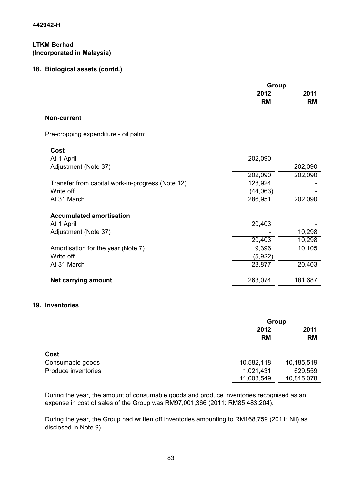### **18. Biological assets (contd.)**

|                                                  | Group             |                   |
|--------------------------------------------------|-------------------|-------------------|
|                                                  | 2012<br><b>RM</b> | 2011<br><b>RM</b> |
| <b>Non-current</b>                               |                   |                   |
| Pre-cropping expenditure - oil palm:             |                   |                   |
| Cost                                             |                   |                   |
| At 1 April                                       | 202,090           |                   |
| Adjustment (Note 37)                             |                   | 202,090           |
|                                                  | 202,090           | 202,090           |
| Transfer from capital work-in-progress (Note 12) | 128,924           |                   |
| Write off                                        | (44,063)          |                   |
| At 31 March                                      | 286,951           | 202,090           |
| <b>Accumulated amortisation</b>                  |                   |                   |
| At 1 April                                       | 20,403            |                   |
| Adjustment (Note 37)                             |                   | 10,298            |
|                                                  | 20,403            | 10,298            |
| Amortisation for the year (Note 7)               | 9,396             | 10,105            |
| Write off                                        | (5,922)           |                   |
| At 31 March                                      | 23,877            | 20,403            |
|                                                  |                   |                   |
| Net carrying amount                              | 263,074           | 181,687           |
|                                                  |                   |                   |
| 19. Inventories                                  |                   |                   |
|                                                  | Group             |                   |
|                                                  | 2012              | 2011              |
|                                                  | <b>RM</b>         | <b>RM</b>         |
| Cost                                             |                   |                   |
| Consumable goods                                 | 10,582,118        | 10,185,519        |
| Produce inventories                              | 1,021,431         | 629,559           |

During the year, the amount of consumable goods and produce inventories recognised as an expense in cost of sales of the Group was RM97,001,366 (2011: RM85,483,204).

11,603,549 10,815,078

During the year, the Group had written off inventories amounting to RM168,759 (2011: Nil) as disclosed in Note 9).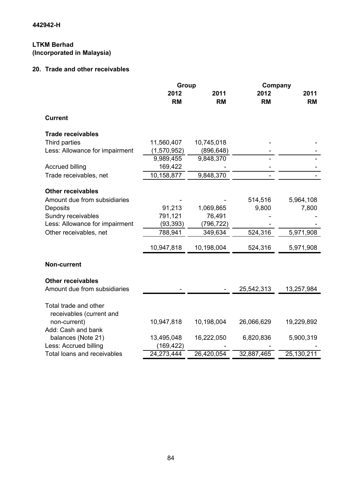## **20. Trade and other receivables**

|                                | Group       |            | Company    |            |
|--------------------------------|-------------|------------|------------|------------|
|                                | 2012        | 2011       | 2012       | 2011       |
|                                | <b>RM</b>   | <b>RM</b>  | <b>RM</b>  | <b>RM</b>  |
| <b>Current</b>                 |             |            |            |            |
| <b>Trade receivables</b>       |             |            |            |            |
| Third parties                  | 11,560,407  | 10,745,018 |            |            |
| Less: Allowance for impairment | (1,570,952) | (896, 648) |            |            |
|                                | 9,989,455   | 9,848,370  |            |            |
| <b>Accrued billing</b>         | 169,422     |            |            |            |
| Trade receivables, net         | 10,158,877  | 9,848,370  |            |            |
| <b>Other receivables</b>       |             |            |            |            |
|                                |             |            |            |            |
| Amount due from subsidiaries   |             |            | 514,516    | 5,964,108  |
| Deposits                       | 91,213      | 1,069,865  | 9,800      | 7,800      |
| Sundry receivables             | 791,121     | 76,491     |            |            |
| Less: Allowance for impairment | (93, 393)   | (796, 722) |            |            |
| Other receivables, net         | 788,941     | 349,634    | 524,316    | 5,971,908  |
|                                | 10,947,818  | 10,198,004 | 524,316    | 5,971,908  |
|                                |             |            |            |            |
| <b>Non-current</b>             |             |            |            |            |
| <b>Other receivables</b>       |             |            |            |            |
| Amount due from subsidiaries   |             |            | 25,542,313 | 13,257,984 |
| Total trade and other          |             |            |            |            |
| receivables (current and       |             |            |            |            |
| non-current)                   | 10,947,818  | 10,198,004 | 26,066,629 | 19,229,892 |
| Add: Cash and bank             |             |            |            |            |
| balances (Note 21)             | 13,495,048  | 16,222,050 | 6,820,836  | 5,900,319  |
| Less: Accrued billing          | (169, 422)  |            |            |            |
| Total loans and receivables    | 24,273,444  | 26,420,054 | 32,887,465 | 25,130,211 |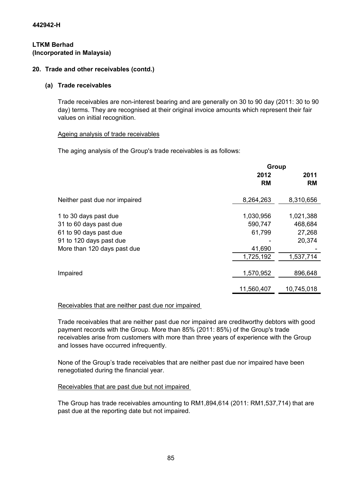### **20. Trade and other receivables (contd.)**

### **(a) Trade receivables**

Trade receivables are non-interest bearing and are generally on 30 to 90 day (2011: 30 to 90 day) terms. They are recognised at their original invoice amounts which represent their fair values on initial recognition.

#### Ageing analysis of trade receivables

The aging analysis of the Group's trade receivables is as follows:

|                               |            | Group      |  |  |
|-------------------------------|------------|------------|--|--|
|                               | 2012       | 2011       |  |  |
|                               | <b>RM</b>  | <b>RM</b>  |  |  |
| Neither past due nor impaired | 8,264,263  | 8,310,656  |  |  |
|                               |            |            |  |  |
| 1 to 30 days past due         | 1,030,956  | 1,021,388  |  |  |
| 31 to 60 days past due        | 590,747    | 468,684    |  |  |
| 61 to 90 days past due        | 61,799     | 27,268     |  |  |
| 91 to 120 days past due       |            | 20,374     |  |  |
| More than 120 days past due   | 41,690     |            |  |  |
|                               | 1,725,192  | 1,537,714  |  |  |
|                               |            |            |  |  |
| Impaired                      | 1,570,952  | 896,648    |  |  |
|                               |            |            |  |  |
|                               | 11,560,407 | 10,745,018 |  |  |

#### Receivables that are neither past due nor impaired

Trade receivables that are neither past due nor impaired are creditworthy debtors with good payment records with the Group. More than 85% (2011: 85%) of the Group's trade receivables arise from customers with more than three years of experience with the Group and losses have occurred infrequently.

None of the Group's trade receivables that are neither past due nor impaired have been renegotiated during the financial year.

#### Receivables that are past due but not impaired

The Group has trade receivables amounting to RM1,894,614 (2011: RM1,537,714) that are past due at the reporting date but not impaired.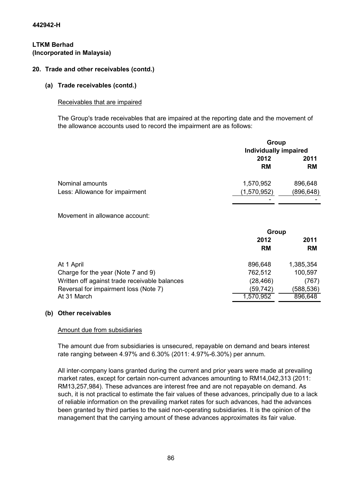### **20. Trade and other receivables (contd.)**

### **(a) Trade receivables (contd.)**

#### Receivables that are impaired

The Group's trade receivables that are impaired at the reporting date and the movement of the allowance accounts used to record the impairment are as follows:

|                                                   | Group<br><b>Individually impaired</b> |                       |  |
|---------------------------------------------------|---------------------------------------|-----------------------|--|
|                                                   | 2012<br><b>RM</b>                     | 2011<br><b>RM</b>     |  |
| Nominal amounts<br>Less: Allowance for impairment | 1,570,952<br>(1,570,952)              | 896,648<br>(896, 648) |  |

Movement in allowance account:

|                                               | Group     |           |  |
|-----------------------------------------------|-----------|-----------|--|
|                                               | 2012      | 2011      |  |
|                                               | <b>RM</b> | <b>RM</b> |  |
| At 1 April                                    | 896,648   | 1,385,354 |  |
| Charge for the year (Note 7 and 9)            | 762,512   | 100,597   |  |
| Written off against trade receivable balances | (28, 466) | (767)     |  |
| Reversal for impairment loss (Note 7)         | (59,742)  | (588,536) |  |
| At 31 March                                   | 1,570,952 | 896,648   |  |

#### **(b) Other receivables**

#### Amount due from subsidiaries

The amount due from subsidiaries is unsecured, repayable on demand and bears interest rate ranging between 4.97% and 6.30% (2011: 4.97%-6.30%) per annum.

All inter-company loans granted during the current and prior years were made at prevailing market rates, except for certain non-current advances amounting to RM14,042,313 (2011: RM13,257,984). These advances are interest free and are not repayable on demand. As such, it is not practical to estimate the fair values of these advances, principally due to a lack of reliable information on the prevailing market rates for such advances, had the advances been granted by third parties to the said non-operating subsidiaries. It is the opinion of the management that the carrying amount of these advances approximates its fair value.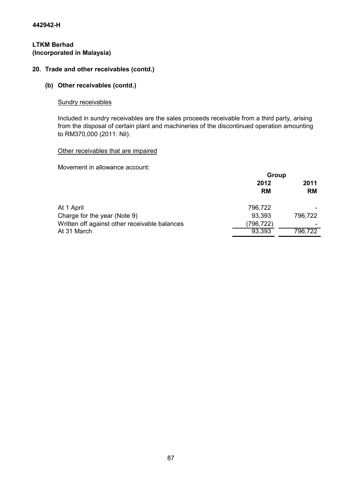### **20. Trade and other receivables (contd.)**

### **(b) Other receivables (contd.)**

#### Sundry receivables

Included in sundry receivables are the sales proceeds receivable from a third party, arising from the disposal of certain plant and machineries of the discontinued operation amounting to RM370,000 (2011: Nil).

#### Other receivables that are impaired

Movement in allowance account:

|                                               | Group     |           |  |
|-----------------------------------------------|-----------|-----------|--|
|                                               | 2012      | 2011      |  |
|                                               | <b>RM</b> | <b>RM</b> |  |
| At 1 April                                    | 796,722   |           |  |
| Charge for the year (Note 9)                  | 93,393    | 796,722   |  |
| Written off against other receivable balances | (796,722) |           |  |
| At 31 March                                   | 93,393    | 796,722   |  |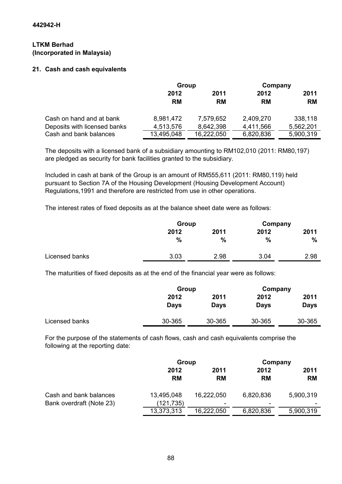### **21. Cash and cash equivalents**

|                              | Group      |            | Company   |           |
|------------------------------|------------|------------|-----------|-----------|
|                              | 2012       | 2011       | 2012      | 2011      |
|                              | <b>RM</b>  | <b>RM</b>  | <b>RM</b> | <b>RM</b> |
| Cash on hand and at bank     | 8,981,472  | 7,579,652  | 2,409,270 | 338,118   |
| Deposits with licensed banks | 4,513,576  | 8,642,398  | 4.411,566 | 5,562,201 |
| Cash and bank balances       | 13,495,048 | 16,222,050 | 6,820,836 | 5,900,319 |

The deposits with a licensed bank of a subsidiary amounting to RM102,010 (2011: RM80,197) are pledged as security for bank facilities granted to the subsidiary.

Included in cash at bank of the Group is an amount of RM555,611 (2011: RM80,119) held pursuant to Section 7A of the Housing Development (Housing Development Account) Regulations,1991 and therefore are restricted from use in other operations.

The interest rates of fixed deposits as at the balance sheet date were as follows:

|                | Group        |      | Company       |      |
|----------------|--------------|------|---------------|------|
|                | 2012<br>2011 | 2012 | 2011          |      |
|                | $\%$         | $\%$ | $\frac{0}{0}$ | $\%$ |
| Licensed banks | 3.03         | 2.98 | 3.04          | 2.98 |

The maturities of fixed deposits as at the end of the financial year were as follows:

|                | Group               |                     | Company             |                     |
|----------------|---------------------|---------------------|---------------------|---------------------|
|                | 2012<br><b>Days</b> | 2011<br><b>Days</b> | 2012<br><b>Days</b> | 2011<br><b>Days</b> |
| Licensed banks | 30-365              | 30-365              | 30-365              | 30-365              |

For the purpose of the statements of cash flows, cash and cash equivalents comprise the following at the reporting date:

|                          | Group             |                   | Company           |                   |
|--------------------------|-------------------|-------------------|-------------------|-------------------|
|                          | 2012<br><b>RM</b> | 2011<br><b>RM</b> | 2012<br><b>RM</b> | 2011<br><b>RM</b> |
| Cash and bank balances   | 13,495,048        | 16,222,050        | 6,820,836         | 5,900,319         |
| Bank overdraft (Note 23) | (121,735)         |                   | -                 |                   |
|                          | 13,373,313        | 16,222,050        | 6,820,836         | 5,900,319         |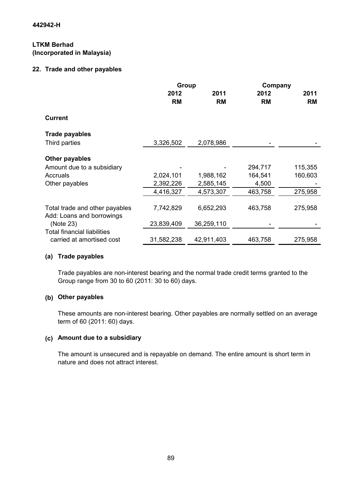# **LTKM Berhad**

**(Incorporated in Malaysia)**

### **22. Trade and other payables**

|                                                                 | Group             |                   |                   | Company           |  |
|-----------------------------------------------------------------|-------------------|-------------------|-------------------|-------------------|--|
|                                                                 | 2012<br><b>RM</b> | 2011<br><b>RM</b> | 2012<br><b>RM</b> | 2011<br><b>RM</b> |  |
| <b>Current</b>                                                  |                   |                   |                   |                   |  |
| <b>Trade payables</b>                                           |                   |                   |                   |                   |  |
| Third parties                                                   | 3,326,502         | 2,078,986         |                   |                   |  |
| <b>Other payables</b>                                           |                   |                   |                   |                   |  |
| Amount due to a subsidiary                                      |                   |                   | 294,717           | 115,355           |  |
| Accruals                                                        | 2,024,101         | 1,988,162         | 164,541           | 160,603           |  |
| Other payables                                                  | 2,392,226         | 2,585,145         | 4,500             |                   |  |
|                                                                 | 4,416,327         | 4,573,307         | 463,758           | 275,958           |  |
| Total trade and other payables<br>Add: Loans and borrowings     | 7,742,829         | 6,652,293         | 463,758           | 275,958           |  |
| (Note 23)                                                       | 23,839,409        | 36,259,110        |                   |                   |  |
| <b>Total financial liabilities</b><br>carried at amortised cost | 31,582,238        | 42,911,403        | 463,758           | 275,958           |  |

### **(a) Trade payables**

Trade payables are non-interest bearing and the normal trade credit terms granted to the Group range from 30 to 60 (2011: 30 to 60) days.

### **(b) Other payables**

These amounts are non-interest bearing. Other payables are normally settled on an average term of 60 (2011: 60) days.

### **(c) Amount due to a subsidiary**

The amount is unsecured and is repayable on demand. The entire amount is short term in nature and does not attract interest.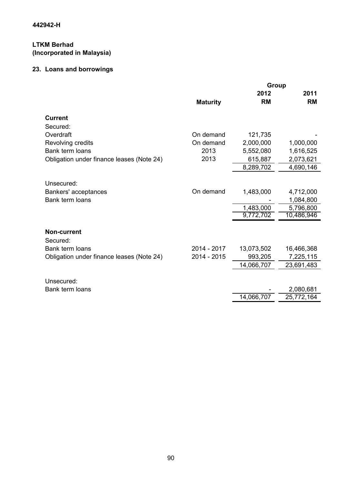# **23. Loans and borrowings**

|                                           |                 | Group      |            |
|-------------------------------------------|-----------------|------------|------------|
|                                           |                 | 2012       | 2011       |
|                                           | <b>Maturity</b> | <b>RM</b>  | <b>RM</b>  |
| <b>Current</b>                            |                 |            |            |
| Secured:                                  |                 |            |            |
| Overdraft                                 | On demand       | 121,735    |            |
| Revolving credits                         | On demand       | 2,000,000  | 1,000,000  |
| Bank term loans                           | 2013            | 5,552,080  | 1,616,525  |
| Obligation under finance leases (Note 24) | 2013            | 615,887    | 2,073,621  |
|                                           |                 | 8,289,702  | 4,690,146  |
|                                           |                 |            |            |
| Unsecured:                                |                 |            |            |
| Bankers' acceptances                      | On demand       | 1,483,000  | 4,712,000  |
| Bank term loans                           |                 |            | 1,084,800  |
|                                           |                 | 1,483,000  | 5,796,800  |
|                                           |                 | 9,772,702  | 10,486,946 |
|                                           |                 |            |            |
| <b>Non-current</b>                        |                 |            |            |
| Secured:                                  |                 |            |            |
| Bank term loans                           | 2014 - 2017     | 13,073,502 | 16,466,368 |
| Obligation under finance leases (Note 24) | 2014 - 2015     | 993,205    | 7,225,115  |
|                                           |                 | 14,066,707 | 23,691,483 |
|                                           |                 |            |            |
| Unsecured:                                |                 |            |            |
| Bank term loans                           |                 |            | 2,080,681  |
|                                           |                 | 14,066,707 | 25,772,164 |
|                                           |                 |            |            |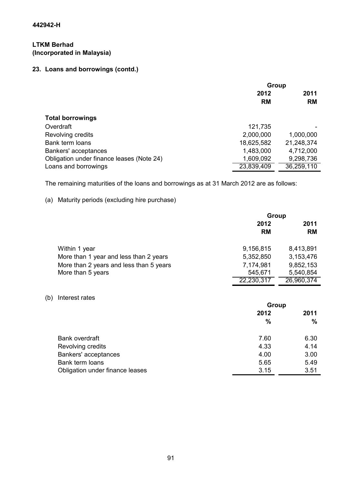# **23. Loans and borrowings (contd.)**

|                                           |            | Group      |  |  |
|-------------------------------------------|------------|------------|--|--|
|                                           | 2012       | 2011       |  |  |
|                                           | <b>RM</b>  | <b>RM</b>  |  |  |
| <b>Total borrowings</b>                   |            |            |  |  |
| Overdraft                                 | 121,735    |            |  |  |
| Revolving credits                         | 2,000,000  | 1,000,000  |  |  |
| Bank term loans                           | 18,625,582 | 21,248,374 |  |  |
| Bankers' acceptances                      | 1,483,000  | 4,712,000  |  |  |
| Obligation under finance leases (Note 24) | 1,609,092  | 9,298,736  |  |  |
| Loans and borrowings                      | 23,839,409 | 36,259,110 |  |  |

The remaining maturities of the loans and borrowings as at 31 March 2012 are as follows:

# (a) Maturity periods (excluding hire purchase)

|     |                                         | <b>Group</b> |            |
|-----|-----------------------------------------|--------------|------------|
|     |                                         | 2012         | 2011       |
|     |                                         | <b>RM</b>    | <b>RM</b>  |
|     | Within 1 year                           | 9,156,815    | 8,413,891  |
|     | More than 1 year and less than 2 years  | 5,352,850    | 3,153,476  |
|     | More than 2 years and less than 5 years | 7,174,981    | 9,852,153  |
|     | More than 5 years                       | 545,671      | 5,540,854  |
|     |                                         | 22,230,317   | 26,960,374 |
| (b) | Interest rates                          |              |            |
|     |                                         | Group        |            |
|     |                                         | 2012         | 2011       |
|     |                                         | %            | $\%$       |
|     | <b>Bank overdraft</b>                   | 7.60         | 6.30       |
|     | Revolving credits                       | 4.33         | 4.14       |
|     | Bankers' acceptances                    | 4.00         | 3.00       |
|     | Bank term loans                         | 5.65         | 5.49       |
|     | Obligation under finance leases         | 3.15         | 3.51       |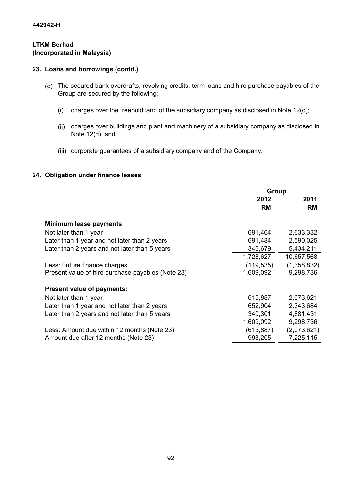### **23. Loans and borrowings (contd.)**

- (c) The secured bank overdrafts, revolving credits, term loans and hire purchase payables of the Group are secured by the following:
	- (i) charges over the freehold land of the subsidiary company as disclosed in Note 12(d);
	- (ii) charges over buildings and plant and machinery of a subsidiary company as disclosed in Note 12(d); and
	- (iii) corporate guarantees of a subsidiary company and of the Company.

### **24. Obligation under finance leases**

|                                                   | Group      |             |
|---------------------------------------------------|------------|-------------|
|                                                   | 2012       | 2011        |
|                                                   | <b>RM</b>  | <b>RM</b>   |
| Minimum lease payments                            |            |             |
| Not later than 1 year                             | 691,464    | 2,633,332   |
| Later than 1 year and not later than 2 years      | 691,484    | 2,590,025   |
| Later than 2 years and not later than 5 years     | 345,679    | 5,434,211   |
|                                                   | 1,728,627  | 10,657,568  |
| Less: Future finance charges                      | (119, 535) | (1,358,832) |
| Present value of hire purchase payables (Note 23) | 1,609,092  | 9,298,736   |
| <b>Present value of payments:</b>                 |            |             |
| Not later than 1 year                             | 615,887    | 2,073,621   |
| Later than 1 year and not later than 2 years      | 652,904    | 2,343,684   |
| Later than 2 years and not later than 5 years     | 340,301    | 4,881,431   |
|                                                   | 1,609,092  | 9,298,736   |
| Less: Amount due within 12 months (Note 23)       | (615, 887) | (2,073,621) |
| Amount due after 12 months (Note 23)              | 993,205    | 7,225,115   |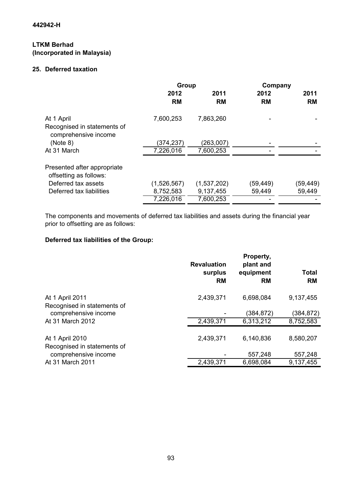### **25. Deferred taxation**

|                                                       | Group                  |                        | Company           |                   |
|-------------------------------------------------------|------------------------|------------------------|-------------------|-------------------|
|                                                       | 2012<br><b>RM</b>      | 2011<br><b>RM</b>      | 2012<br><b>RM</b> | 2011<br><b>RM</b> |
| At 1 April<br>Recognised in statements of             | 7,600,253              | 7,863,260              |                   |                   |
| comprehensive income<br>(Note 8)<br>At 31 March       | (374,237)<br>7,226,016 | (263,007)<br>7,600,253 |                   |                   |
| Presented after appropriate<br>offsetting as follows: |                        |                        |                   |                   |
| Deferred tax assets                                   | (1,526,567)            | (1,537,202)            | (59,449)          | (59,449)          |
| Deferred tax liabilities                              | 8,752,583              | 9,137,455              | 59,449            | 59,449            |
|                                                       | 7,226,016              | 7,600,253              |                   |                   |

The components and movements of deferred tax liabilities and assets during the financial year prior to offsetting are as follows:

# **Deferred tax liabilities of the Group:**

|                                                     | <b>Revaluation</b><br>surplus<br><b>RM</b> | Property,<br>plant and<br>equipment<br><b>RM</b> | Total<br><b>RM</b> |
|-----------------------------------------------------|--------------------------------------------|--------------------------------------------------|--------------------|
| At 1 April 2011                                     | 2,439,371                                  | 6,698,084                                        | 9,137,455          |
| Recognised in statements of<br>comprehensive income |                                            | (384,872)                                        | (384,872)          |
| At 31 March 2012                                    | 2,439,371                                  | 6,313,212                                        | 8,752,583          |
| At 1 April 2010<br>Recognised in statements of      | 2,439,371                                  | 6,140,836                                        | 8,580,207          |
| comprehensive income                                |                                            | 557,248                                          | 557,248            |
| At 31 March 2011                                    | 2,439,371                                  | 6,698,084                                        | 9,137,455          |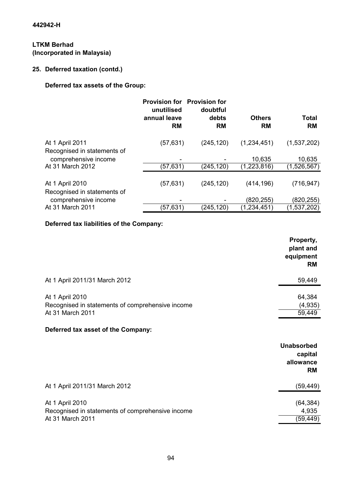# **25. Deferred taxation (contd.)**

### **Deferred tax assets of the Group:**

|                                                | <b>Provision for</b><br>unutilised<br>annual leave<br><b>RM</b> | <b>Provision for</b><br>doubtful<br>debts<br><b>RM</b> | <b>Others</b><br><b>RM</b> | Total<br><b>RM</b> |
|------------------------------------------------|-----------------------------------------------------------------|--------------------------------------------------------|----------------------------|--------------------|
| At 1 April 2011<br>Recognised in statements of | (57, 631)                                                       | (245, 120)                                             | (1,234,451)                | (1,537,202)        |
| comprehensive income                           |                                                                 |                                                        | 10,635                     | 10,635             |
| At 31 March 2012                               | (57,631)                                                        | (245, 120)                                             | (1,223,816)                | (1,526,567)        |
| At 1 April 2010<br>Recognised in statements of | (57, 631)                                                       | (245, 120)                                             | (414, 196)                 | (716, 947)         |
| comprehensive income                           |                                                                 |                                                        | (820,255)                  | (820,255)          |
| At 31 March 2011                               | (57,631)                                                        | (245,120)                                              | (1, 234, 451)              | (1,537,202)        |

## **Deferred tax liabilities of the Company:**

|                                                                                         | Property,<br>plant and<br>equipment<br><b>RM</b>       |
|-----------------------------------------------------------------------------------------|--------------------------------------------------------|
| At 1 April 2011/31 March 2012                                                           | 59,449                                                 |
| At 1 April 2010<br>Recognised in statements of comprehensive income<br>At 31 March 2011 | 64,384<br>(4,935)<br>$\overline{59,449}$               |
| Deferred tax asset of the Company:                                                      |                                                        |
|                                                                                         | <b>Unabsorbed</b><br>capital<br>allowance<br><b>RM</b> |
| At 1 April 2011/31 March 2012                                                           | (59, 449)                                              |
| At 1 April 2010<br>Recognised in statements of comprehensive income<br>At 31 March 2011 | (64, 384)<br>4,935<br>(59, 449)                        |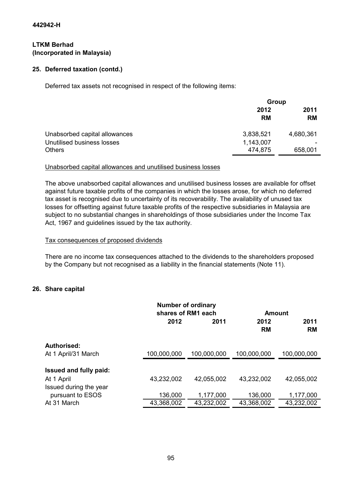### **25. Deferred taxation (contd.)**

Deferred tax assets not recognised in respect of the following items:

|                               | Group             |                   |  |
|-------------------------------|-------------------|-------------------|--|
|                               | 2012<br><b>RM</b> | 2011<br><b>RM</b> |  |
| Unabsorbed capital allowances | 3,838,521         | 4,680,361         |  |
| Unutilised business losses    | 1,143,007         |                   |  |
| <b>Others</b>                 | 474,875           | 658,001           |  |

#### Unabsorbed capital allowances and unutilised business losses

The above unabsorbed capital allowances and unutilised business losses are available for offset against future taxable profits of the companies in which the losses arose, for which no deferred tax asset is recognised due to uncertainty of its recoverability. The availability of unused tax losses for offsetting against future taxable profits of the respective subsidiaries in Malaysia are subject to no substantial changes in shareholdings of those subsidiaries under the Income Tax Act, 1967 and guidelines issued by the tax authority.

#### Tax consequences of proposed dividends

There are no income tax consequences attached to the dividends to the shareholders proposed by the Company but not recognised as a liability in the financial statements (Note 11).

#### **26. Share capital**

|                               |             | <b>Number of ordinary</b><br>shares of RM1 each |                   | <b>Amount</b>     |
|-------------------------------|-------------|-------------------------------------------------|-------------------|-------------------|
|                               | 2012        | 2011                                            | 2012<br><b>RM</b> | 2011<br><b>RM</b> |
| <b>Authorised:</b>            |             |                                                 |                   |                   |
| At 1 April/31 March           | 100,000,000 | 100,000,000                                     | 100,000,000       | 100,000,000       |
| <b>Issued and fully paid:</b> |             |                                                 |                   |                   |
| At 1 April                    | 43,232,002  | 42,055,002                                      | 43,232,002        | 42,055,002        |
| Issued during the year        |             |                                                 |                   |                   |
| pursuant to ESOS              | 136,000     | 1,177,000                                       | 136,000           | 1,177,000         |
| At 31 March                   | 43,368,002  | 43,232,002                                      | 43,368,002        | 43,232,002        |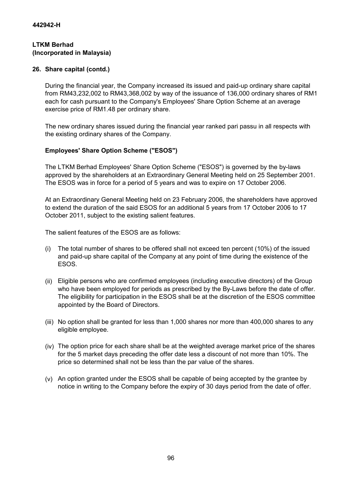### **26. Share capital (contd.)**

During the financial year, the Company increased its issued and paid-up ordinary share capital from RM43,232,002 to RM43,368,002 by way of the issuance of 136,000 ordinary shares of RM1 each for cash pursuant to the Company's Employees' Share Option Scheme at an average exercise price of RM1.48 per ordinary share.

The new ordinary shares issued during the financial year ranked pari passu in all respects with the existing ordinary shares of the Company.

### **Employees' Share Option Scheme ("ESOS")**

The LTKM Berhad Employees' Share Option Scheme ("ESOS") is governed by the by-laws approved by the shareholders at an Extraordinary General Meeting held on 25 September 2001. The ESOS was in force for a period of 5 years and was to expire on 17 October 2006.

At an Extraordinary General Meeting held on 23 February 2006, the shareholders have approved to extend the duration of the said ESOS for an additional 5 years from 17 October 2006 to 17 October 2011, subject to the existing salient features.

The salient features of the ESOS are as follows:

- (i) The total number of shares to be offered shall not exceed ten percent (10%) of the issued and paid-up share capital of the Company at any point of time during the existence of the ESOS.
- (ii) Eligible persons who are confirmed employees (including executive directors) of the Group who have been employed for periods as prescribed by the By-Laws before the date of offer. The eligibility for participation in the ESOS shall be at the discretion of the ESOS committee appointed by the Board of Directors.
- (iii) No option shall be granted for less than 1,000 shares nor more than 400,000 shares to any eligible employee.
- (iv) The option price for each share shall be at the weighted average market price of the shares for the 5 market days preceding the offer date less a discount of not more than 10%. The price so determined shall not be less than the par value of the shares.
- (v) An option granted under the ESOS shall be capable of being accepted by the grantee by notice in writing to the Company before the expiry of 30 days period from the date of offer.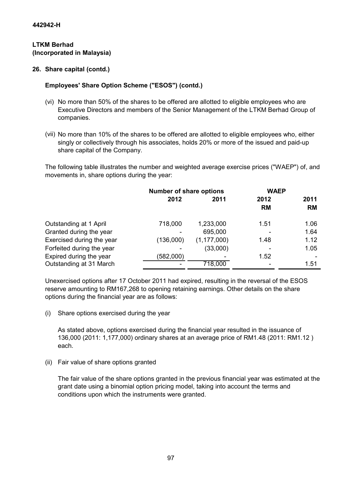### **26. Share capital (contd.)**

### **Employees' Share Option Scheme ("ESOS") (contd.)**

- (vi) No more than 50% of the shares to be offered are allotted to eligible employees who are Executive Directors and members of the Senior Management of the LTKM Berhad Group of companies.
- (vii) No more than 10% of the shares to be offered are allotted to eligible employees who, either singly or collectively through his associates, holds 20% or more of the issued and paid-up share capital of the Company.

The following table illustrates the number and weighted average exercise prices ("WAEP") of, and movements in, share options during the year:

|                           | <b>Number of share options</b> |               | <b>WAEP</b>       |                   |
|---------------------------|--------------------------------|---------------|-------------------|-------------------|
|                           | 2012                           | 2011          | 2012<br><b>RM</b> | 2011<br><b>RM</b> |
| Outstanding at 1 April    | 718,000                        | 1,233,000     | 1.51              | 1.06              |
| Granted during the year   |                                | 695,000       |                   | 1.64              |
| Exercised during the year | (136,000)                      | (1, 177, 000) | 1.48              | 1.12              |
| Forfeited during the year |                                | (33,000)      |                   | 1.05              |
| Expired during the year   | (582,000)                      |               | 1.52              |                   |
| Outstanding at 31 March   |                                | 718,000       |                   | 1.51              |

Unexercised options after 17 October 2011 had expired, resulting in the reversal of the ESOS reserve amounting to RM167,268 to opening retaining earnings. Other details on the share options during the financial year are as follows:

(i) Share options exercised during the year

As stated above, options exercised during the financial year resulted in the issuance of 136,000 (2011: 1,177,000) ordinary shares at an average price of RM1.48 (2011: RM1.12 ) each.

(ii) Fair value of share options granted

The fair value of the share options granted in the previous financial year was estimated at the grant date using a binomial option pricing model, taking into account the terms and conditions upon which the instruments were granted.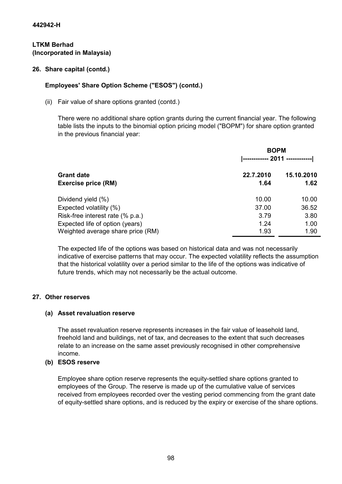### **26. Share capital (contd.)**

### **Employees' Share Option Scheme ("ESOS") (contd.)**

(ii) Fair value of share options granted (contd.)

There were no additional share option grants during the current financial year. The following table lists the inputs to the binomial option pricing model ("BOPM") for share option granted in the previous financial year:

|                                   | <b>BOPM</b> |            |  |
|-----------------------------------|-------------|------------|--|
| <b>Grant date</b>                 | 22.7.2010   | 15.10.2010 |  |
| <b>Exercise price (RM)</b>        | 1.64        | 1.62       |  |
| Dividend yield (%)                | 10.00       | 10.00      |  |
| Expected volatility (%)           | 37.00       | 36.52      |  |
| Risk-free interest rate (% p.a.)  | 3.79        | 3.80       |  |
| Expected life of option (years)   | 1.24        | 1.00       |  |
| Weighted average share price (RM) | 1.93        | 1.90       |  |

The expected life of the options was based on historical data and was not necessarily indicative of exercise patterns that may occur. The expected volatility reflects the assumption that the historical volatility over a period similar to the life of the options was indicative of future trends, which may not necessarily be the actual outcome.

#### **27. Other reserves**

#### **(a) Asset revaluation reserve**

The asset revaluation reserve represents increases in the fair value of leasehold land, freehold land and buildings, net of tax, and decreases to the extent that such decreases relate to an increase on the same asset previously recognised in other comprehensive income.

### **(b) ESOS reserve**

Employee share option reserve represents the equity-settled share options granted to employees of the Group. The reserve is made up of the cumulative value of services received from employees recorded over the vesting period commencing from the grant date of equity-settled share options, and is reduced by the expiry or exercise of the share options.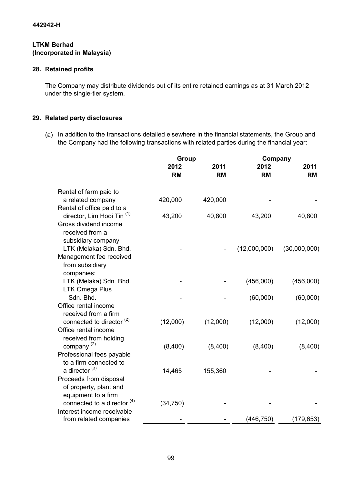### **28. Retained profits**

The Company may distribute dividends out of its entire retained earnings as at 31 March 2012 under the single-tier system.

### **29. Related party disclosures**

(a) In addition to the transactions detailed elsewhere in the financial statements, the Group and the Company had the following transactions with related parties during the financial year:

|                                                     | Group             |                   | Company           |                   |
|-----------------------------------------------------|-------------------|-------------------|-------------------|-------------------|
|                                                     | 2012<br><b>RM</b> | 2011<br><b>RM</b> | 2012<br><b>RM</b> | 2011<br><b>RM</b> |
| Rental of farm paid to                              |                   |                   |                   |                   |
| a related company                                   | 420,000           | 420,000           |                   |                   |
| Rental of office paid to a                          |                   |                   |                   |                   |
| director, Lim Hooi Tin <sup>(1)</sup>               | 43,200            | 40,800            | 43,200            | 40,800            |
| Gross dividend income                               |                   |                   |                   |                   |
| received from a                                     |                   |                   |                   |                   |
| subsidiary company,                                 |                   |                   |                   |                   |
| LTK (Melaka) Sdn. Bhd.                              |                   |                   | (12,000,000)      | (30,000,000)      |
| Management fee received                             |                   |                   |                   |                   |
| from subsidiary                                     |                   |                   |                   |                   |
| companies:                                          |                   |                   |                   |                   |
| LTK (Melaka) Sdn. Bhd.                              |                   |                   | (456,000)         | (456,000)         |
| <b>LTK Omega Plus</b>                               |                   |                   |                   |                   |
| Sdn. Bhd.                                           |                   |                   | (60,000)          | (60,000)          |
| Office rental income                                |                   |                   |                   |                   |
| received from a firm                                |                   |                   |                   |                   |
| connected to director <sup>(2)</sup>                | (12,000)          | (12,000)          | (12,000)          | (12,000)          |
| Office rental income                                |                   |                   |                   |                   |
| received from holding<br>company $(2)$              |                   |                   |                   |                   |
|                                                     | (8,400)           | (8,400)           | (8,400)           | (8,400)           |
| Professional fees payable<br>to a firm connected to |                   |                   |                   |                   |
| a director <sup>(3)</sup>                           | 14,465            | 155,360           |                   |                   |
| Proceeds from disposal                              |                   |                   |                   |                   |
| of property, plant and                              |                   |                   |                   |                   |
| equipment to a firm                                 |                   |                   |                   |                   |
| connected to a director (4)                         | (34, 750)         |                   |                   |                   |
| Interest income receivable                          |                   |                   |                   |                   |
| from related companies                              |                   |                   | (446, 750)        | (179, 653)        |
|                                                     |                   |                   |                   |                   |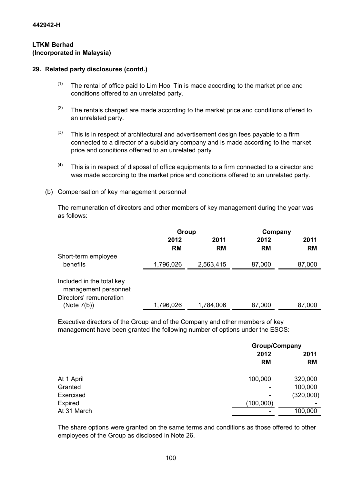### **29. Related party disclosures (contd.)**

- (1) The rental of office paid to Lim Hooi Tin is made according to the market price and conditions offered to an unrelated party.
- (2) The rentals charged are made according to the market price and conditions offered to an unrelated party.
- (3) This is in respect of architectural and advertisement design fees payable to a firm connected to a director of a subsidiary company and is made according to the market price and conditions offerred to an unrelated party.
- (4) This is in respect of disposal of office equipments to a firm connected to a director and was made according to the market price and conditions offered to an unrelated party.
- (b) Compensation of key management personnel

The remuneration of directors and other members of key management during the year was as follows:

|                                                    | Group     |           | Company   |           |
|----------------------------------------------------|-----------|-----------|-----------|-----------|
|                                                    | 2012      | 2011      | 2012      | 2011      |
|                                                    | <b>RM</b> | <b>RM</b> | <b>RM</b> | <b>RM</b> |
| Short-term employee                                |           |           |           |           |
| benefits                                           | 1,796,026 | 2,563,415 | 87,000    | 87,000    |
|                                                    |           |           |           |           |
| Included in the total key<br>management personnel: |           |           |           |           |
| Directors' remuneration                            |           |           |           |           |
| (Note 7(b))                                        | 1,796,026 | 1,784,006 | 87,000    | 87,000    |

Executive directors of the Group and of the Company and other members of key management have been granted the following number of options under the ESOS:

|             | <b>Group/Company</b> |           |
|-------------|----------------------|-----------|
|             | 2012                 | 2011      |
|             | <b>RM</b>            | <b>RM</b> |
| At 1 April  | 100,000              | 320,000   |
| Granted     | -                    | 100,000   |
| Exercised   | ٠                    | (320,000) |
| Expired     | (100,000)            |           |
| At 31 March |                      | 100,000   |

The share options were granted on the same terms and conditions as those offered to other employees of the Group as disclosed in Note 26.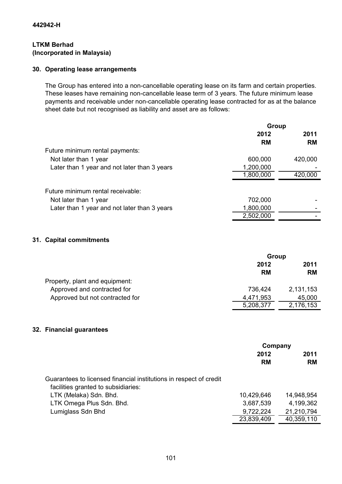### **30. Operating lease arrangements**

The Group has entered into a non-cancellable operating lease on its farm and certain properties. These leases have remaining non-cancellable lease term of 3 years. The future minimum lease payments and receivable under non-cancellable operating lease contracted for as at the balance sheet date but not recognised as liability and asset are as follows:

|                                              | Group     |           |
|----------------------------------------------|-----------|-----------|
|                                              | 2012      | 2011      |
|                                              | <b>RM</b> | <b>RM</b> |
| Future minimum rental payments:              |           |           |
| Not later than 1 year                        | 600,000   | 420,000   |
| Later than 1 year and not later than 3 years | 1,200,000 |           |
|                                              | 1,800,000 | 420,000   |
| Future minimum rental receivable:            |           |           |
| Not later than 1 year                        | 702,000   |           |
| Later than 1 year and not later than 3 years | 1,800,000 |           |
|                                              | 2,502,000 |           |

#### **31. Capital commitments**

|                                 | Group             |                   |
|---------------------------------|-------------------|-------------------|
|                                 | 2012<br><b>RM</b> | 2011<br><b>RM</b> |
| Property, plant and equipment:  |                   |                   |
| Approved and contracted for     | 736,424           | 2,131,153         |
| Approved but not contracted for | 4,471,953         | 45,000            |
|                                 | 5,208,377         | 2,176,153         |

#### **32. Financial guarantees**

|                                                                                                           | Company    |            |
|-----------------------------------------------------------------------------------------------------------|------------|------------|
|                                                                                                           | 2012       | 2011       |
|                                                                                                           | <b>RM</b>  | <b>RM</b>  |
| Guarantees to licensed financial institutions in respect of credit<br>facilities granted to subsidiaries: |            |            |
| LTK (Melaka) Sdn. Bhd.                                                                                    | 10,429,646 | 14,948,954 |
| LTK Omega Plus Sdn. Bhd.                                                                                  | 3,687,539  | 4,199,362  |
| Lumiglass Sdn Bhd                                                                                         | 9,722,224  | 21,210,794 |
|                                                                                                           | 23,839,409 | 40,359,110 |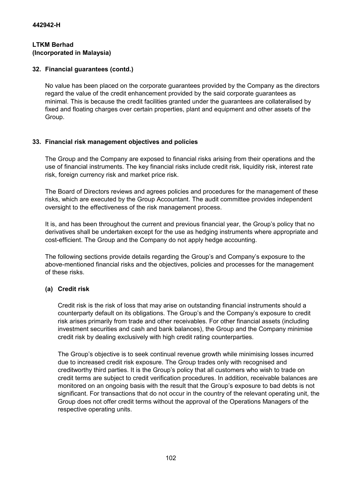### **32. Financial guarantees (contd.)**

No value has been placed on the corporate guarantees provided by the Company as the directors regard the value of the credit enhancement provided by the said corporate guarantees as minimal. This is because the credit facilities granted under the guarantees are collateralised by fixed and floating charges over certain properties, plant and equipment and other assets of the Group.

#### **33. Financial risk management objectives and policies**

The Group and the Company are exposed to financial risks arising from their operations and the use of financial instruments. The key financial risks include credit risk, liquidity risk, interest rate risk, foreign currency risk and market price risk.

The Board of Directors reviews and agrees policies and procedures for the management of these risks, which are executed by the Group Accountant. The audit committee provides independent oversight to the effectiveness of the risk management process.

It is, and has been throughout the current and previous financial year, the Group's policy that no derivatives shall be undertaken except for the use as hedging instruments where appropriate and cost-efficient. The Group and the Company do not apply hedge accounting.

The following sections provide details regarding the Group's and Company's exposure to the above-mentioned financial risks and the objectives, policies and processes for the management of these risks.

### **(a) Credit risk**

Credit risk is the risk of loss that may arise on outstanding financial instruments should a counterparty default on its obligations. The Group's and the Company's exposure to credit risk arises primarily from trade and other receivables. For other financial assets (including investment securities and cash and bank balances), the Group and the Company minimise credit risk by dealing exclusively with high credit rating counterparties.

The Group's objective is to seek continual revenue growth while minimising losses incurred due to increased credit risk exposure. The Group trades only with recognised and creditworthy third parties. It is the Group's policy that all customers who wish to trade on credit terms are subject to credit verification procedures. In addition, receivable balances are monitored on an ongoing basis with the result that the Group's exposure to bad debts is not significant. For transactions that do not occur in the country of the relevant operating unit, the Group does not offer credit terms without the approval of the Operations Managers of the respective operating units.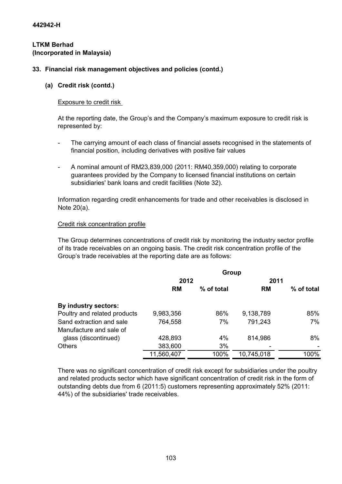### **33. Financial risk management objectives and policies (contd.)**

### **(a) Credit risk (contd.)**

#### Exposure to credit risk

At the reporting date, the Group's and the Company's maximum exposure to credit risk is represented by:

- The carrying amount of each class of financial assets recognised in the statements of financial position, including derivatives with positive fair values
- A nominal amount of RM23,839,000 (2011: RM40,359,000) relating to corporate guarantees provided by the Company to licensed financial institutions on certain subsidiaries' bank loans and credit facilities (Note 32).

Information regarding credit enhancements for trade and other receivables is disclosed in Note 20(a).

#### Credit risk concentration profile

The Group determines concentrations of credit risk by monitoring the industry sector profile of its trade receivables on an ongoing basis. The credit risk concentration profile of the Group's trade receivables at the reporting date are as follows:

|                              | Group      |            |            |            |
|------------------------------|------------|------------|------------|------------|
|                              | 2012       |            | 2011       |            |
|                              | <b>RM</b>  | % of total | <b>RM</b>  | % of total |
| By industry sectors:         |            |            |            |            |
| Poultry and related products | 9,983,356  | 86%        | 9,138,789  | 85%        |
| Sand extraction and sale     | 764,558    | 7%         | 791,243    | 7%         |
| Manufacture and sale of      |            |            |            |            |
| glass (discontinued)         | 428,893    | 4%         | 814,986    | 8%         |
| <b>Others</b>                | 383,600    | 3%         |            |            |
|                              | 11,560,407 | 100%       | 10,745,018 | 100%       |

There was no significant concentration of credit risk except for subsidiaries under the poultry and related products sector which have significant concentration of credit risk in the form of outstanding debts due from 6 (2011:5) customers representing approximately 52% (2011: 44%) of the subsidiaries' trade receivables.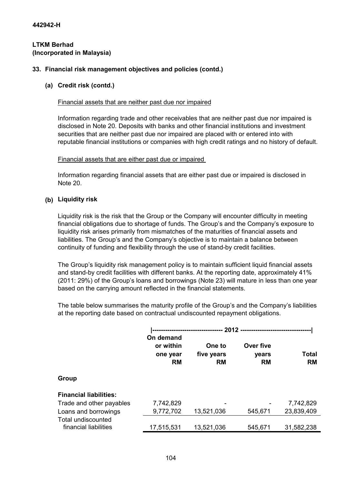### **33. Financial risk management objectives and policies (contd.)**

### **(a) Credit risk (contd.)**

#### Financial assets that are neither past due nor impaired

Information regarding trade and other receivables that are neither past due nor impaired is disclosed in Note 20. Deposits with banks and other financial institutions and investment securities that are neither past due nor impaired are placed with or entered into with reputable financial institutions or companies with high credit ratings and no history of default.

#### Financial assets that are either past due or impaired

Information regarding financial assets that are either past due or impaired is disclosed in Note 20.

#### **(b) Liquidity risk**

Liquidity risk is the risk that the Group or the Company will encounter difficulty in meeting financial obligations due to shortage of funds. The Group's and the Company's exposure to liquidity risk arises primarily from mismatches of the maturities of financial assets and liabilities. The Group's and the Company's objective is to maintain a balance between continuity of funding and flexibility through the use of stand-by credit facilities.

The Group's liquidity risk management policy is to maintain sufficient liquid financial assets and stand-by credit facilities with different banks. At the reporting date, approximately 41% (2011: 29%) of the Group's loans and borrowings (Note 23) will mature in less than one year based on the carrying amount reflected in the financial statements.

The table below summarises the maturity profile of the Group's and the Company's liabilities at the reporting date based on contractual undiscounted repayment obligations.

|                                                    | -- 2012 -----------------------------<br>--------------- |                                   |                                 |                           |
|----------------------------------------------------|----------------------------------------------------------|-----------------------------------|---------------------------------|---------------------------|
|                                                    | On demand<br>or within<br>one year<br><b>RM</b>          | One to<br>five years<br><b>RM</b> | Over five<br>years<br><b>RM</b> | <b>Total</b><br><b>RM</b> |
| Group                                              |                                                          |                                   |                                 |                           |
| <b>Financial liabilities:</b>                      |                                                          |                                   |                                 |                           |
| Trade and other payables                           | 7,742,829                                                |                                   |                                 | 7,742,829                 |
| Loans and borrowings                               | 9,772,702                                                | 13,521,036                        | 545,671                         | 23,839,409                |
| <b>Total undiscounted</b><br>financial liabilities | 17,515,531                                               | 13,521,036                        | 545,671                         | 31,582,238                |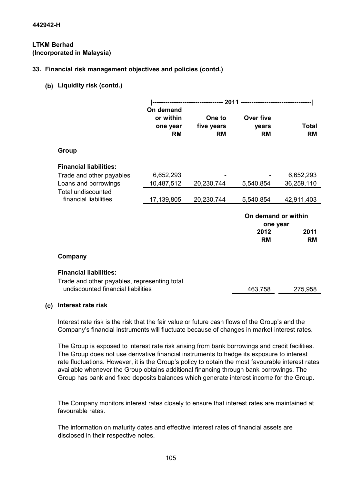### **33. Financial risk management objectives and policies (contd.)**

### **(b) Liquidity risk (contd.)**

|                                                                                    |                                    |                                   |                                 | On demand                 |  |  |  |  |  |
|------------------------------------------------------------------------------------|------------------------------------|-----------------------------------|---------------------------------|---------------------------|--|--|--|--|--|
|                                                                                    | or within<br>one year<br><b>RM</b> | One to<br>five years<br><b>RM</b> | Over five<br>years<br><b>RM</b> | <b>Total</b><br><b>RM</b> |  |  |  |  |  |
| Group                                                                              |                                    |                                   |                                 |                           |  |  |  |  |  |
| <b>Financial liabilities:</b>                                                      |                                    |                                   |                                 |                           |  |  |  |  |  |
| Trade and other payables                                                           | 6,652,293                          |                                   |                                 | 6,652,293                 |  |  |  |  |  |
| Loans and borrowings                                                               | 10,487,512                         | 20,230,744                        | 5,540,854                       | 36,259,110                |  |  |  |  |  |
| Total undiscounted<br>financial liabilities                                        | 17,139,805                         | 20,230,744                        | 5,540,854                       | 42,911,403                |  |  |  |  |  |
|                                                                                    |                                    |                                   | On demand or within             |                           |  |  |  |  |  |
|                                                                                    |                                    |                                   | one year                        |                           |  |  |  |  |  |
|                                                                                    |                                    |                                   | 2012<br><b>RM</b>               | 2011<br><b>RM</b>         |  |  |  |  |  |
| Company                                                                            |                                    |                                   |                                 |                           |  |  |  |  |  |
| <b>Financial liabilities:</b>                                                      |                                    |                                   |                                 |                           |  |  |  |  |  |
| Trade and other payables, representing total<br>undiscounted financial liabilities |                                    |                                   | 463,758                         | 275,958                   |  |  |  |  |  |

#### **(c) Interest rate risk**

Interest rate risk is the risk that the fair value or future cash flows of the Group's and the Company's financial instruments will fluctuate because of changes in market interest rates.

The Group is exposed to interest rate risk arising from bank borrowings and credit facilities. The Group does not use derivative financial instruments to hedge its exposure to interest rate fluctuations. However, it is the Group's policy to obtain the most favourable interest rates available whenever the Group obtains additional financing through bank borrowings. The Group has bank and fixed deposits balances which generate interest income for the Group.

The Company monitors interest rates closely to ensure that interest rates are maintained at favourable rates.

The information on maturity dates and effective interest rates of financial assets are disclosed in their respective notes.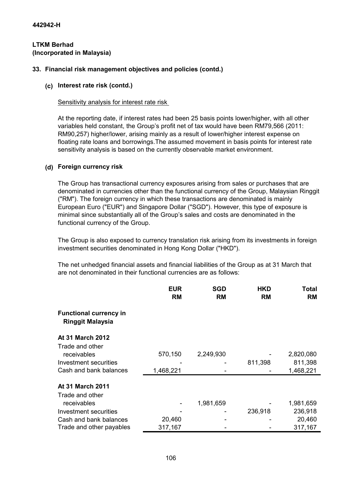### **33. Financial risk management objectives and policies (contd.)**

### **(c) Interest rate risk (contd.)**

#### Sensitivity analysis for interest rate risk

At the reporting date, if interest rates had been 25 basis points lower/higher, with all other variables held constant, the Group's profit net of tax would have been RM79,566 (2011: RM90,257) higher/lower, arising mainly as a result of lower/higher interest expense on floating rate loans and borrowings.The assumed movement in basis points for interest rate sensitivity analysis is based on the currently observable market environment.

### **(d) Foreign currency risk**

The Group has transactional currency exposures arising from sales or purchases that are denominated in currencies other than the functional currency of the Group, Malaysian Ringgit ("RM"). The foreign currency in which these transactions are denominated is mainly European Euro ("EUR") and Singapore Dollar ("SGD"). However, this type of exposure is minimal since substantially all of the Group's sales and costs are denominated in the functional currency of the Group.

The Group is also exposed to currency translation risk arising from its investments in foreign investment securities denominated in Hong Kong Dollar ("HKD").

The net unhedged financial assets and financial liabilities of the Group as at 31 March that are not denominated in their functional currencies are as follows:

|                                                          | <b>EUR</b><br><b>RM</b> | <b>SGD</b><br><b>RM</b> | <b>HKD</b><br><b>RM</b> | Total<br><b>RM</b> |
|----------------------------------------------------------|-------------------------|-------------------------|-------------------------|--------------------|
| <b>Functional currency in</b><br><b>Ringgit Malaysia</b> |                         |                         |                         |                    |
| <b>At 31 March 2012</b>                                  |                         |                         |                         |                    |
| Trade and other                                          |                         |                         |                         |                    |
| receivables                                              | 570,150                 | 2,249,930               |                         | 2,820,080          |
| Investment securities                                    |                         |                         | 811,398                 | 811,398            |
| Cash and bank balances                                   | 1,468,221               |                         |                         | 1,468,221          |
| At 31 March 2011                                         |                         |                         |                         |                    |
| Trade and other                                          |                         |                         |                         |                    |
| receivables                                              |                         | 1,981,659               |                         | 1,981,659          |
| Investment securities                                    |                         |                         | 236,918                 | 236,918            |
| Cash and bank balances                                   | 20,460                  |                         |                         | 20,460             |
| Trade and other payables                                 | 317,167                 |                         |                         | 317,167            |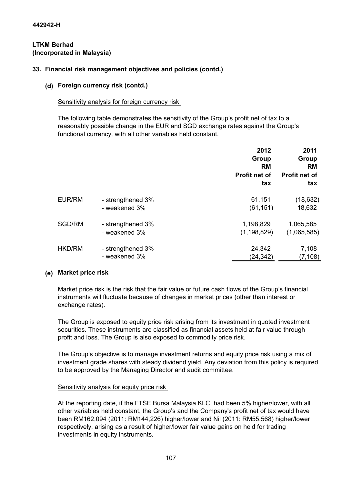### **33. Financial risk management objectives and policies (contd.)**

### **(d) Foreign currency risk (contd.)**

#### Sensitivity analysis for foreign currency risk

The following table demonstrates the sensitivity of the Group's profit net of tax to a reasonably possible change in the EUR and SGD exchange rates against the Group's functional currency, with all other variables held constant.

|               |                   | 2012<br>Group<br><b>RM</b><br><b>Profit net of</b><br>tax | 2011<br>Group<br><b>RM</b><br><b>Profit net of</b><br>tax |
|---------------|-------------------|-----------------------------------------------------------|-----------------------------------------------------------|
| <b>EUR/RM</b> | - strengthened 3% | 61,151                                                    | (18, 632)                                                 |
|               | - weakened 3%     | (61, 151)                                                 | 18,632                                                    |
| SGD/RM        | - strengthened 3% | 1,198,829                                                 | 1,065,585                                                 |
|               | - weakened 3%     | (1, 198, 829)                                             | (1,065,585)                                               |
| <b>HKD/RM</b> | - strengthened 3% | 24,342                                                    | 7,108                                                     |
|               | - weakened 3%     | (24, 342)                                                 | (7, 108)                                                  |

#### **(e) Market price risk**

Market price risk is the risk that the fair value or future cash flows of the Group's financial instruments will fluctuate because of changes in market prices (other than interest or exchange rates).

The Group is exposed to equity price risk arising from its investment in quoted investment securities. These instruments are classified as financial assets held at fair value through profit and loss. The Group is also exposed to commodity price risk.

The Group's objective is to manage investment returns and equity price risk using a mix of investment grade shares with steady dividend yield. Any deviation from this policy is required to be approved by the Managing Director and audit committee.

#### Sensitivity analysis for equity price risk

At the reporting date, if the FTSE Bursa Malaysia KLCI had been 5% higher/lower, with all other variables held constant, the Group's and the Company's profit net of tax would have been RM162,094 (2011: RM144,226) higher/lower and Nil (2011: RM55,568) higher/lower respectively, arising as a result of higher/lower fair value gains on held for trading investments in equity instruments.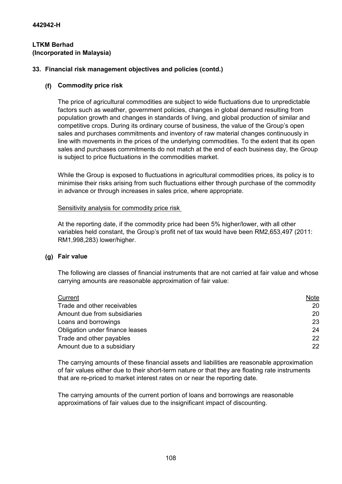## **33. Financial risk management objectives and policies (contd.)**

## **(f) Commodity price risk**

The price of agricultural commodities are subject to wide fluctuations due to unpredictable factors such as weather, government policies, changes in global demand resulting from population growth and changes in standards of living, and global production of similar and competitive crops. During its ordinary course of business, the value of the Group's open sales and purchases commitments and inventory of raw material changes continuously in line with movements in the prices of the underlying commodities. To the extent that its open sales and purchases commitments do not match at the end of each business day, the Group is subject to price fluctuations in the commodities market.

While the Group is exposed to fluctuations in agricultural commodities prices, its policy is to minimise their risks arising from such fluctuations either through purchase of the commodity in advance or through increases in sales price, where appropriate.

### Sensitivity analysis for commodity price risk

At the reporting date, if the commodity price had been 5% higher/lower, with all other variables held constant, the Group's profit net of tax would have been RM2,653,497 (2011: RM1,998,283) lower/higher.

## **(g) Fair value**

The following are classes of financial instruments that are not carried at fair value and whose carrying amounts are reasonable approximation of fair value:

| Current                         | Note |
|---------------------------------|------|
| Trade and other receivables     | 20   |
| Amount due from subsidiaries    | 20   |
| Loans and borrowings            | 23   |
| Obligation under finance leases | 24   |
| Trade and other payables        | 22.  |
| Amount due to a subsidiary      | 22   |

The carrying amounts of these financial assets and liabilities are reasonable approximation of fair values either due to their short-term nature or that they are floating rate instruments that are re-priced to market interest rates on or near the reporting date.

The carrying amounts of the current portion of loans and borrowings are reasonable approximations of fair values due to the insignificant impact of discounting.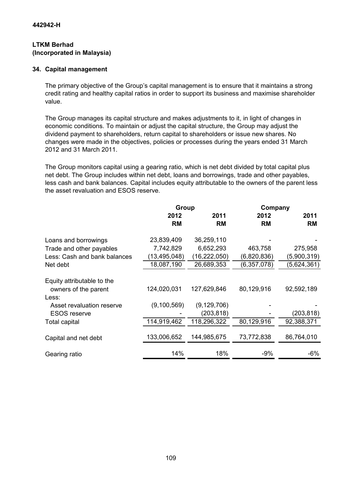## **34. Capital management**

The primary objective of the Group's capital management is to ensure that it maintains a strong credit rating and healthy capital ratios in order to support its business and maximise shareholder value.

The Group manages its capital structure and makes adjustments to it, in light of changes in economic conditions. To maintain or adjust the capital structure, the Group may adjust the dividend payment to shareholders, return capital to shareholders or issue new shares. No changes were made in the objectives, policies or processes during the years ended 31 March 2012 and 31 March 2011.

The Group monitors capital using a gearing ratio, which is net debt divided by total capital plus net debt. The Group includes within net debt, loans and borrowings, trade and other payables, less cash and bank balances. Capital includes equity attributable to the owners of the parent less the asset revaluation and ESOS reserve.

|                                                    | Group          |                | Company       |             |  |
|----------------------------------------------------|----------------|----------------|---------------|-------------|--|
|                                                    | 2012<br>2011   |                | 2012          | 2011        |  |
|                                                    | <b>RM</b>      | <b>RM</b>      | <b>RM</b>     | <b>RM</b>   |  |
| Loans and borrowings                               | 23,839,409     | 36,259,110     |               |             |  |
| Trade and other payables                           | 7,742,829      | 6,652,293      | 463,758       | 275,958     |  |
| Less: Cash and bank balances                       | (13, 495, 048) | (16, 222, 050) | (6,820,836)   | (5,900,319) |  |
| Net debt                                           | 18,087,190     | 26,689,353     | (6, 357, 078) | (5,624,361) |  |
| Equity attributable to the<br>owners of the parent | 124,020,031    | 127,629,846    | 80,129,916    | 92,592,189  |  |
| Less:                                              |                |                |               |             |  |
| Asset revaluation reserve                          | (9,100,569)    | (9, 129, 706)  |               |             |  |
| <b>ESOS reserve</b>                                |                | (203, 818)     |               | (203, 818)  |  |
| Total capital                                      | 114,919,462    | 118,296,322    | 80,129,916    | 92,388,371  |  |
| Capital and net debt                               | 133,006,652    | 144,985,675    | 73,772,838    | 86,764,010  |  |
| Gearing ratio                                      | 14%            | 18%            | $-9%$         | -6%         |  |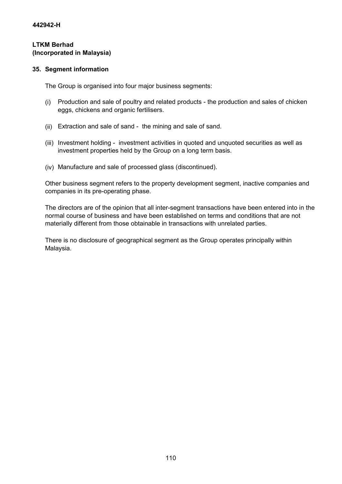## **35. Segment information**

The Group is organised into four major business segments:

- (i) Production and sale of poultry and related products - the production and sales of chicken eggs, chickens and organic fertilisers.
- (ii) Extraction and sale of sand the mining and sale of sand.
- (iii) Investment holding investment activities in quoted and unquoted securities as well as investment properties held by the Group on a long term basis.
- (iv) Manufacture and sale of processed glass (discontinued).

Other business segment refers to the property development segment, inactive companies and companies in its pre-operating phase.

The directors are of the opinion that all inter-segment transactions have been entered into in the normal course of business and have been established on terms and conditions that are not materially different from those obtainable in transactions with unrelated parties.

There is no disclosure of geographical segment as the Group operates principally within Malaysia.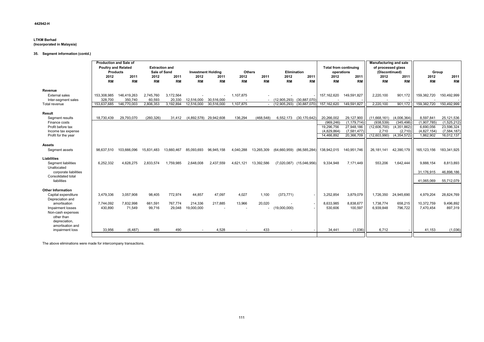#### **442942-H**

#### **LTKM Berhad (Incorporated in Malaysia)**

#### **35. Segment information (contd.)**

|                                                                                                                                             | <b>Production and Sale of</b><br><b>Poultry and Related</b><br><b>Extraction and</b><br>Sale of Sand<br><b>Products</b> |                                       | <b>Investment Holding</b>        |                                  | Others                          |                          | Elimination                                 |                           | <b>Total from continuing</b><br>operations |                                    | <b>Manufacturing and sale</b><br>of processed glass<br>(Discontinued) |                                                                        | Group                                                              |                                                                     |                                                                   |                                                                      |
|---------------------------------------------------------------------------------------------------------------------------------------------|-------------------------------------------------------------------------------------------------------------------------|---------------------------------------|----------------------------------|----------------------------------|---------------------------------|--------------------------|---------------------------------------------|---------------------------|--------------------------------------------|------------------------------------|-----------------------------------------------------------------------|------------------------------------------------------------------------|--------------------------------------------------------------------|---------------------------------------------------------------------|-------------------------------------------------------------------|----------------------------------------------------------------------|
|                                                                                                                                             | 2012<br><b>RM</b>                                                                                                       | 2011<br><b>RM</b>                     | 2012<br><b>RM</b>                | 2011<br><b>RM</b>                | 2012<br><b>RM</b>               | 2011<br><b>RM</b>        | 2012<br><b>RM</b>                           | 2011<br><b>RM</b>         | 2012<br><b>RM</b>                          | 2011<br><b>RM</b>                  | 2012<br><b>RM</b>                                                     | 2011<br><b>RM</b>                                                      | 2012<br><b>RM</b>                                                  | 2011<br><b>RM</b>                                                   | 2012<br><b>RM</b>                                                 | 2011<br>RM                                                           |
| Revenue<br><b>External sales</b><br>Inter-segment sales<br>Total revenue                                                                    | 153,308,985<br>328.700<br>153,637,685                                                                                   | 146,419,263<br>350.740<br>146,770,003 | 2,745,760<br>60.593<br>2,806,353 | 3,172,564<br>20.330<br>3,192,894 | 12,516,000<br>12,516,000        | 30.516.000<br>30,516,000 | 1,107,875<br>1,107,875                      | $\sim$                    | (12.905.293)<br>(12, 905, 293)             | (30.887.070<br>(30, 887, 070)      | 157, 162, 620<br>157, 162, 620                                        | 149,591,827<br>149,591,827                                             | 2,220,100<br>2,220,100                                             | 901,172<br>901,172                                                  | 159,382,720<br>159,382,720                                        | 150,492,999<br>150,492,999                                           |
| Result<br>Segment results<br>Finance costs<br>Profit before tax<br>Income tax expense<br>Profit for the year                                | 18.730.439                                                                                                              | 29,793,070                            | (260, 326)                       | 31.412                           |                                 | (4,892,578) 29,942,608   | 136,294                                     | (468, 548)                | 6,552,173                                  | (30, 170, 642)                     | 20,266,002<br>(969.246)<br>19,296,756<br>(4.829.864)<br>14,466,892    | 29,127,900<br>(1, 179, 714)<br>27,948,186<br>(7,581,477)<br>20,366,709 | (11,668,161)<br>(938.539)<br>(12,606,700)<br>2.710<br>(12,603,990) | (4,006,364)<br>(345.498)<br>(4,351,862)<br>(2,710)<br>(4, 354, 572) | 8,597,841<br>(1,907,785)<br>6,690,056<br>(4,827,154)<br>1,862,902 | 25,121,536<br>(1,525,212)<br>23,596,324<br>(7,584,187)<br>16,012,137 |
| <b>Assets</b><br>Segment assets                                                                                                             | 98,637,510                                                                                                              | 103.666.096                           | 15.831.483                       | 13.660.467                       | 85.093.693                      | 96.945.158               | 4.040.288                                   | 13,265,309                | (64,660,959)                               | (86, 585, 284)                     | 138.942.015                                                           | 140,951,746                                                            | 26.181.141                                                         | 42,390,179                                                          | 165.123.156                                                       | 183,341,925                                                          |
| Liabilities<br>Segment liabilities<br>Unallocated<br>corporate liabilities<br>Consolidated total<br>liabilities                             | 6,252,332                                                                                                               | 4.628.275                             | 2,833,574                        | 1.759.985                        | 2.648.008                       | 2,437,559                | 4.621.121                                   | 13,392,586                |                                            | (7,020,087) (15,046,956)           | 9,334,948                                                             | 7,171,449                                                              | 553,206                                                            | 1,642,444                                                           | 9,888,154<br>31.176.915<br>41.065.069                             | 8,813,893<br>46,898,186<br>55,712,079                                |
| <b>Other Information</b><br>Capital expenditure<br>Depreciation and<br>amortisation<br>Impairment losses<br>Non-cash expenses<br>other than | 3.479.336<br>7.744.092<br>430,890                                                                                       | 3,057,908<br>7.832.998<br>71,549      | 98.405<br>661.591<br>99,716      | 772,974<br>767.774<br>29,048     | 44.857<br>214.336<br>19,000,000 | 47.097<br>217.885        | 4.027<br>13,966<br>$\overline{\phantom{a}}$ | 1.100<br>20.020<br>$\sim$ | (373, 771)<br>(19,000,000)                 | $\overline{\phantom{a}}$<br>$\sim$ | 3.252.854<br>8.633.985<br>530,606                                     | 3,879,079<br>8.838.677<br>100,597                                      | 1.726.350<br>1.738.774<br>6,939,848                                | 24,945,690<br>658,215<br>796,722                                    | 4.979.204<br>10.372.759<br>7,470,454                              | 28,824,769<br>9,496,892<br>897,319                                   |
| depreciation,<br>amortisation and<br>impairment loss                                                                                        | 33.956                                                                                                                  | (6, 487)                              | 485                              | 490                              | $\sim$                          | 4.528                    | $\sim$                                      | 433                       |                                            |                                    | 34.441                                                                | (1,036)                                                                | 6.712                                                              |                                                                     | 41.153                                                            | (1,036)                                                              |

The above eliminations were made for intercompany transactions.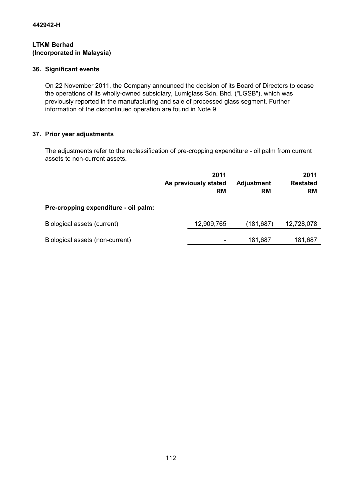### **36. Significant events**

On 22 November 2011, the Company announced the decision of its Board of Directors to cease the operations of its wholly-owned subsidiary, Lumiglass Sdn. Bhd. ("LGSB"), which was previously reported in the manufacturing and sale of processed glass segment. Further information of the discontinued operation are found in Note 9.

## **37. Prior year adjustments**

The adjustments refer to the reclassification of pre-cropping expenditure - oil palm from current assets to non-current assets.

|                                      | 2011<br>As previously stated<br><b>RM</b> | <b>Adjustment</b><br><b>RM</b> | 2011<br><b>Restated</b><br><b>RM</b> |
|--------------------------------------|-------------------------------------------|--------------------------------|--------------------------------------|
| Pre-cropping expenditure - oil palm: |                                           |                                |                                      |
| Biological assets (current)          | 12,909,765                                | (181, 687)                     | 12,728,078                           |
| Biological assets (non-current)      | ۰                                         | 181,687                        | 181,687                              |